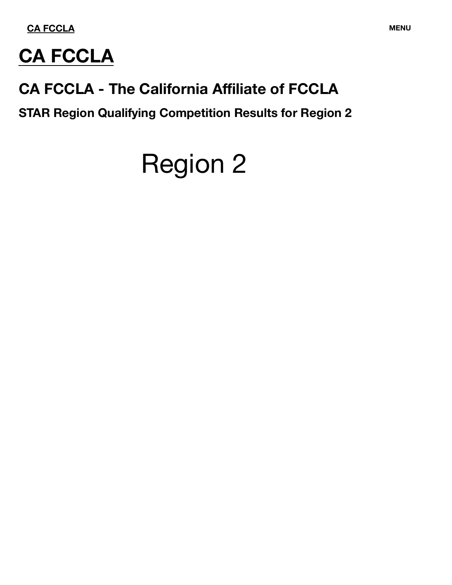

# **CA FCCLA**

## **CA FCCLA - The California Affiliate of FCCLA**

**STAR Region Qualifying Competition Results for Region 2**

# Region 2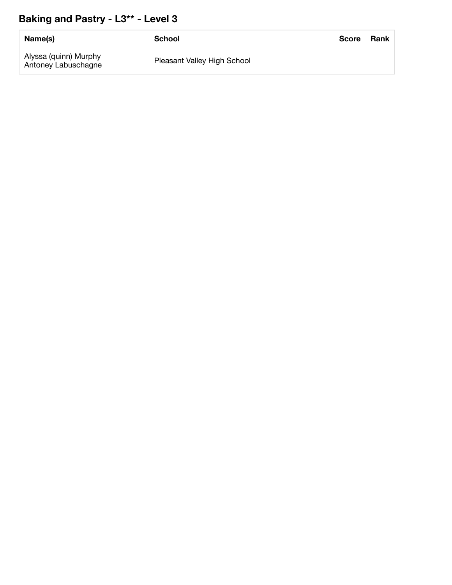## **Baking and Pastry - L3\*\* - Level 3**

| Name(s)                                      | School                      | <b>Score</b> | Rank |
|----------------------------------------------|-----------------------------|--------------|------|
| Alyssa (quinn) Murphy<br>Antoney Labuschagne | Pleasant Valley High School |              |      |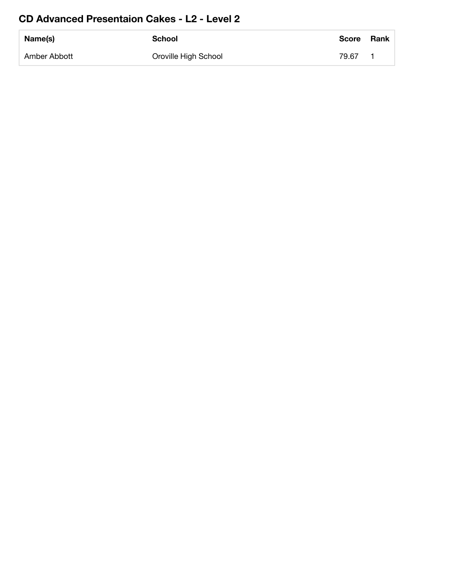### **CD Advanced Presentaion Cakes - L2 - Level 2**

| Name(s)      | <b>School</b>        | <b>Score</b> | Rank |
|--------------|----------------------|--------------|------|
| Amber Abbott | Oroville High School | 79.67        |      |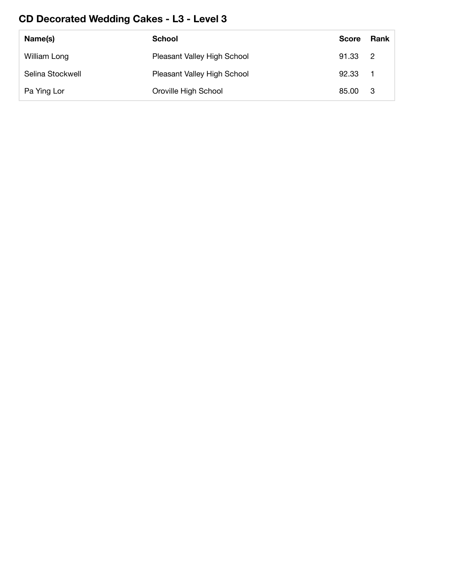## **CD Decorated Wedding Cakes - L3 - Level 3**

| Name(s)          | School                      | <b>Score</b> | Rank             |
|------------------|-----------------------------|--------------|------------------|
| William Long     | Pleasant Valley High School | 91.33 2      |                  |
| Selina Stockwell | Pleasant Valley High School | 92.33        | $\blacksquare$ 1 |
| Pa Ying Lor      | Oroville High School        | 85.00        | - 3              |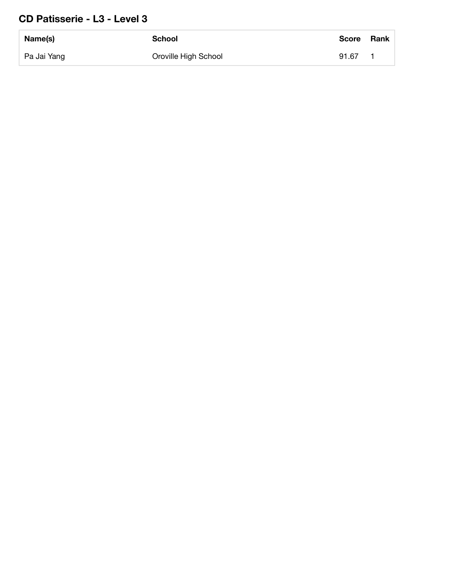#### **CD Patisserie - L3 - Level 3**

| Name(s)     | School               | <b>Score</b> | <b>Rank</b> |
|-------------|----------------------|--------------|-------------|
| Pa Jai Yang | Oroville High School | 91.67        |             |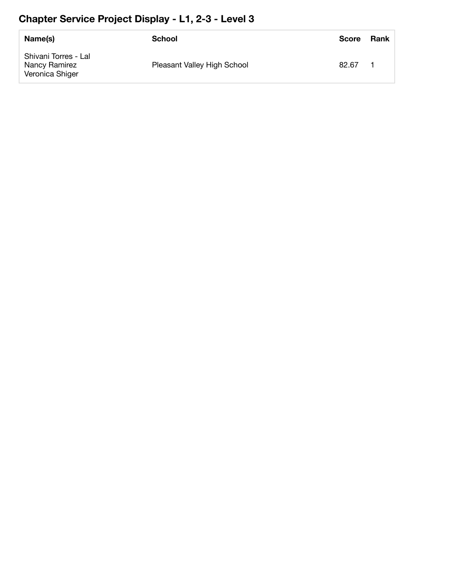## **Chapter Service Project Display - L1, 2-3 - Level 3**

| Name(s)                                                  | School                      | <b>Score</b> | Rank |
|----------------------------------------------------------|-----------------------------|--------------|------|
| Shivani Torres - Lal<br>Nancy Ramirez<br>Veronica Shiger | Pleasant Valley High School | 82.67        |      |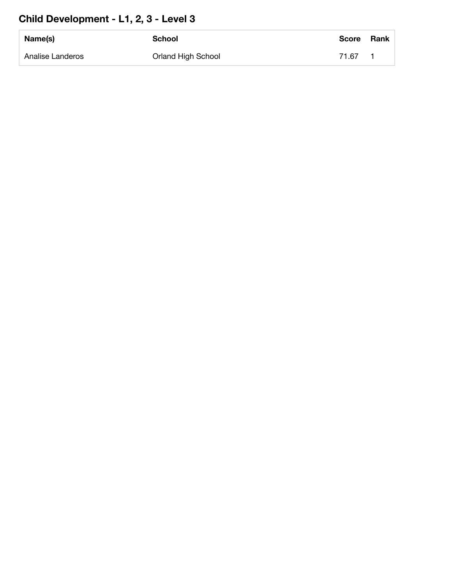## **Child Development - L1, 2, 3 - Level 3**

| Name(s)          | <b>School</b>      | <b>Score</b> | <b>Rank</b> |
|------------------|--------------------|--------------|-------------|
| Analise Landeros | Orland High School | 71.67        |             |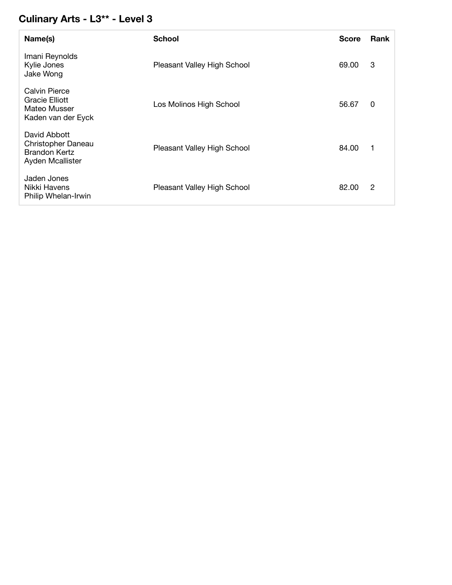## **Culinary Arts - L3\*\* - Level 3**

| Name(s)                                                                        | <b>School</b>               | <b>Score</b> | <b>Rank</b> |
|--------------------------------------------------------------------------------|-----------------------------|--------------|-------------|
| Imani Reynolds<br>Kylie Jones<br>Jake Wong                                     | Pleasant Valley High School | 69.00        | 3           |
| Calvin Pierce<br>Gracie Elliott<br>Mateo Musser<br>Kaden van der Eyck          | Los Molinos High School     | 56.67        | 0           |
| David Abbott<br>Christopher Daneau<br><b>Brandon Kertz</b><br>Ayden Mcallister | Pleasant Valley High School | 84.00        | 1           |
| Jaden Jones<br>Nikki Havens<br>Philip Whelan-Irwin                             | Pleasant Valley High School | 82.00        | 2           |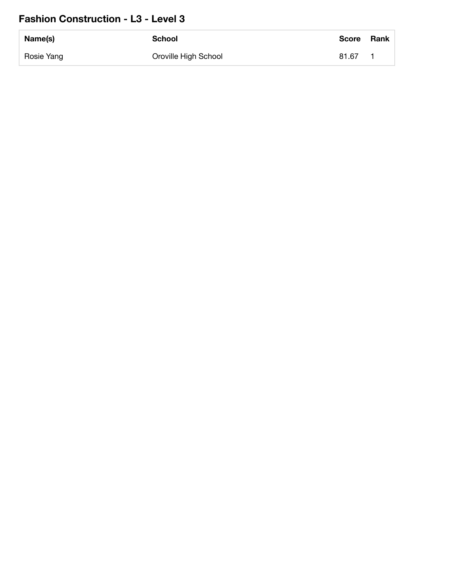### **Fashion Construction - L3 - Level 3**

| Name(s)    | <b>School</b>        | <b>Score</b> | <b>Rank</b> |
|------------|----------------------|--------------|-------------|
| Rosie Yang | Oroville High School | 81.67        |             |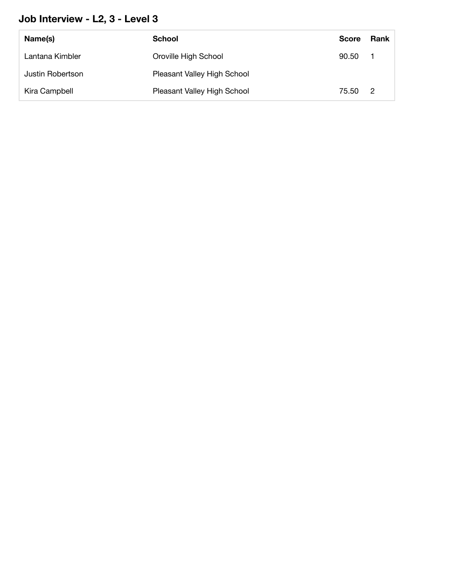## **Job Interview - L2, 3 - Level 3**

| Name(s)          | School                      | <b>Score</b> | Rank           |
|------------------|-----------------------------|--------------|----------------|
| Lantana Kimbler  | Oroville High School        | 90.50        |                |
| Justin Robertson | Pleasant Valley High School |              |                |
| Kira Campbell    | Pleasant Valley High School | 75.50        | $\overline{2}$ |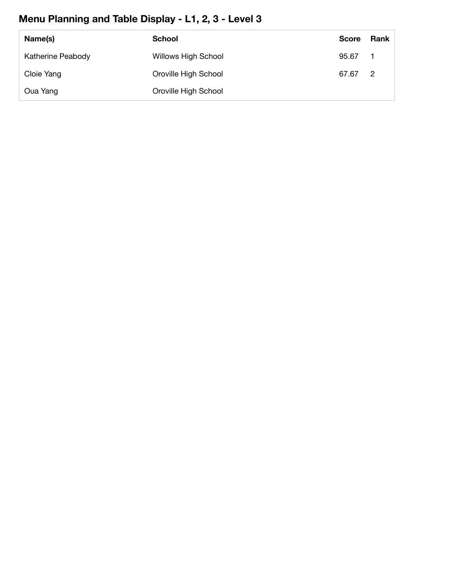## **Menu Planning and Table Display - L1, 2, 3 - Level 3**

| Name(s)           | <b>School</b>              | <b>Score</b> | Rank           |
|-------------------|----------------------------|--------------|----------------|
| Katherine Peabody | <b>Willows High School</b> | 95.67        |                |
| Cloie Yang        | Oroville High School       | 67.67        | $\overline{2}$ |
| Oua Yang          | Oroville High School       |              |                |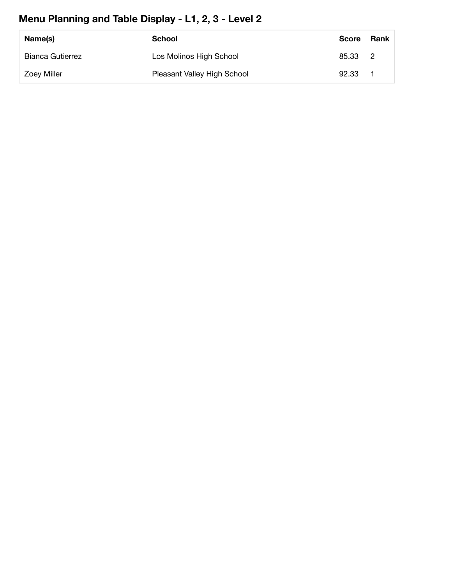## **Menu Planning and Table Display - L1, 2, 3 - Level 2**

| Name(s)                 | School                      | <b>Score</b> | Rank |
|-------------------------|-----------------------------|--------------|------|
| <b>Bianca Gutierrez</b> | Los Molinos High School     | 85.33 2      |      |
| <b>Zoey Miller</b>      | Pleasant Valley High School | 92.33        |      |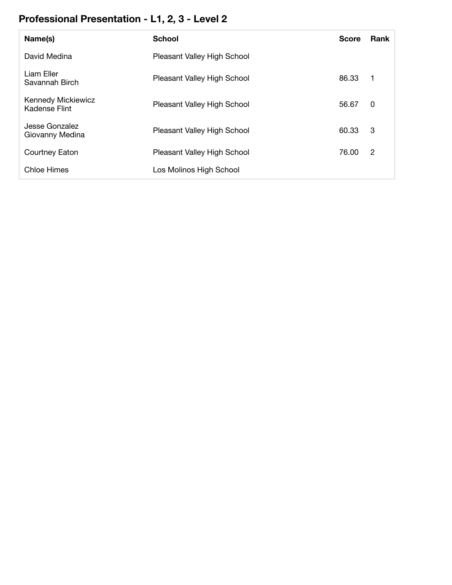## **Professional Presentation - L1, 2, 3 - Level 2**

| Name(s)                                    | <b>School</b>               | <b>Score</b> | <b>Rank</b> |
|--------------------------------------------|-----------------------------|--------------|-------------|
| David Medina                               | Pleasant Valley High School |              |             |
| Liam Eller<br>Savannah Birch               | Pleasant Valley High School | 86.33        | 1           |
| <b>Kennedy Mickiewicz</b><br>Kadense Flint | Pleasant Valley High School | 56.67        | 0           |
| Jesse Gonzalez<br>Giovanny Medina          | Pleasant Valley High School | 60.33        | 3           |
| Courtney Eaton                             | Pleasant Valley High School | 76.00        | 2           |
| Chloe Himes                                | Los Molinos High School     |              |             |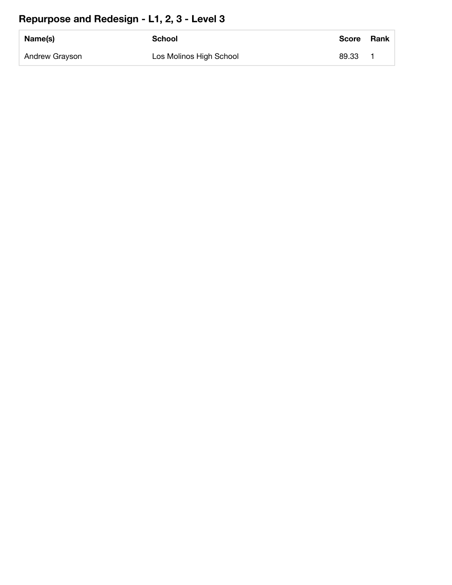## **Repurpose and Redesign - L1, 2, 3 - Level 3**

| Name(s)        | <b>School</b>           | <b>Score</b> | <b>Rank</b> |
|----------------|-------------------------|--------------|-------------|
| Andrew Grayson | Los Molinos High School | 89.33        |             |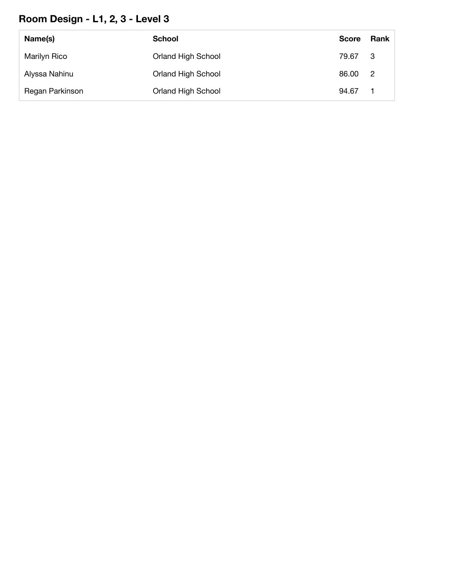## **Room Design - L1, 2, 3 - Level 3**

| Name(s)         | <b>School</b>             | <b>Score</b> | Rank           |
|-----------------|---------------------------|--------------|----------------|
| Marilyn Rico    | <b>Orland High School</b> | 79.67        | - 3            |
| Alyssa Nahinu   | <b>Orland High School</b> | 86.00        | $\overline{2}$ |
| Regan Parkinson | <b>Orland High School</b> | 94.67        |                |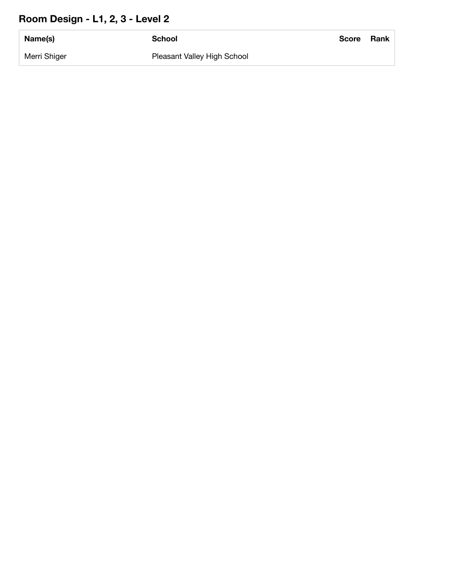## **Room Design - L1, 2, 3 - Level 2**

| Name(s)      | <b>School</b>               | <b>Score</b> | Rank |
|--------------|-----------------------------|--------------|------|
| Merri Shiger | Pleasant Valley High School |              |      |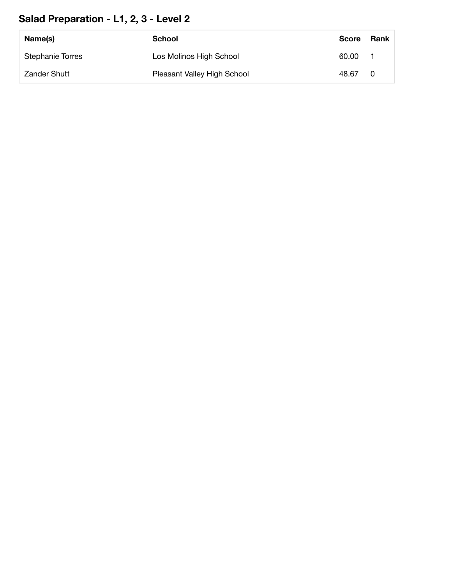## **Salad Preparation - L1, 2, 3 - Level 2**

| Name(s)                 | School                      | <b>Score</b> | Rank |
|-------------------------|-----------------------------|--------------|------|
| <b>Stephanie Torres</b> | Los Molinos High School     | 60.00        |      |
| <b>Zander Shutt</b>     | Pleasant Valley High School | 48.67        |      |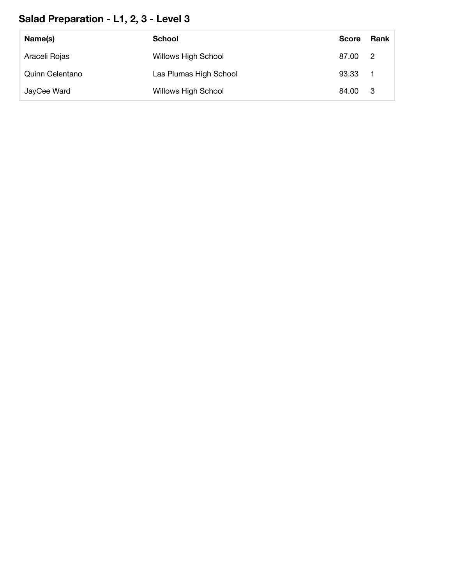## **Salad Preparation - L1, 2, 3 - Level 3**

| Name(s)         | School                     | <b>Score</b> | <b>Rank</b>                |
|-----------------|----------------------------|--------------|----------------------------|
| Araceli Rojas   | <b>Willows High School</b> | 87.00        | $\overline{\phantom{0}}^2$ |
| Quinn Celentano | Las Plumas High School     | 93.33        |                            |
| JayCee Ward     | <b>Willows High School</b> | 84.00        | - 3                        |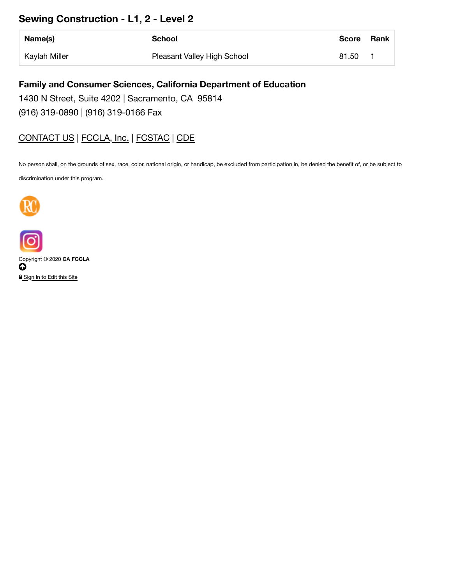#### **Sewing Construction - L1, 2 - Level 2**

| Name(s)       | <b>School</b>               | <b>Score</b> | <b>Rank</b> |
|---------------|-----------------------------|--------------|-------------|
| Kaylah Miller | Pleasant Valley High School | 81.50        |             |

#### **Family and Consumer Sciences, California Department of Education**

1430 N Street, Suite 4202 | Sacramento, CA 95814

(916) 319-0890 | (916) 319-0166 Fax

#### CONTACT US | FCCLA, Inc. | FCSTAC | CDE

No person shall, on the grounds of sex, race, color, national origin, or handicap, be excluded from participation in, be denied the benefit of, or be subject to

discrimination under this program.





Copyright © 2020 **CA FCCLA**  $\boldsymbol{\Omega}$ **A** Sign In to Edit this Site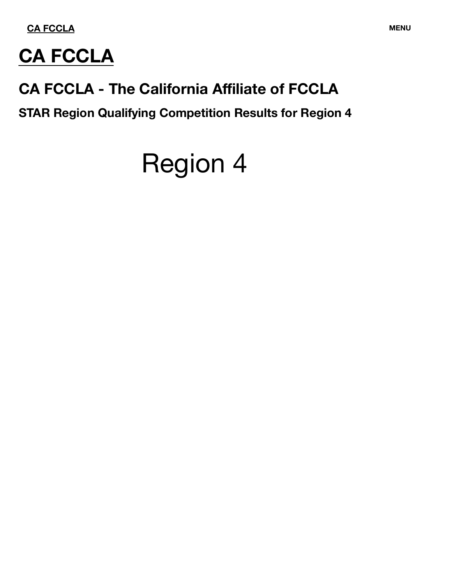**CA FCCLA MENU**



## **CA FCCLA - The California Affiliate of FCCLA**

**STAR Region Qualifying Competition Results for Region 4**

# Region 4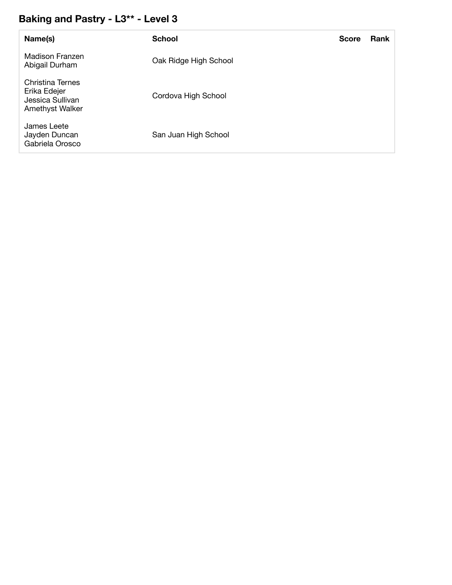## **Baking and Pastry - L3\*\* - Level 3**

| Name(s)                                                                        | <b>School</b>         | <b>Score</b> | <b>Rank</b> |
|--------------------------------------------------------------------------------|-----------------------|--------------|-------------|
| Madison Franzen<br>Abigail Durham                                              | Oak Ridge High School |              |             |
| Christina Ternes<br>Erika Edejer<br>Jessica Sullivan<br><b>Amethyst Walker</b> | Cordova High School   |              |             |
| James Leete<br>Jayden Duncan<br>Gabriela Orosco                                | San Juan High School  |              |             |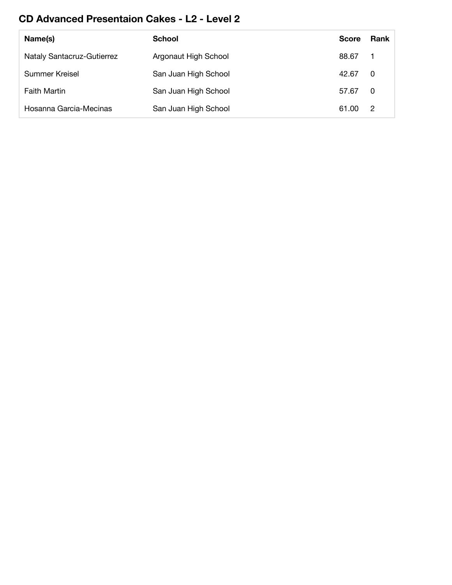## **CD Advanced Presentaion Cakes - L2 - Level 2**

| Name(s)                           | <b>School</b>        | <b>Score</b> | Rank |
|-----------------------------------|----------------------|--------------|------|
| <b>Nataly Santacruz-Gutierrez</b> | Argonaut High School | 88.67        |      |
| Summer Kreisel                    | San Juan High School | 42.67        | -0   |
| <b>Faith Martin</b>               | San Juan High School | 57.67        | - 0  |
| Hosanna Garcia-Mecinas            | San Juan High School | 61.00        | -2   |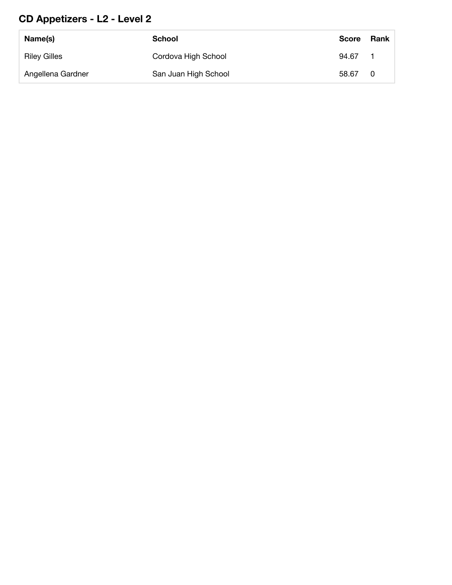## **CD Appetizers - L2 - Level 2**

| Name(s)             | School               | <b>Score</b> | Rank |
|---------------------|----------------------|--------------|------|
| <b>Riley Gilles</b> | Cordova High School  | 94.67        |      |
| Angellena Gardner   | San Juan High School | 58.67        | - 0  |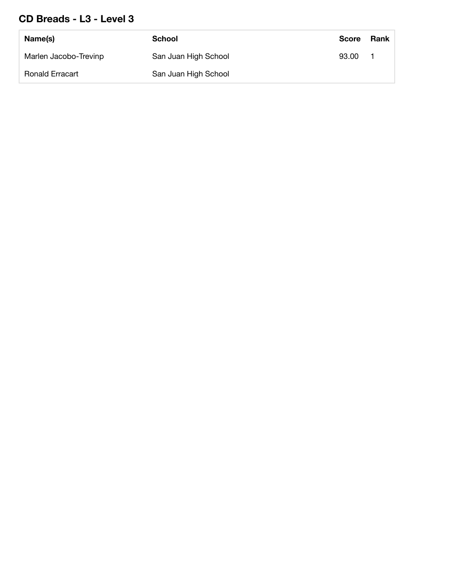#### **CD Breads - L3 - Level 3**

| Name(s)                | School               | <b>Score</b> | Rank |
|------------------------|----------------------|--------------|------|
| Marlen Jacobo-Trevinp  | San Juan High School | 93.00        |      |
| <b>Ronald Erracart</b> | San Juan High School |              |      |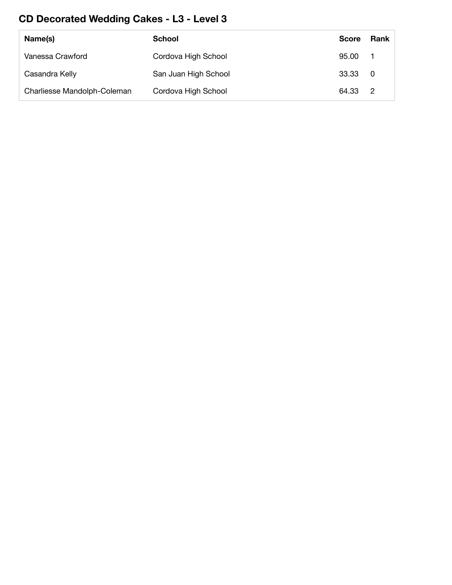## **CD Decorated Wedding Cakes - L3 - Level 3**

| Name(s)                     | <b>School</b>        | <b>Score</b> | Rank           |
|-----------------------------|----------------------|--------------|----------------|
| Vanessa Crawford            | Cordova High School  | 95.00        |                |
| Casandra Kelly              | San Juan High School | 33.33        | $\overline{0}$ |
| Charliesse Mandolph-Coleman | Cordova High School  | 64.33 2      |                |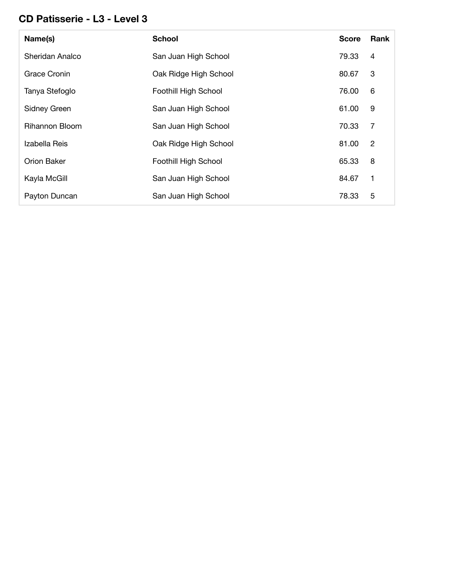#### **CD Patisserie - L3 - Level 3**

| Name(s)               | <b>School</b>               | <b>Score</b> | Rank           |
|-----------------------|-----------------------------|--------------|----------------|
| Sheridan Analco       | San Juan High School        | 79.33        | 4              |
| Grace Cronin          | Oak Ridge High School       | 80.67        | 3              |
| Tanya Stefoglo        | <b>Foothill High School</b> | 76.00        | 6              |
| Sidney Green          | San Juan High School        | 61.00        | 9              |
| <b>Rihannon Bloom</b> | San Juan High School        | 70.33        | $\overline{7}$ |
| Izabella Reis         | Oak Ridge High School       | 81.00        | $\overline{2}$ |
| Orion Baker           | <b>Foothill High School</b> | 65.33        | 8              |
| Kayla McGill          | San Juan High School        | 84.67        | 1              |
| Payton Duncan         | San Juan High School        | 78.33        | 5              |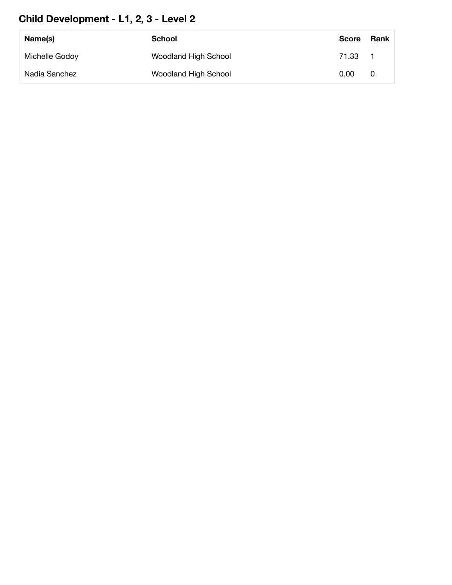## **Child Development - L1, 2, 3 - Level 2**

| Name(s)        | School                      | <b>Score</b> | Rank |
|----------------|-----------------------------|--------------|------|
| Michelle Godoy | Woodland High School        | 71.33        |      |
| Nadia Sanchez  | <b>Woodland High School</b> | 0.00         |      |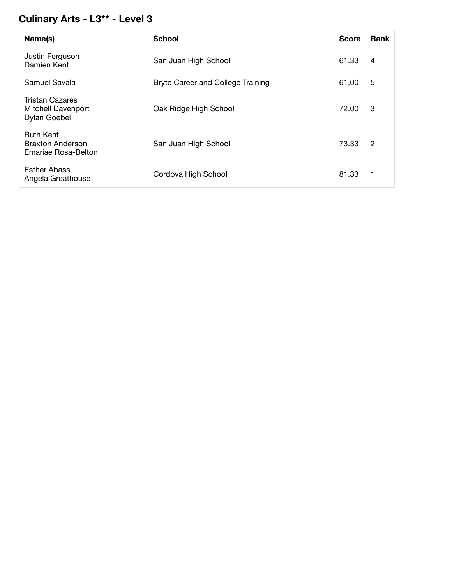## **Culinary Arts - L3\*\* - Level 3**

| Name(s)                                                      | <b>School</b>                     | <b>Score</b> | Rank           |
|--------------------------------------------------------------|-----------------------------------|--------------|----------------|
| Justin Ferguson<br>Damien Kent                               | San Juan High School              | 61.33        | 4              |
| Samuel Savala                                                | Bryte Career and College Training | 61.00        | 5              |
| Tristan Cazares<br><b>Mitchell Davenport</b><br>Dylan Goebel | Oak Ridge High School             | 72.00        | 3              |
| <b>Ruth Kent</b><br>Braxton Anderson<br>Emariae Rosa-Belton  | San Juan High School              | 73.33        | $\overline{2}$ |
| <b>Esther Abass</b><br>Angela Greathouse                     | Cordova High School               | 81.33        |                |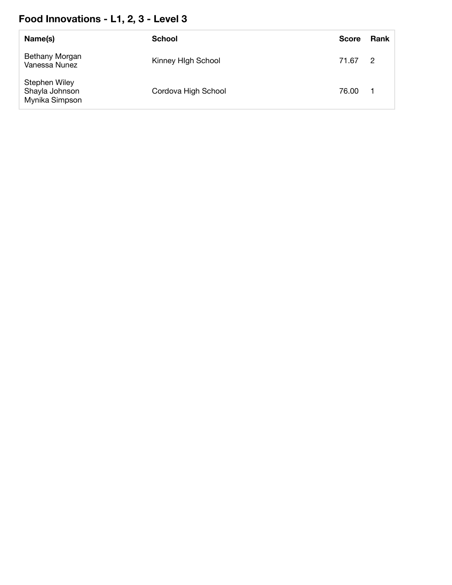## **Food Innovations - L1, 2, 3 - Level 3**

| Name(s)                                           | <b>School</b>       | <b>Score</b> | <b>Rank</b>    |
|---------------------------------------------------|---------------------|--------------|----------------|
| Bethany Morgan<br>Vanessa Nunez                   | Kinney HIgh School  | 71.67        | $\overline{2}$ |
| Stephen Wiley<br>Shayla Johnson<br>Mynika Simpson | Cordova High School | 76.00        |                |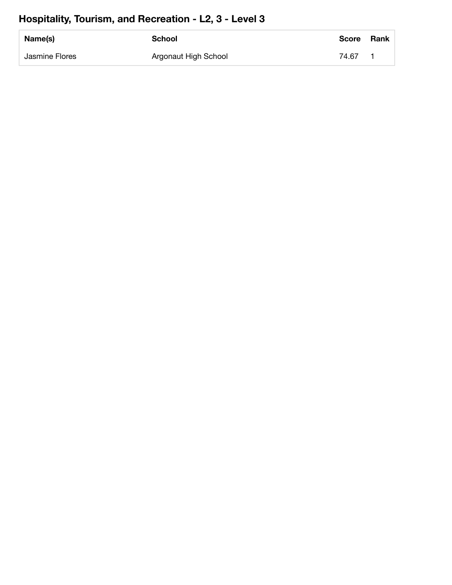## **Hospitality, Tourism, and Recreation - L2, 3 - Level 3**

| Name(s)        | <b>School</b>        | <b>Score</b> | <b>Rank</b> |
|----------------|----------------------|--------------|-------------|
| Jasmine Flores | Argonaut High School | 74.67        |             |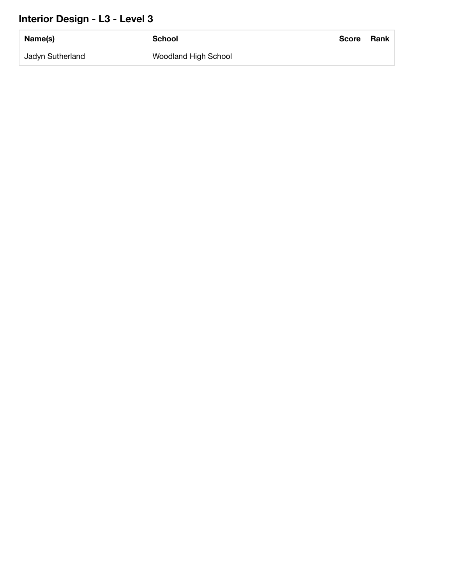## **Interior Design - L3 - Level 3**

| Name(s)          | <b>School</b>        | <b>Score</b> | <b>Rank</b> |
|------------------|----------------------|--------------|-------------|
| Jadyn Sutherland | Woodland High School |              |             |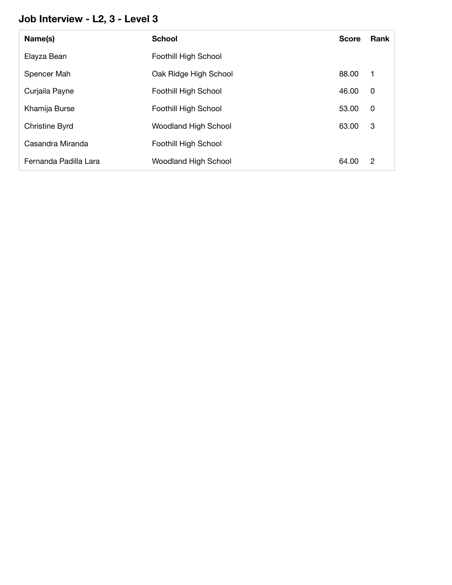## **Job Interview - L2, 3 - Level 3**

| Name(s)               | <b>School</b>               | <b>Score</b> | Rank        |
|-----------------------|-----------------------------|--------------|-------------|
| Elayza Bean           | Foothill High School        |              |             |
| Spencer Mah           | Oak Ridge High School       | 88.00        | $\mathbf 1$ |
| Curjaila Payne        | Foothill High School        | 46.00        | 0           |
| Khamija Burse         | Foothill High School        | 53.00        | 0           |
| <b>Christine Byrd</b> | <b>Woodland High School</b> | 63.00        | 3           |
| Casandra Miranda      | Foothill High School        |              |             |
| Fernanda Padilla Lara | <b>Woodland High School</b> | 64.00        | 2           |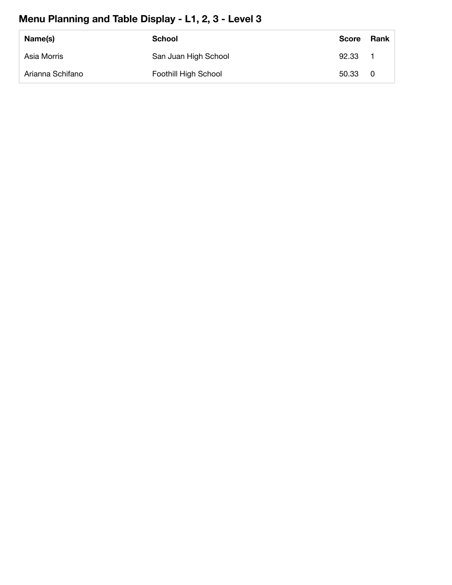## **Menu Planning and Table Display - L1, 2, 3 - Level 3**

| Name(s)          | School               | <b>Score</b> | Rank |
|------------------|----------------------|--------------|------|
| Asia Morris      | San Juan High School | 92.33        |      |
| Arianna Schifano | Foothill High School | 50.33        | - 0  |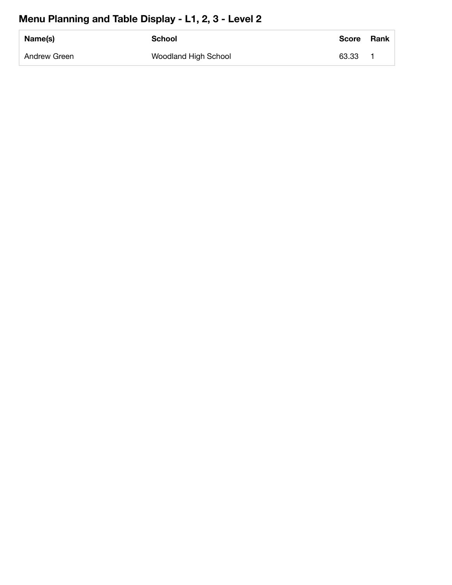## **Menu Planning and Table Display - L1, 2, 3 - Level 2**

| Name(s)      | <b>School</b>        | <b>Score</b> | <b>Rank</b> |
|--------------|----------------------|--------------|-------------|
| Andrew Green | Woodland High School | 63.33        |             |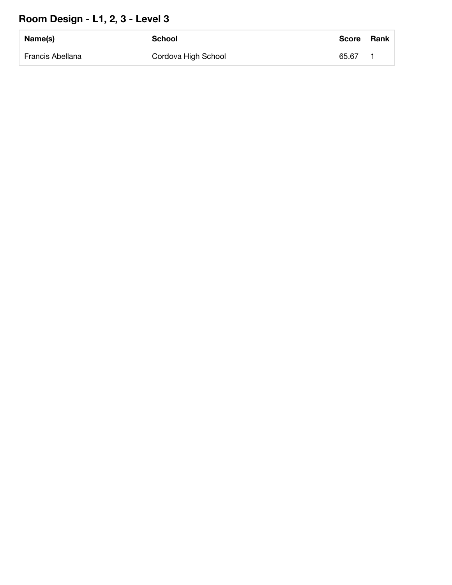## **Room Design - L1, 2, 3 - Level 3**

| Name(s)          | School              | Score | <b>Rank</b> |
|------------------|---------------------|-------|-------------|
| Francis Abellana | Cordova High School | 65.67 |             |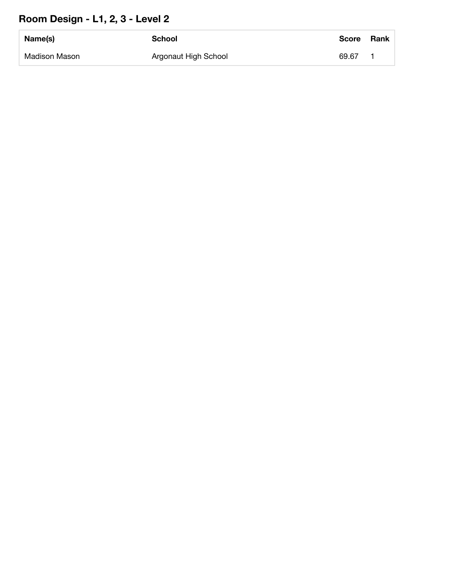## **Room Design - L1, 2, 3 - Level 2**

| Name(s)       | School               | <b>Score</b> | <b>Rank</b> |
|---------------|----------------------|--------------|-------------|
| Madison Mason | Argonaut High School | 69.67        |             |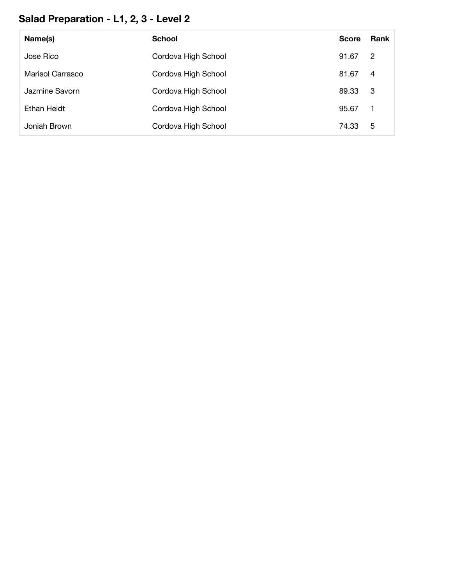## **Salad Preparation - L1, 2, 3 - Level 2**

| Name(s)            | <b>School</b>       | <b>Score</b> | <b>Rank</b>    |
|--------------------|---------------------|--------------|----------------|
| Jose Rico          | Cordova High School | 91.67        | $\overline{2}$ |
| Marisol Carrasco   | Cordova High School | 81.67        | $\overline{4}$ |
| Jazmine Savorn     | Cordova High School | 89.33        | - 3            |
| <b>Ethan Heidt</b> | Cordova High School | 95.67        | $\overline{1}$ |
| Joniah Brown       | Cordova High School | 74.33        | 5              |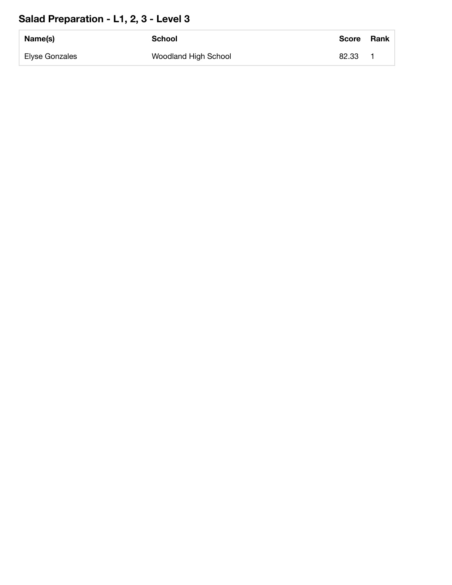## **Salad Preparation - L1, 2, 3 - Level 3**

| Name(s)        | School               | <b>Score</b> | <b>Rank</b> |
|----------------|----------------------|--------------|-------------|
| Elyse Gonzales | Woodland High School | 82.33        |             |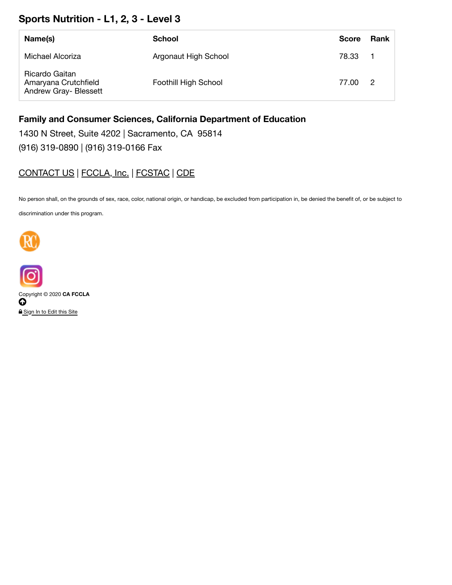### **Sports Nutrition - L1, 2, 3 - Level 3**

| Name(s)                                                                | School               | <b>Score</b> | Rank |
|------------------------------------------------------------------------|----------------------|--------------|------|
| Michael Alcoriza                                                       | Argonaut High School | 78.33 1      |      |
| Ricardo Gaitan<br>Amaryana Crutchfield<br><b>Andrew Gray- Blessett</b> | Foothill High School | 77.00        | 2    |

#### **Family and Consumer Sciences, California Department of Education**

1430 N Street, Suite 4202 | Sacramento, CA 95814

(916) 319-0890 | (916) 319-0166 Fax

### CONTACT US | FCCLA, Inc. | FCSTAC | CDE

No person shall, on the grounds of sex, race, color, national origin, or handicap, be excluded from participation in, be denied the benefit of, or be subject to discrimination under this program.





Copyright © 2020 **CA FCCLA**  $\overline{\mathbf{o}}$ Sign In to Edit this Site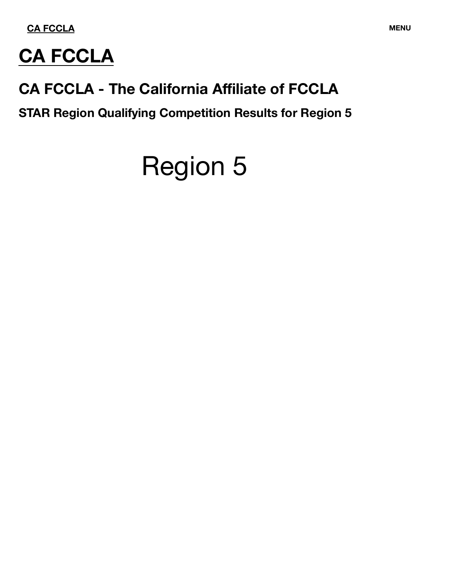

## **CA FCCLA**

## **CA FCCLA - The California Affiliate of FCCLA**

**STAR Region Qualifying Competition Results for Region 5**

# Region 5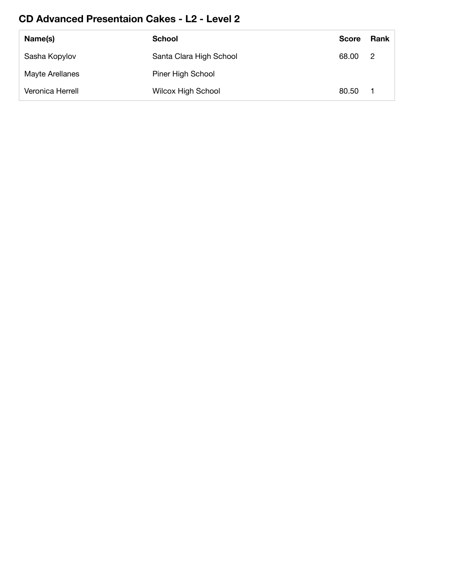### **CD Advanced Presentaion Cakes - L2 - Level 2**

| Name(s)          | <b>School</b>             | <b>Score</b> | Rank |
|------------------|---------------------------|--------------|------|
| Sasha Kopylov    | Santa Clara High School   | 68.00        | -2   |
| Mayte Arellanes  | Piner High School         |              |      |
| Veronica Herrell | <b>Wilcox High School</b> | 80.50        |      |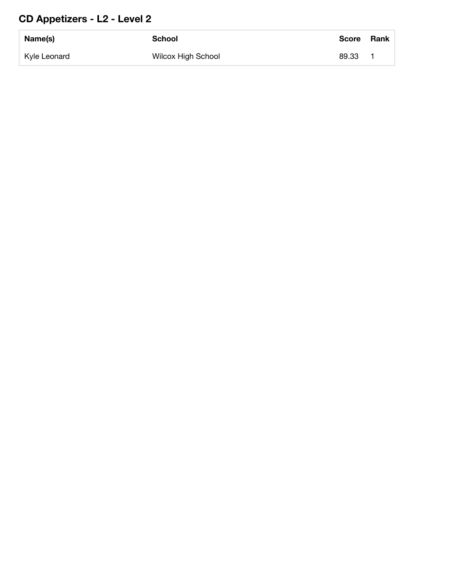## **CD Appetizers - L2 - Level 2**

| Name(s)      | School                    | Score | <b>Rank</b> |
|--------------|---------------------------|-------|-------------|
| Kyle Leonard | <b>Wilcox High School</b> | 89.33 |             |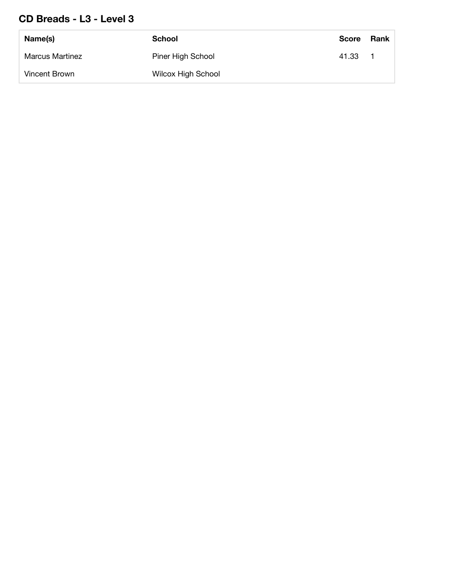### **CD Breads - L3 - Level 3**

| Name(s)                | <b>School</b>             | <b>Score</b> | Rank |
|------------------------|---------------------------|--------------|------|
| <b>Marcus Martinez</b> | Piner High School         | 41.33        |      |
| Vincent Brown          | <b>Wilcox High School</b> |              |      |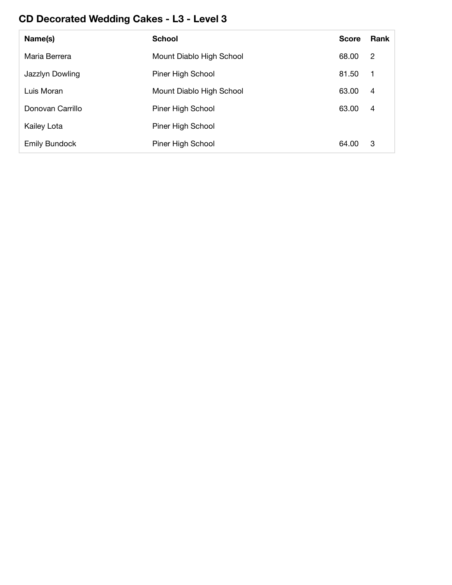## **CD Decorated Wedding Cakes - L3 - Level 3**

| Name(s)              | <b>School</b>            | <b>Score</b> | <b>Rank</b>    |
|----------------------|--------------------------|--------------|----------------|
| Maria Berrera        | Mount Diablo High School | 68.00        | 2              |
| Jazzlyn Dowling      | Piner High School        | 81.50        | - 1            |
| Luis Moran           | Mount Diablo High School | 63.00        | 4              |
| Donovan Carrillo     | Piner High School        | 63.00        | $\overline{4}$ |
| Kailey Lota          | Piner High School        |              |                |
| <b>Emily Bundock</b> | Piner High School        | 64.00        | 3              |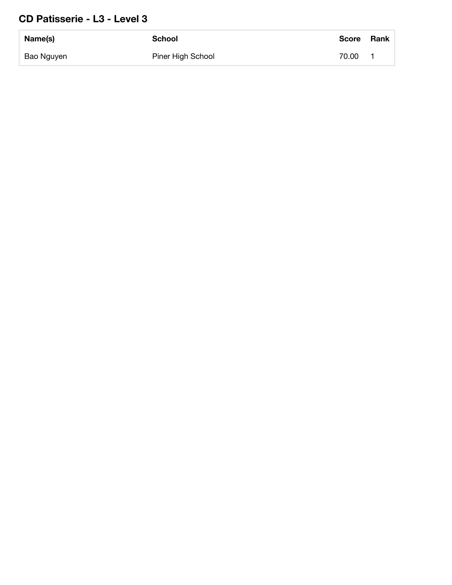### **CD Patisserie - L3 - Level 3**

| Name(s)    | School            | <b>Score</b> | <b>Rank</b> |
|------------|-------------------|--------------|-------------|
| Bao Nguyen | Piner High School | 70.00        |             |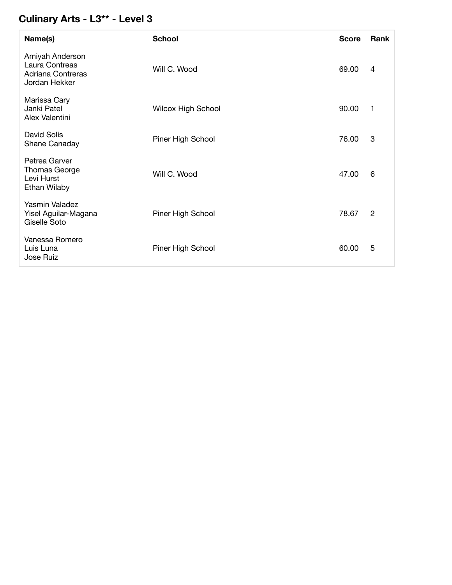### **Culinary Arts - L3\*\* - Level 3**

| Name(s)                                                                 | <b>School</b>             | <b>Score</b> | Rank |
|-------------------------------------------------------------------------|---------------------------|--------------|------|
| Amiyah Anderson<br>Laura Contreas<br>Adriana Contreras<br>Jordan Hekker | Will C. Wood              | 69.00        | 4    |
| Marissa Cary<br>Janki Patel<br>Alex Valentini                           | <b>Wilcox High School</b> | 90.00        | 1    |
| David Solis<br>Shane Canaday                                            | Piner High School         | 76.00        | 3    |
| Petrea Garver<br><b>Thomas George</b><br>Levi Hurst<br>Ethan Wilaby     | Will C. Wood              | 47.00        | 6    |
| Yasmin Valadez<br>Yisel Aguilar-Magana<br>Giselle Soto                  | Piner High School         | 78.67        | 2    |
| Vanessa Romero<br>Luis Luna<br>Jose Ruiz                                | Piner High School         | 60.00        | 5    |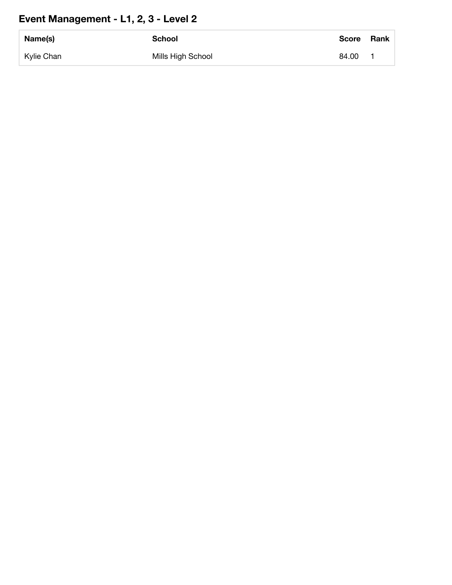## **Event Management - L1, 2, 3 - Level 2**

| Name(s)    | <b>School</b>     | <b>Score</b> | Rank |
|------------|-------------------|--------------|------|
| Kylie Chan | Mills High School | 84.00        |      |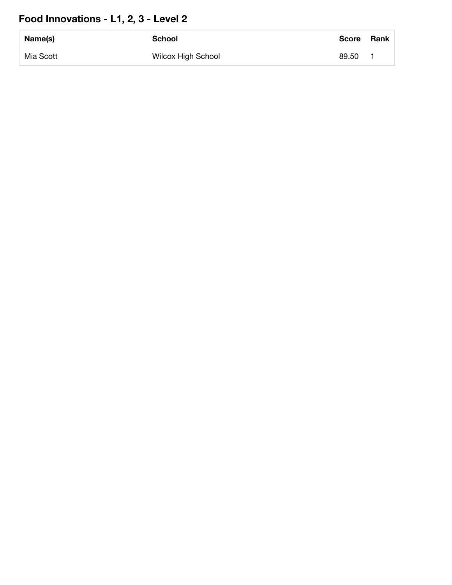## **Food Innovations - L1, 2, 3 - Level 2**

| Name(s)   | <b>School</b>             | <b>Score</b> | Rank |
|-----------|---------------------------|--------------|------|
| Mia Scott | <b>Wilcox High School</b> | 89.50        |      |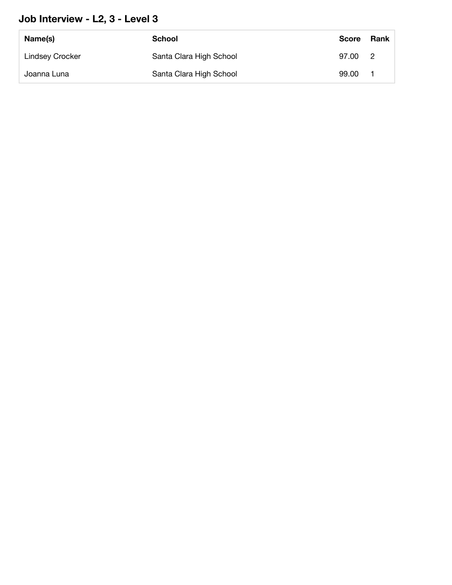### **Job Interview - L2, 3 - Level 3**

| Name(s)                | School                  | <b>Score</b> | Rank                       |
|------------------------|-------------------------|--------------|----------------------------|
| <b>Lindsey Crocker</b> | Santa Clara High School | 97.00        | $\overline{\phantom{a}}^2$ |
| Joanna Luna            | Santa Clara High School | 99.00        |                            |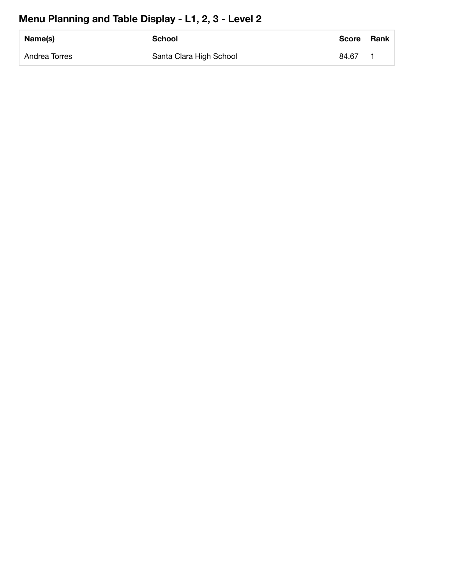### **Menu Planning and Table Display - L1, 2, 3 - Level 2**

| Name(s)       | <b>School</b>           | <b>Score</b> | <b>Rank</b> |
|---------------|-------------------------|--------------|-------------|
| Andrea Torres | Santa Clara High School | 84.67        |             |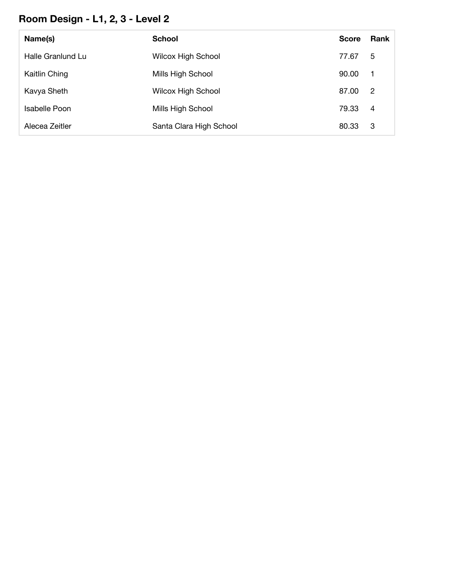## **Room Design - L1, 2, 3 - Level 2**

| Name(s)           | <b>School</b>             | <b>Score</b> | <b>Rank</b>    |
|-------------------|---------------------------|--------------|----------------|
| Halle Granlund Lu | <b>Wilcox High School</b> | 77.67        | 5              |
| Kaitlin Ching     | Mills High School         | 90.00        | $\mathbf 1$    |
| Kavya Sheth       | <b>Wilcox High School</b> | 87.00        | $\overline{2}$ |
| Isabelle Poon     | Mills High School         | 79.33        | 4              |
| Alecea Zeitler    | Santa Clara High School   | 80.33        | -3             |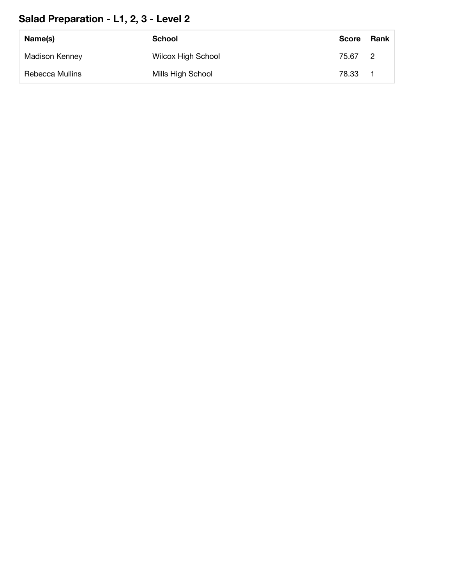## **Salad Preparation - L1, 2, 3 - Level 2**

| Name(s)               | School                    | <b>Score</b> | Rank           |
|-----------------------|---------------------------|--------------|----------------|
| <b>Madison Kenney</b> | <b>Wilcox High School</b> | 75.67        | $\overline{2}$ |
| Rebecca Mullins       | Mills High School         | 78.33        |                |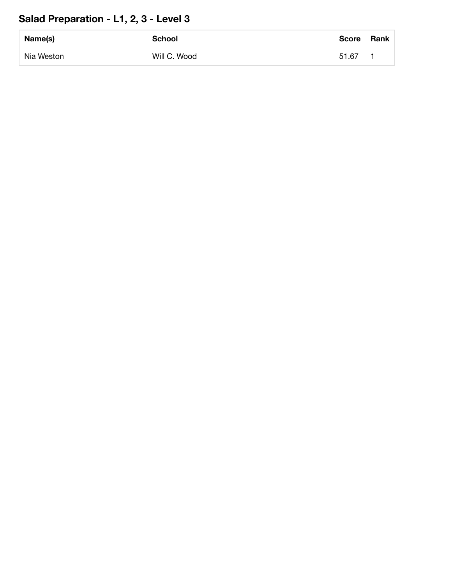## **Salad Preparation - L1, 2, 3 - Level 3**

| Name(s)    | <b>School</b> | <b>Score</b> | <b>Rank</b> |
|------------|---------------|--------------|-------------|
| Nia Weston | Will C. Wood  | 51.67        |             |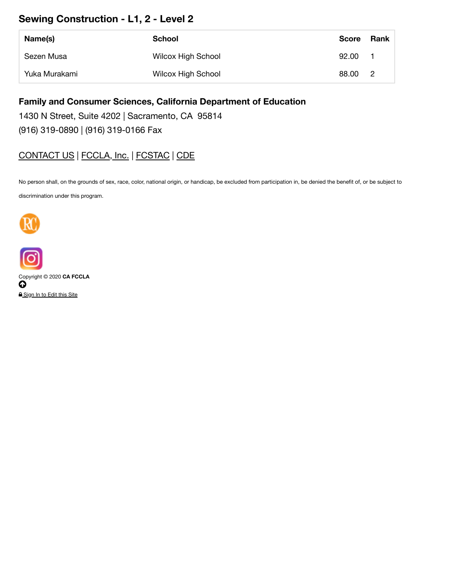### **Sewing Construction - L1, 2 - Level 2**

| Name(s)       | School                    | <b>Score</b> | Rank           |
|---------------|---------------------------|--------------|----------------|
| Sezen Musa    | <b>Wilcox High School</b> | 92.00        |                |
| Yuka Murakami | <b>Wilcox High School</b> | 88.00        | $\overline{2}$ |

#### **Family and Consumer Sciences, California Department of Education**

1430 N Street, Suite 4202 | Sacramento, CA 95814

(916) 319-0890 | (916) 319-0166 Fax

### CONTACT US | FCCLA, Inc. | FCSTAC | CDE

No person shall, on the grounds of sex, race, color, national origin, or handicap, be excluded from participation in, be denied the benefit of, or be subject to

discrimination under this program.





Copyright © 2020 **CA FCCLA**  $\boldsymbol{\Theta}$ 

A Sign In to Edit this Site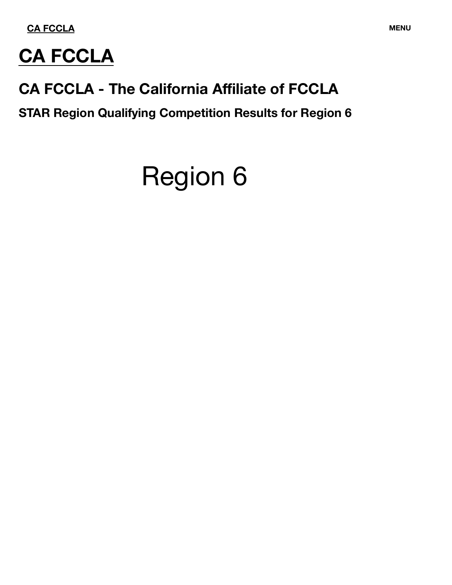

## **CA FCCLA**

## **CA FCCLA - The California Affiliate of FCCLA**

**STAR Region Qualifying Competition Results for Region 6**

# Region 6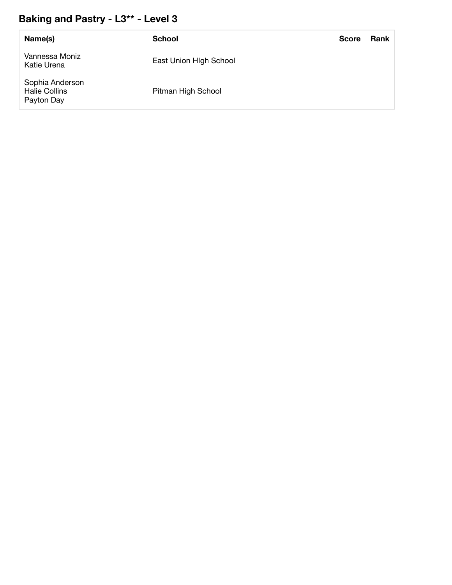### **Baking and Pastry - L3\*\* - Level 3**

| Name(s)                                               | <b>School</b>          | <b>Score</b> | <b>Rank</b> |
|-------------------------------------------------------|------------------------|--------------|-------------|
| Vannessa Moniz<br>Katie Urena                         | East Union High School |              |             |
| Sophia Anderson<br><b>Halie Collins</b><br>Payton Day | Pitman High School     |              |             |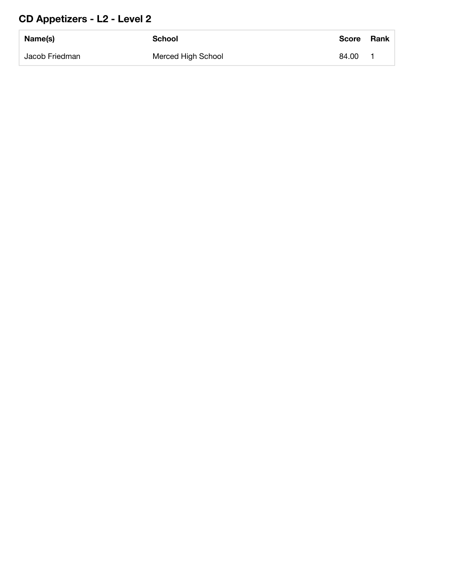## **CD Appetizers - L2 - Level 2**

| Name(s)        | <b>School</b>      | <b>Score</b> | <b>Rank</b> |
|----------------|--------------------|--------------|-------------|
| Jacob Friedman | Merced High School | 84.00        |             |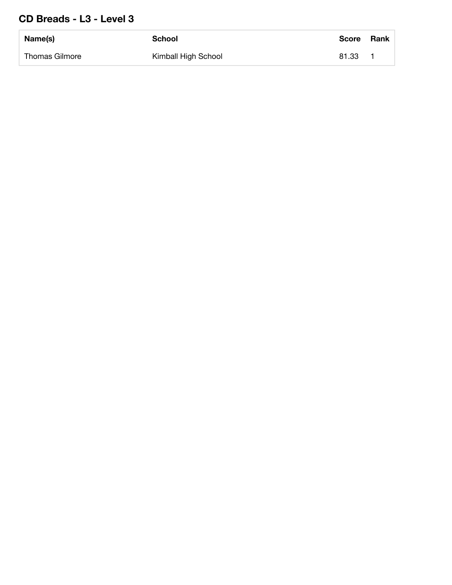### **CD Breads - L3 - Level 3**

| Name(s)        | <b>School</b>       | Score | Rank |
|----------------|---------------------|-------|------|
| Thomas Gilmore | Kimball High School | 81.33 |      |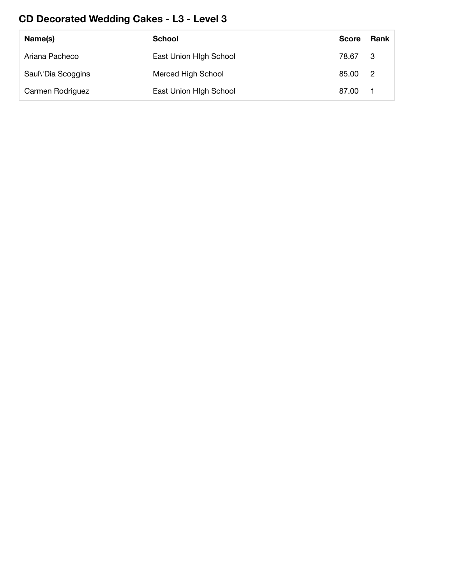## **CD Decorated Wedding Cakes - L3 - Level 3**

| Name(s)            | <b>School</b>          | <b>Score</b> | Rank           |
|--------------------|------------------------|--------------|----------------|
| Ariana Pacheco     | East Union High School | 78.67        | - 3            |
| Saul\'Dia Scoggins | Merced High School     | 85.00        | $\overline{2}$ |
| Carmen Rodriguez   | East Union High School | 87.00        |                |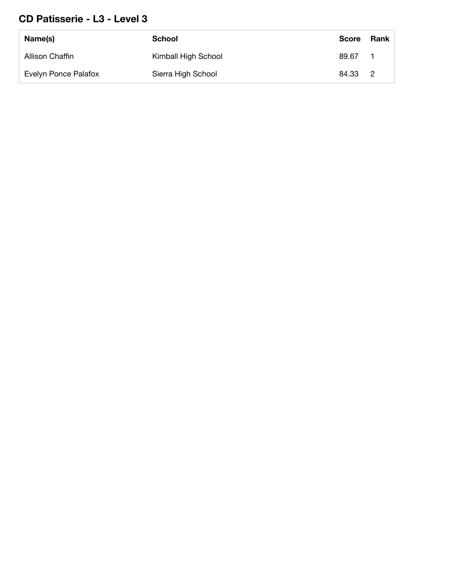### **CD Patisserie - L3 - Level 3**

| Name(s)              | School              | <b>Score</b> | Rank |
|----------------------|---------------------|--------------|------|
| Allison Chaffin      | Kimball High School | 89.67        |      |
| Evelyn Ponce Palafox | Sierra High School  | 84.33 2      |      |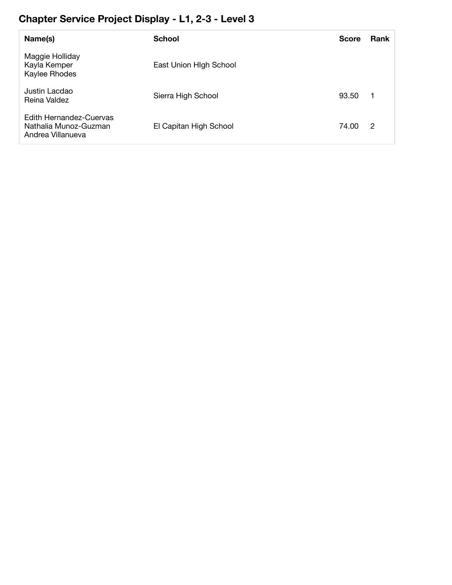## **Chapter Service Project Display - L1, 2-3 - Level 3**

| Name(s)                                                               | <b>School</b>          | <b>Score</b> | <b>Rank</b>    |
|-----------------------------------------------------------------------|------------------------|--------------|----------------|
| Maggie Holliday<br>Kayla Kemper<br>Kaylee Rhodes                      | East Union High School |              |                |
| Justin Lacdao<br>Reina Valdez                                         | Sierra High School     | 93.50        | $\overline{1}$ |
| Edith Hernandez-Cuervas<br>Nathalia Munoz-Guzman<br>Andrea Villanueva | El Capitan High School | 74.00        | 2              |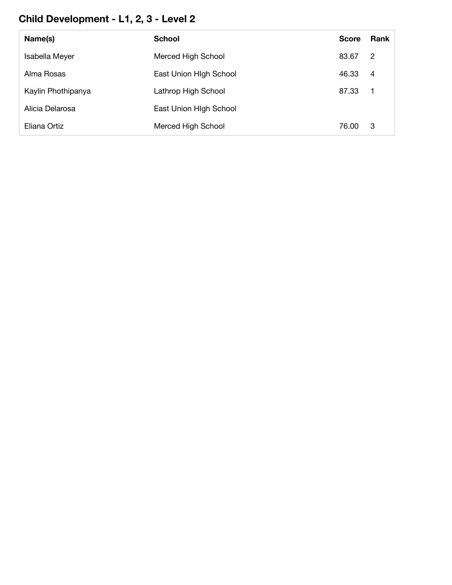## **Child Development - L1, 2, 3 - Level 2**

| Name(s)            | <b>School</b>          | <b>Score</b> | <b>Rank</b>    |
|--------------------|------------------------|--------------|----------------|
| Isabella Meyer     | Merced High School     | 83.67        | 2              |
| Alma Rosas         | East Union High School | 46.33        | $\overline{4}$ |
| Kaylin Phothipanya | Lathrop High School    | 87.33        | -1             |
| Alicia Delarosa    | East Union High School |              |                |
| Eliana Ortiz       | Merced High School     | 76.00        | -3             |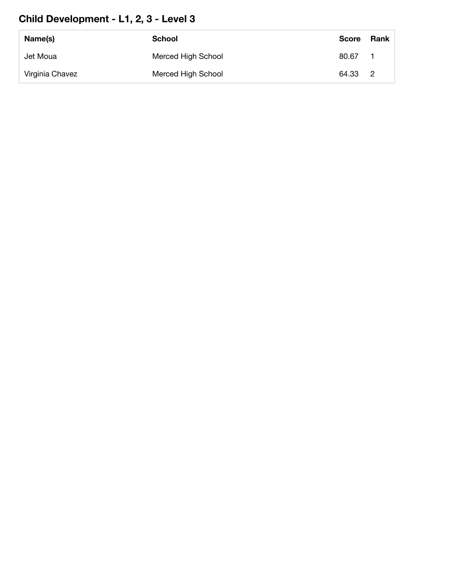## **Child Development - L1, 2, 3 - Level 3**

| Name(s)         | School             | <b>Score</b> | Rank |
|-----------------|--------------------|--------------|------|
| Jet Moua        | Merced High School | 80.67        |      |
| Virginia Chavez | Merced High School | 64.33 2      |      |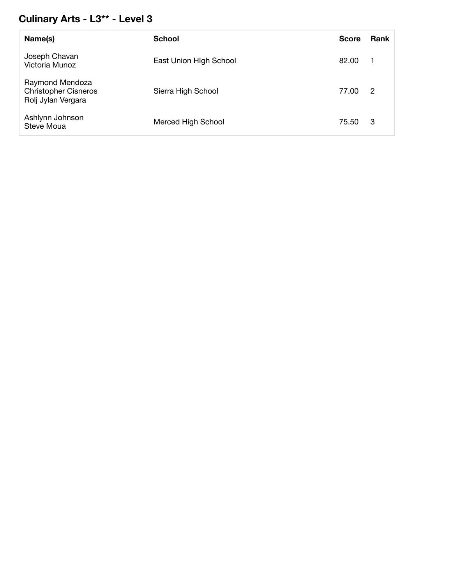### **Culinary Arts - L3\*\* - Level 3**

| Name(s)                                                              | <b>School</b>          | <b>Score</b> | <b>Rank</b> |
|----------------------------------------------------------------------|------------------------|--------------|-------------|
| Joseph Chavan<br>Victoria Munoz                                      | East Union High School | 82.00        |             |
| Raymond Mendoza<br><b>Christopher Cisneros</b><br>Rolj Jylan Vergara | Sierra High School     | 77.00        | 2           |
| Ashlynn Johnson<br>Steve Moua                                        | Merced High School     | 75.50        | -3          |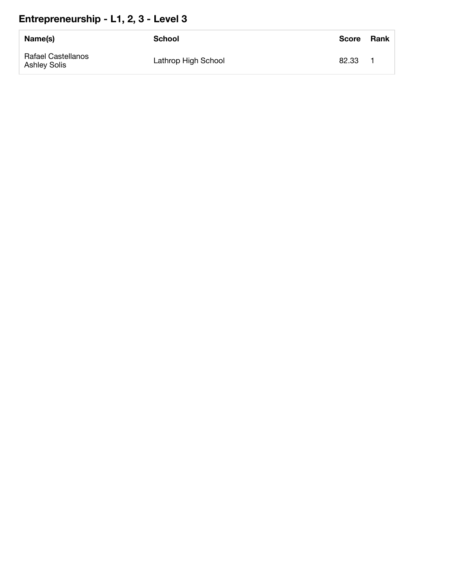## **Entrepreneurship - L1, 2, 3 - Level 3**

| Name(s)                                   | School              | <b>Score</b> | <b>Rank</b> |
|-------------------------------------------|---------------------|--------------|-------------|
| <b>Rafael Castellanos</b><br>Ashley Solis | Lathrop High School | 82.33        |             |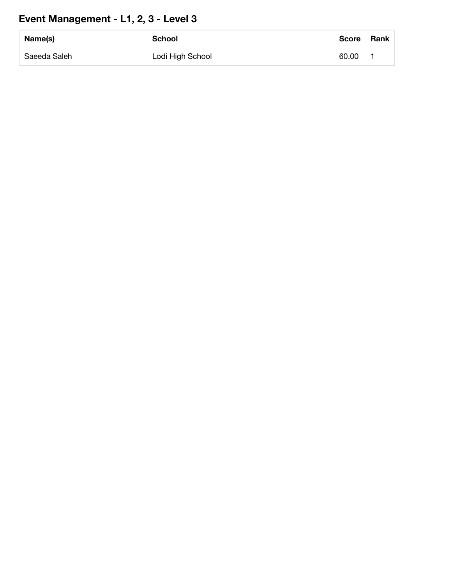## **Event Management - L1, 2, 3 - Level 3**

| Name(s)      | School           | Score | <b>Rank</b> |
|--------------|------------------|-------|-------------|
| Saeeda Saleh | Lodi High School | 60.00 |             |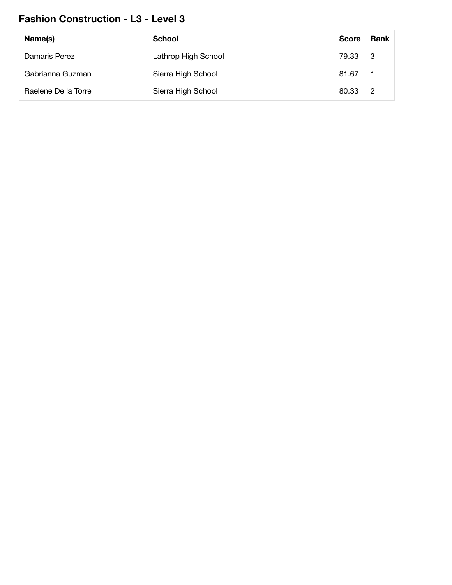### **Fashion Construction - L3 - Level 3**

| Name(s)             | <b>School</b>       | <b>Score</b> | Rank |
|---------------------|---------------------|--------------|------|
| Damaris Perez       | Lathrop High School | 79.33 3      |      |
| Gabrianna Guzman    | Sierra High School  | 81.67        |      |
| Raelene De la Torre | Sierra High School  | 80.33 2      |      |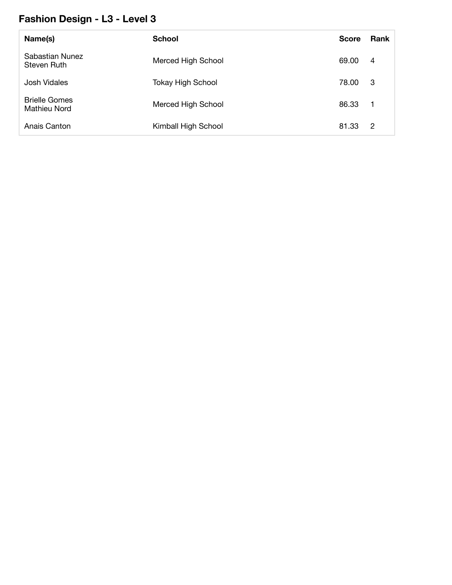### **Fashion Design - L3 - Level 3**

| Name(s)                              | <b>School</b>            | <b>Score</b> | Rank                    |
|--------------------------------------|--------------------------|--------------|-------------------------|
| Sabastian Nunez<br>Steven Ruth       | Merced High School       | 69.00        | 4                       |
| Josh Vidales                         | <b>Tokay High School</b> | 78.00        | -3                      |
| <b>Brielle Gomes</b><br>Mathieu Nord | Merced High School       | 86.33        | $\overline{\mathbf{1}}$ |
| Anais Canton                         | Kimball High School      | 81.33        | -2                      |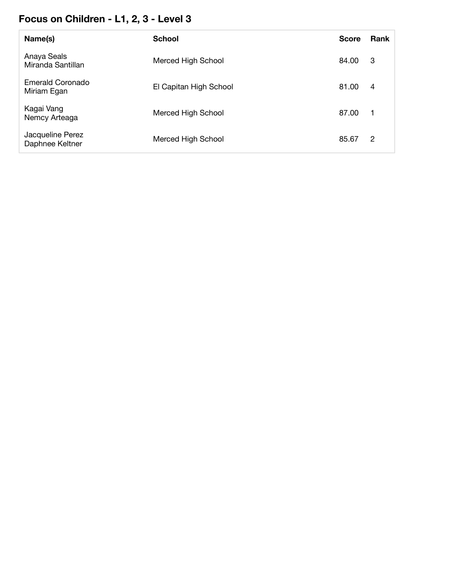## **Focus on Children - L1, 2, 3 - Level 3**

| Name(s)                             | <b>School</b>          | <b>Score</b> | Rank           |
|-------------------------------------|------------------------|--------------|----------------|
| Anaya Seals<br>Miranda Santillan    | Merced High School     | 84.00        | -3             |
| Emerald Coronado<br>Miriam Egan     | El Capitan High School | 81.00        | $\overline{4}$ |
| Kagai Vang<br>Nemcy Arteaga         | Merced High School     | 87.00        | -1             |
| Jacqueline Perez<br>Daphnee Keltner | Merced High School     | 85.67        | 2              |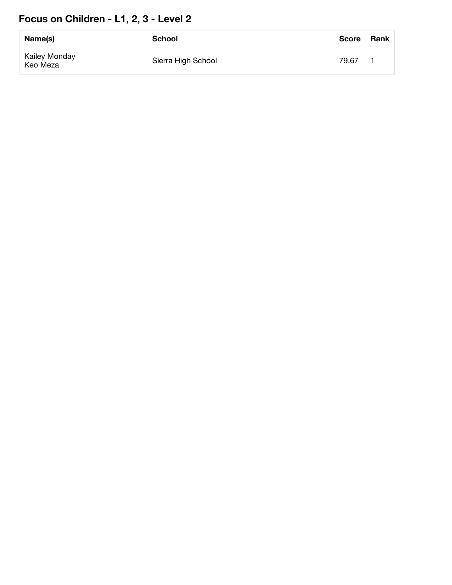## **Focus on Children - L1, 2, 3 - Level 2**

| Name(s)                   | <b>School</b>      | <b>Score</b> | Rank |
|---------------------------|--------------------|--------------|------|
| Kailey Monday<br>Keo Meza | Sierra High School | 79.67        |      |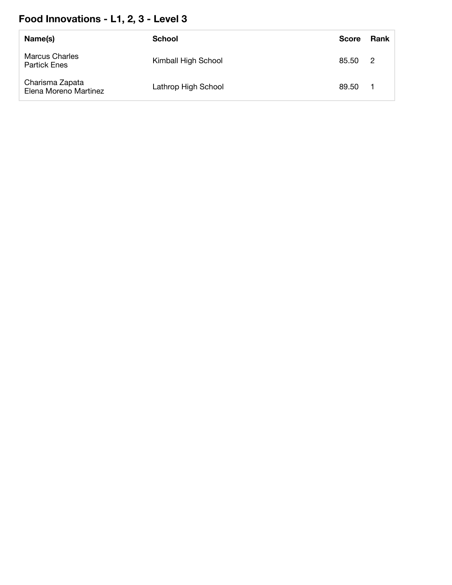## **Food Innovations - L1, 2, 3 - Level 3**

| Name(s)                                      | School              | <b>Score</b> | <b>Rank</b> |
|----------------------------------------------|---------------------|--------------|-------------|
| <b>Marcus Charles</b><br><b>Partick Enes</b> | Kimball High School | 85.50 2      |             |
| Charisma Zapata<br>Elena Moreno Martinez     | Lathrop High School | 89.50        |             |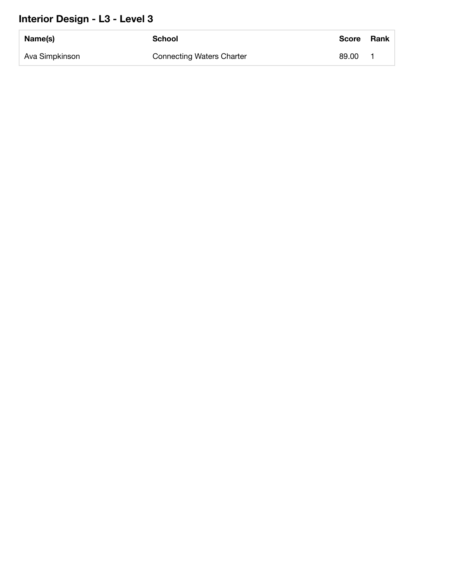### **Interior Design - L3 - Level 3**

| Name(s)        | School                           | <b>Score</b> | <b>Rank</b> |
|----------------|----------------------------------|--------------|-------------|
| Ava Simpkinson | <b>Connecting Waters Charter</b> | 89.00        |             |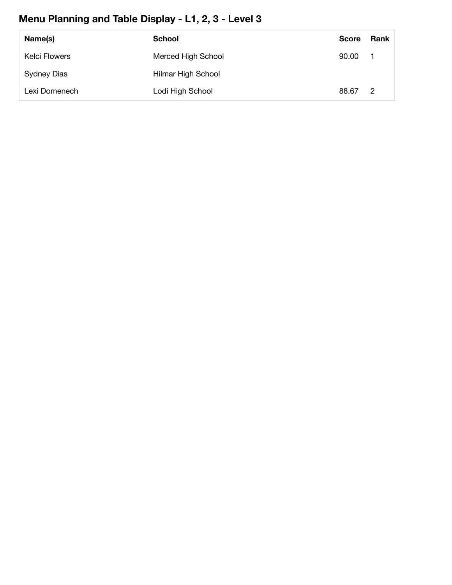## **Menu Planning and Table Display - L1, 2, 3 - Level 3**

| Name(s)              | School             | <b>Score</b> | Rank           |
|----------------------|--------------------|--------------|----------------|
| <b>Kelci Flowers</b> | Merced High School | 90.00        |                |
| Sydney Dias          | Hilmar High School |              |                |
| Lexi Domenech        | Lodi High School   | 88.67        | $\overline{2}$ |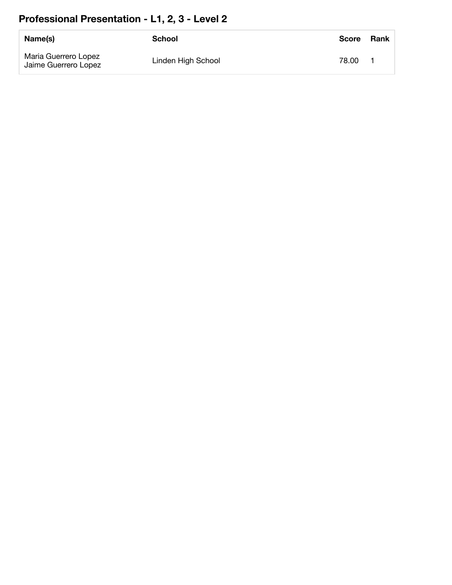## **Professional Presentation - L1, 2, 3 - Level 2**

| Name(s)                                      | School             | <b>Score</b> | <b>Rank</b> |
|----------------------------------------------|--------------------|--------------|-------------|
| Maria Guerrero Lopez<br>Jaime Guerrero Lopez | Linden High School | 78.00        |             |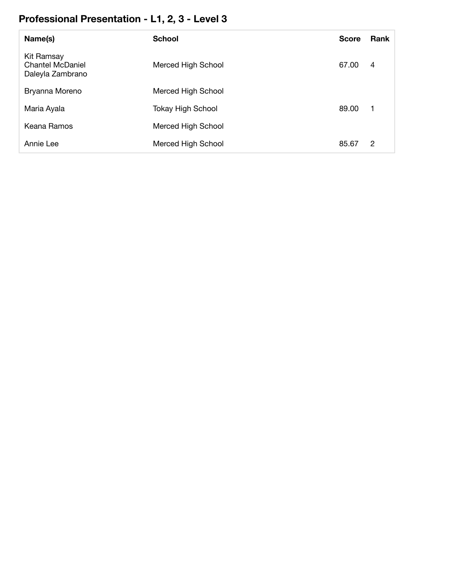# **Professional Presentation - L1, 2, 3 - Level 3**

| Name(s)                                                   | <b>School</b>            | <b>Score</b> | <b>Rank</b> |
|-----------------------------------------------------------|--------------------------|--------------|-------------|
| Kit Ramsay<br><b>Chantel McDaniel</b><br>Daleyla Zambrano | Merced High School       | 67.00        | 4           |
| Bryanna Moreno                                            | Merced High School       |              |             |
| Maria Ayala                                               | <b>Tokay High School</b> | 89.00        | -1          |
| Keana Ramos                                               | Merced High School       |              |             |
| Annie Lee                                                 | Merced High School       | 85.67        | 2           |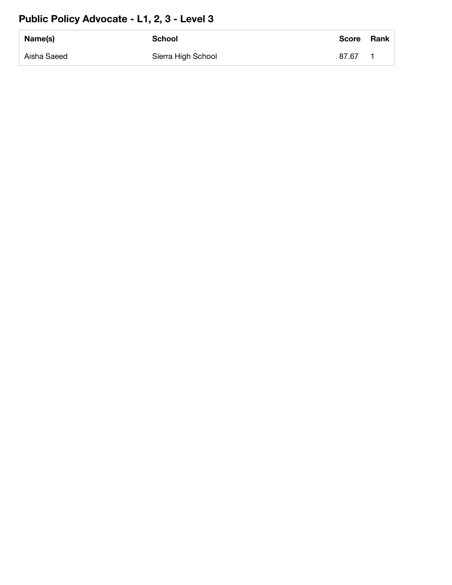#### **Public Policy Advocate - L1, 2, 3 - Level 3**

| Name(s)     | <b>School</b>      | <b>Score</b> | <b>Rank</b> |
|-------------|--------------------|--------------|-------------|
| Aisha Saeed | Sierra High School | 87.67        |             |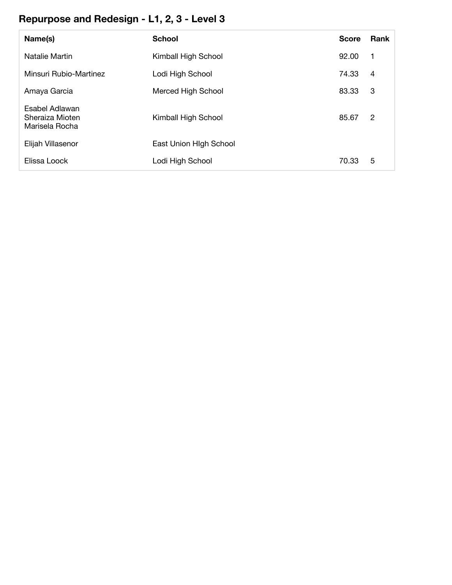### **Repurpose and Redesign - L1, 2, 3 - Level 3**

| Name(s)                                             | <b>School</b>          | <b>Score</b> | Rank           |
|-----------------------------------------------------|------------------------|--------------|----------------|
| Natalie Martin                                      | Kimball High School    | 92.00        | $\mathbf 1$    |
| Minsuri Rubio-Martinez                              | Lodi High School       | 74.33        | $\overline{4}$ |
| Amaya Garcia                                        | Merced High School     | 83.33        | 3              |
| Esabel Adlawan<br>Sheraiza Mioten<br>Marisela Rocha | Kimball High School    | 85.67        | 2              |
| Elijah Villasenor                                   | East Union High School |              |                |
| Elissa Loock                                        | Lodi High School       | 70.33        | 5              |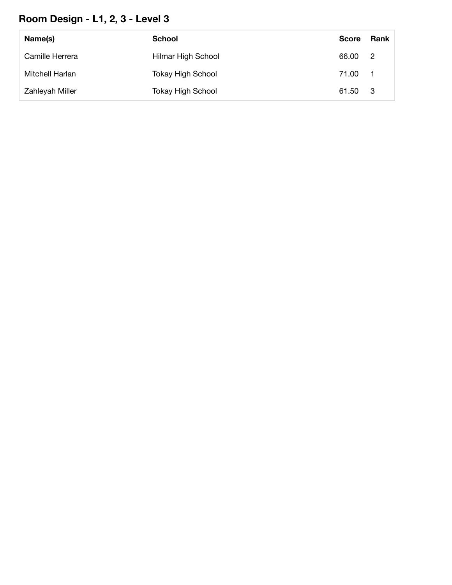# **Room Design - L1, 2, 3 - Level 3**

| Name(s)         | <b>School</b>            | <b>Score</b> | Rank           |
|-----------------|--------------------------|--------------|----------------|
| Camille Herrera | Hilmar High School       | 66.00        | $\overline{2}$ |
| Mitchell Harlan | <b>Tokay High School</b> | 71.00        | - 1            |
| Zahleyah Miller | Tokay High School        | 61.50        | - 3            |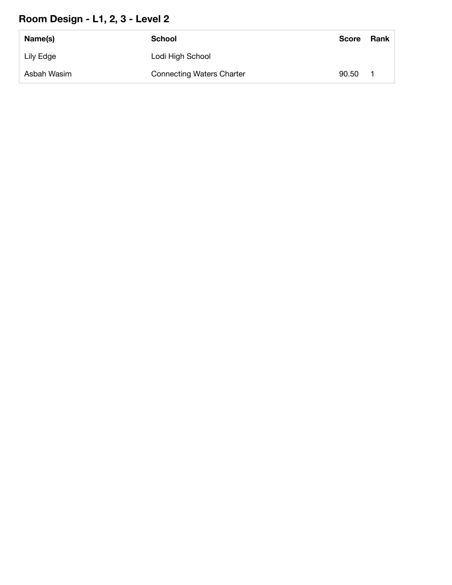### **Room Design - L1, 2, 3 - Level 2**

| Name(s)     | School                           | <b>Score</b> | <b>Rank</b> |
|-------------|----------------------------------|--------------|-------------|
| Lily Edge   | Lodi High School                 |              |             |
| Asbah Wasim | <b>Connecting Waters Charter</b> | 90.50        |             |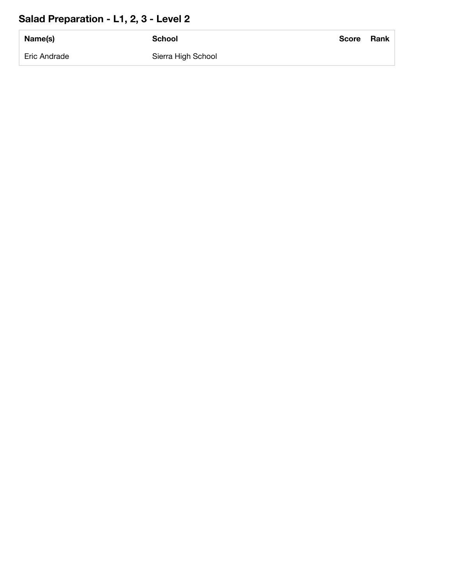## **Salad Preparation - L1, 2, 3 - Level 2**

| Name(s)      | <b>School</b>      | <b>Score</b> | Rank |
|--------------|--------------------|--------------|------|
| Eric Andrade | Sierra High School |              |      |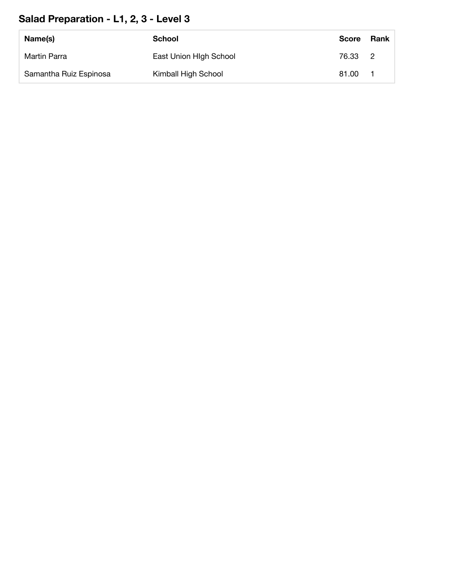### **Salad Preparation - L1, 2, 3 - Level 3**

| Name(s)                | School                 | <b>Score</b> | Rank |
|------------------------|------------------------|--------------|------|
| Martin Parra           | East Union High School | 76.33 2      |      |
| Samantha Ruiz Espinosa | Kimball High School    | 81.00        |      |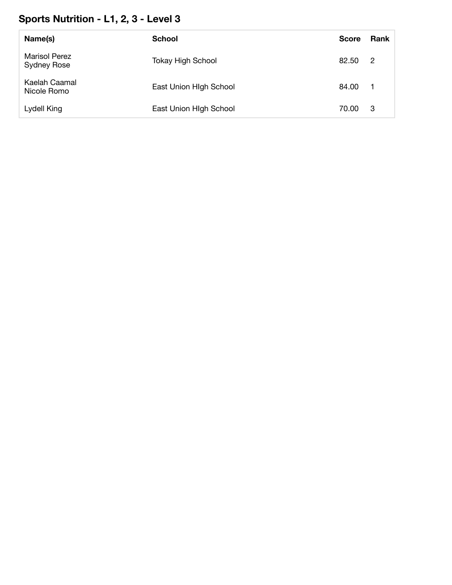### **Sports Nutrition - L1, 2, 3 - Level 3**

| Name(s)                                    | <b>School</b>            | <b>Score</b> | <b>Rank</b>    |
|--------------------------------------------|--------------------------|--------------|----------------|
| <b>Marisol Perez</b><br><b>Sydney Rose</b> | <b>Tokay High School</b> | 82.50        | -2             |
| Kaelah Caamal<br>Nicole Romo               | East Union High School   | 84.00        | $\blacksquare$ |
| Lydell King                                | East Union High School   | 70.00        | -3             |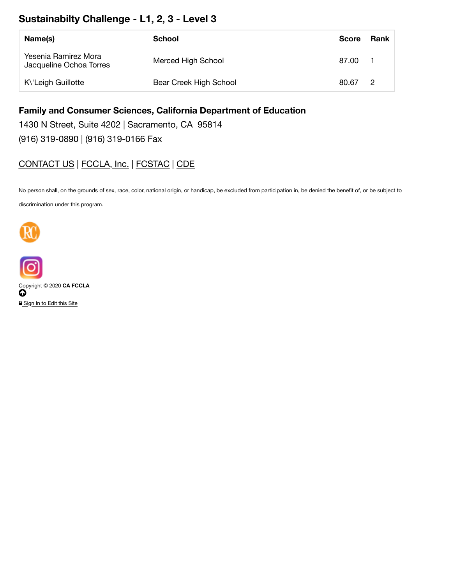#### **Sustainabilty Challenge - L1, 2, 3 - Level 3**

| Name(s)                                         | School                 | <b>Score</b> | Rank           |
|-------------------------------------------------|------------------------|--------------|----------------|
| Yesenia Ramirez Mora<br>Jacqueline Ochoa Torres | Merced High School     | 87.00        |                |
| K\'Leigh Guillotte                              | Bear Creek High School | 80.67        | $\overline{2}$ |

#### **Family and Consumer Sciences, California Department of Education**

1430 N Street, Suite 4202 | Sacramento, CA 95814 (916) 319-0890 | (916) 319-0166 Fax

#### CONTACT US | FCCLA, Inc. | FCSTAC | CDE

No person shall, on the grounds of sex, race, color, national origin, or handicap, be excluded from participation in, be denied the benefit of, or be subject to

discrimination under this program.





Copyright © 2020 **CA FCCLA**  $\boldsymbol{\omega}$ **A** Sign In to Edit this Site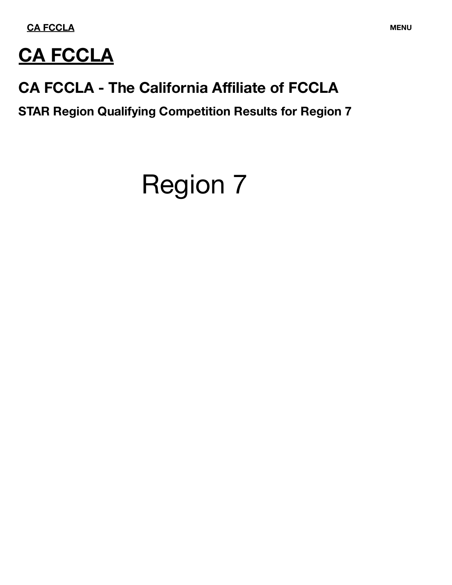**[CA FCCLA](https://www.ca-fccla.org/) MENU** 



# **[CA FCCLA](https://www.ca-fccla.org/)**

# **CA FCCLA - The California Affiliate of FCCLA**

**STAR Region Qualifying Competition Results for Region 7**

# Region 7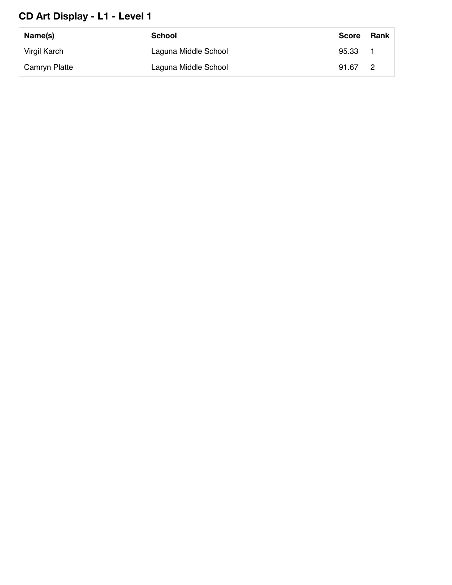#### **CD Art Display - L1 - Level 1**

| Name(s)       | School               | <b>Score</b> | Rank |
|---------------|----------------------|--------------|------|
| Virgil Karch  | Laguna Middle School | 95.33        |      |
| Camryn Platte | Laguna Middle School | 91.67        | - 2  |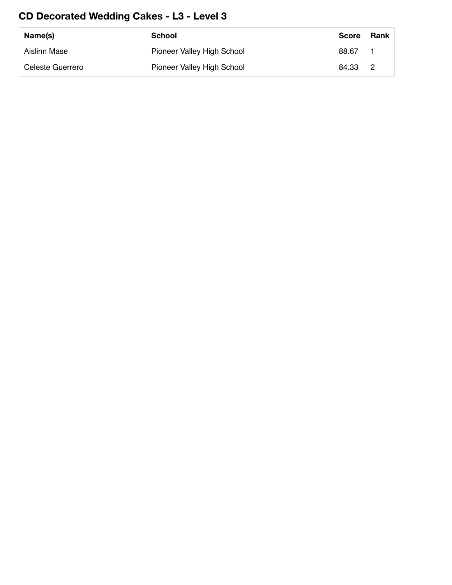#### **CD Decorated Wedding Cakes - L3 - Level 3**

| Name(s)          | School                     | <b>Score</b> | Rank |
|------------------|----------------------------|--------------|------|
| Aislinn Mase     | Pioneer Valley High School | 88.67        |      |
| Celeste Guerrero | Pioneer Valley High School | 84.33 2      |      |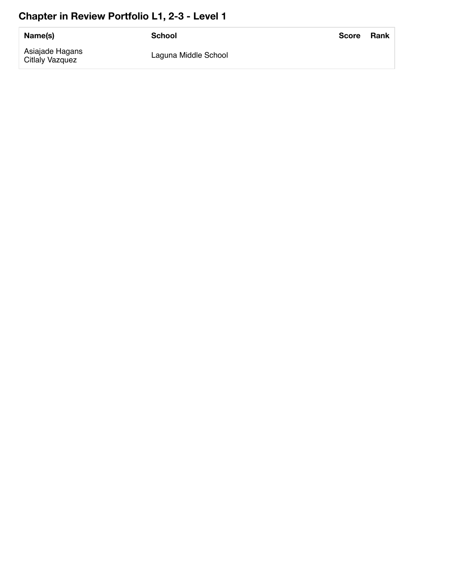#### Chapter in Review Portfolio L1, 2-3 - Level 1

| Name(s)                            | School               | Score | Rank |
|------------------------------------|----------------------|-------|------|
| Asiajade Hagans<br>Citlaly Vazquez | Laguna Middle School |       |      |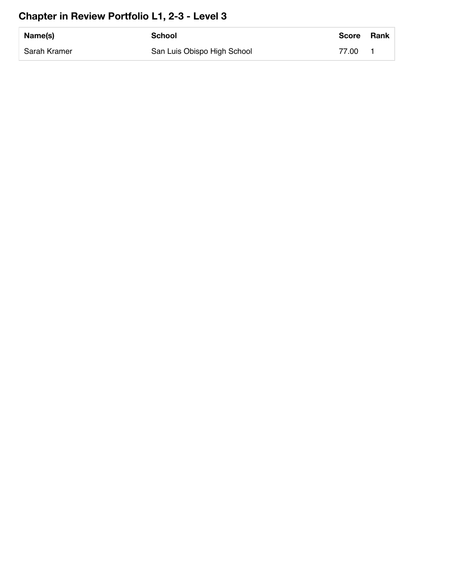### **Chapter in Review Portfolio L1, 2-3 - Level 3**

| Name(s)      | <b>School</b>               | <b>Score</b> | <b>Rank</b> |
|--------------|-----------------------------|--------------|-------------|
| Sarah Kramer | San Luis Obispo High School | 77.00        |             |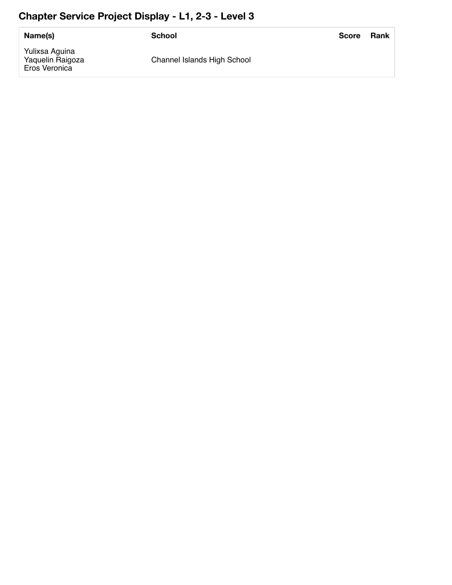### **Chapter Service Project Display - L1, 2-3 - Level 3**

| Name(s)                                             | School                      | <b>Score</b> | Rank |
|-----------------------------------------------------|-----------------------------|--------------|------|
| Yulixsa Aguina<br>Yaquelin Raigoza<br>Eros Veronica | Channel Islands High School |              |      |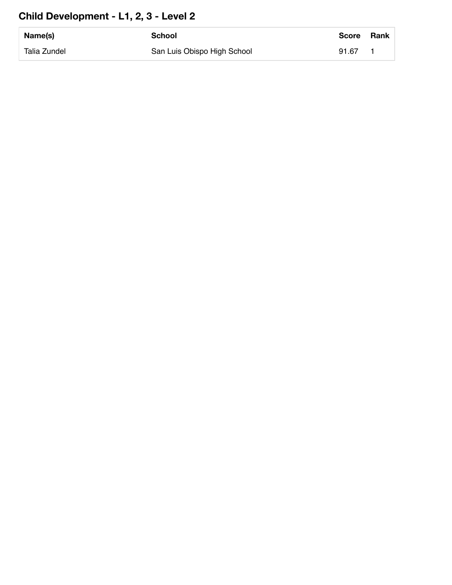### **Child Development - L1, 2, 3 - Level 2**

| Name(s)      | School                      | <b>Score</b> | <b>Rank</b> |
|--------------|-----------------------------|--------------|-------------|
| Talia Zundel | San Luis Obispo High School | 91.67        |             |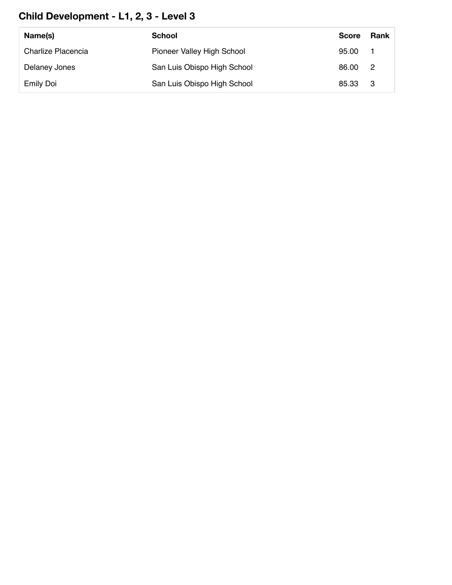### **Child Development - L1, 2, 3 - Level 3**

| Name(s)            | School                      | <b>Score</b> | Rank |
|--------------------|-----------------------------|--------------|------|
| Charlize Placencia | Pioneer Valley High School  | 95.00 1      |      |
| Delaney Jones      | San Luis Obispo High School | 86.00 2      |      |
| <b>Emily Doi</b>   | San Luis Obispo High School | 85.33 3      |      |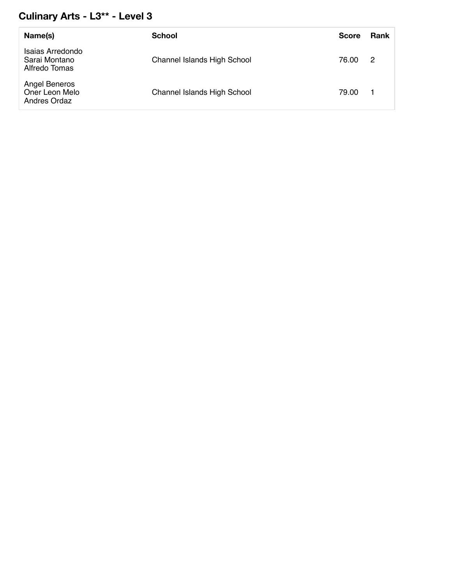#### **Culinary Arts - L3\*\* - Level 3**

| Name(s)                                            | <b>School</b>                      | <b>Score</b> | Rank |
|----------------------------------------------------|------------------------------------|--------------|------|
| Isaias Arredondo<br>Sarai Montano<br>Alfredo Tomas | <b>Channel Islands High School</b> | 76.00        | -2   |
| Angel Beneros<br>Oner Leon Melo<br>Andres Ordaz    | <b>Channel Islands High School</b> | 79.00        |      |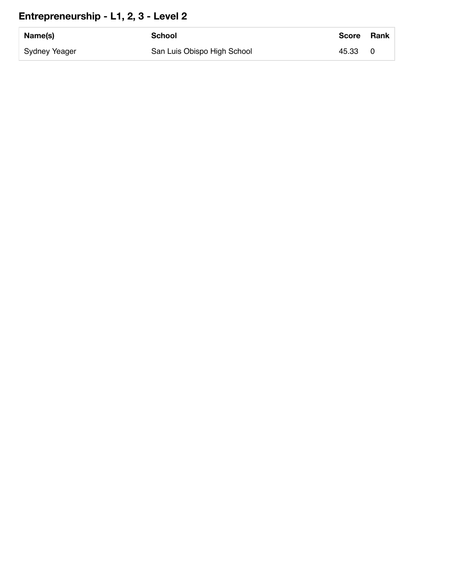#### **Entrepreneurship - L1, 2, 3 - Level 2**

| Name(s)       | School                      | <b>Score</b> | Rank |
|---------------|-----------------------------|--------------|------|
| Sydney Yeager | San Luis Obispo High School | 45.33        |      |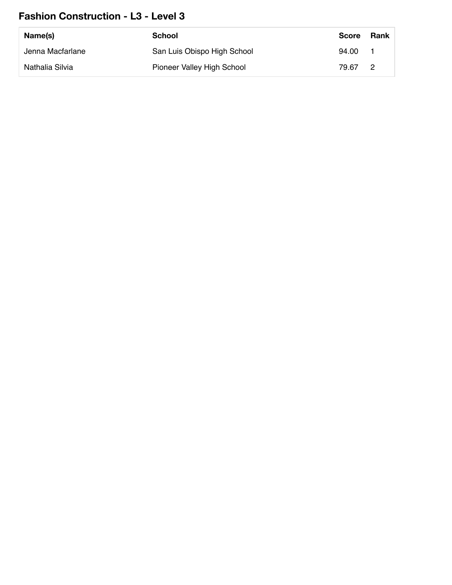#### **Fashion Construction - L3 - Level 3**

| Name(s)          | School                      | <b>Score</b> | Rank |
|------------------|-----------------------------|--------------|------|
| Jenna Macfarlane | San Luis Obispo High School | 94.00        |      |
| Nathalia Silvia  | Pioneer Valley High School  | 79.67        | - 2  |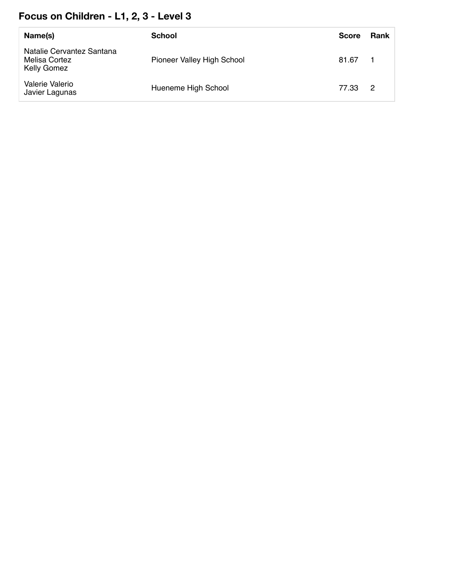#### **Focus on Children - L1, 2, 3 - Level 3**

| Name(s)                                                          | School                     | <b>Score</b> | Rank                       |
|------------------------------------------------------------------|----------------------------|--------------|----------------------------|
| Natalie Cervantez Santana<br>Melisa Cortez<br><b>Kelly Gomez</b> | Pioneer Valley High School | 81.67        |                            |
| Valerie Valerio<br>Javier Lagunas                                | Hueneme High School        | 77.33        | $\overline{\phantom{0}}^2$ |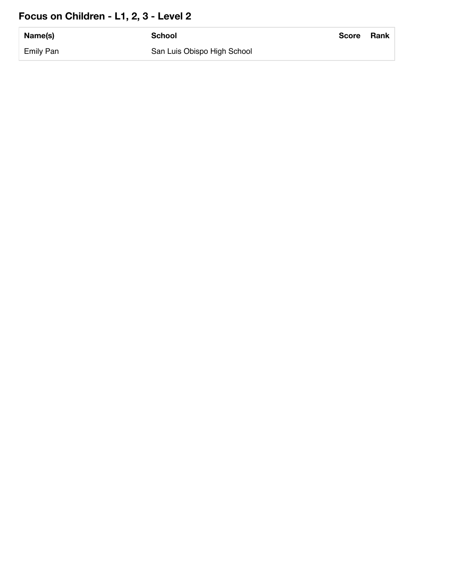#### **Focus on Children - L1, 2, 3 - Level 2**

| Name(s)          | <b>School</b>               | <b>Score</b> | Rank |
|------------------|-----------------------------|--------------|------|
| <b>Emily Pan</b> | San Luis Obispo High School |              |      |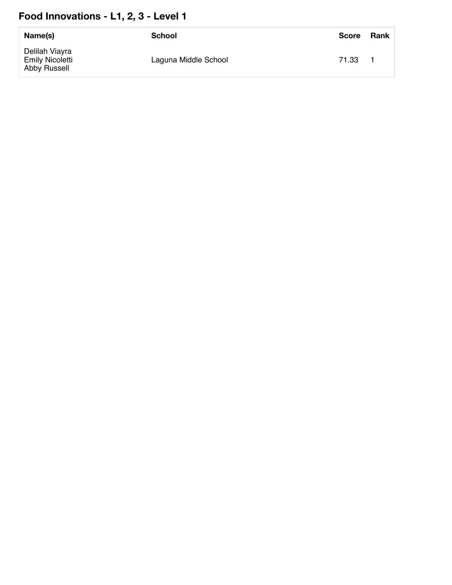#### Food Innovations - L1, 2, 3 - Level 1

| Name(s)                                                  | <b>School</b>        | <b>Score</b> | Rank |
|----------------------------------------------------------|----------------------|--------------|------|
| Delilah Viayra<br><b>Emily Nicoletti</b><br>Abby Russell | Laguna Middle School | 71.33        |      |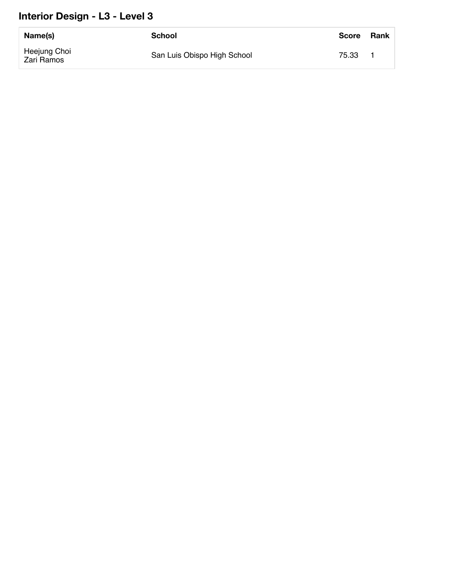#### **Interior Design - L3 - Level 3**

| Name(s)                    | School                      | <b>Score</b> | Rank |
|----------------------------|-----------------------------|--------------|------|
| Heejung Choi<br>Zari Ramos | San Luis Obispo High School | 75.33        |      |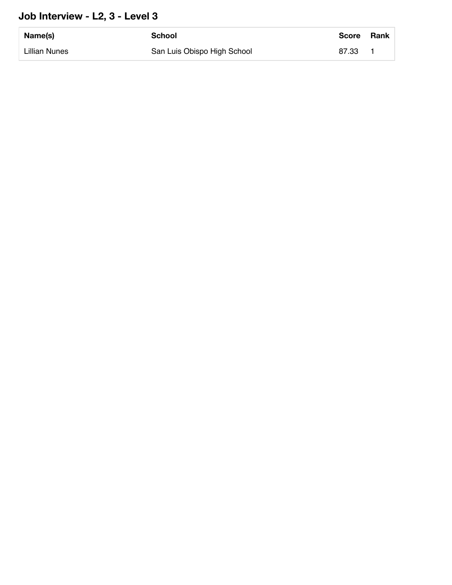#### **Job Interview - L2, 3 - Level 3**

| Name(s)       | School                      | <b>Score</b> | Rank |
|---------------|-----------------------------|--------------|------|
| Lillian Nunes | San Luis Obispo High School | 87.33        |      |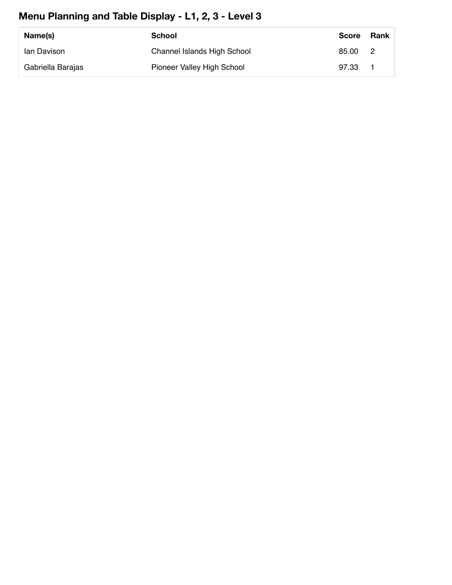### **Menu Planning and Table Display - L1, 2, 3 - Level 3**

| Name(s)           | School                             | <b>Score</b> | Rank |
|-------------------|------------------------------------|--------------|------|
| lan Davison       | <b>Channel Islands High School</b> | 85.00        | - 2  |
| Gabriella Barajas | Pioneer Valley High School         | 97.33        |      |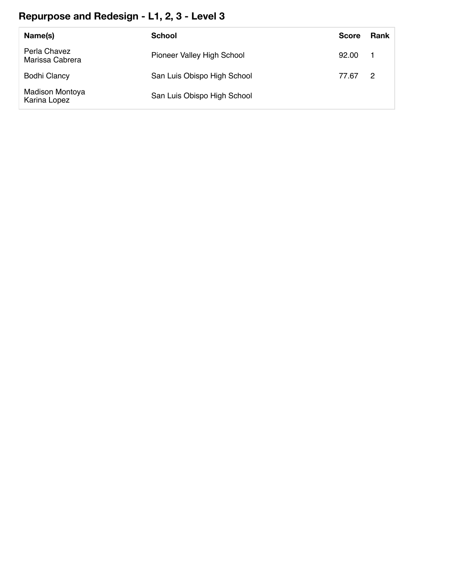### **Repurpose and Redesign - L1, 2, 3 - Level 3**

| Name(s)                         | School                      | <b>Score</b> | <b>Rank</b>    |
|---------------------------------|-----------------------------|--------------|----------------|
| Perla Chavez<br>Marissa Cabrera | Pioneer Valley High School  | 92.00        | - 1            |
| <b>Bodhi Clancy</b>             | San Luis Obispo High School | 77.67        | $\overline{2}$ |
| Madison Montoya<br>Karina Lopez | San Luis Obispo High School |              |                |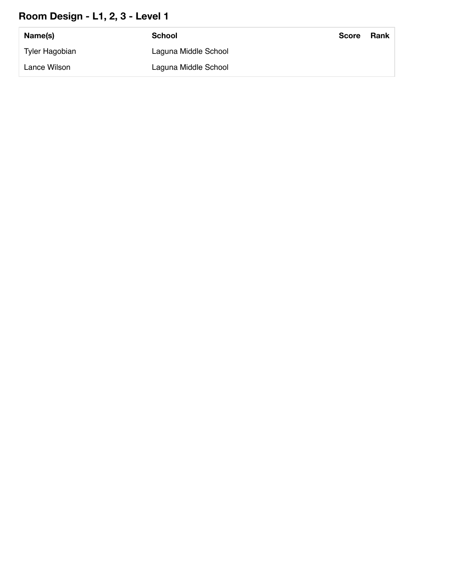#### **Room Design - L1, 2, 3 - Level 1**

| Name(s)        | School               | <b>Score</b> | Rank |
|----------------|----------------------|--------------|------|
| Tyler Hagobian | Laguna Middle School |              |      |
| Lance Wilson   | Laguna Middle School |              |      |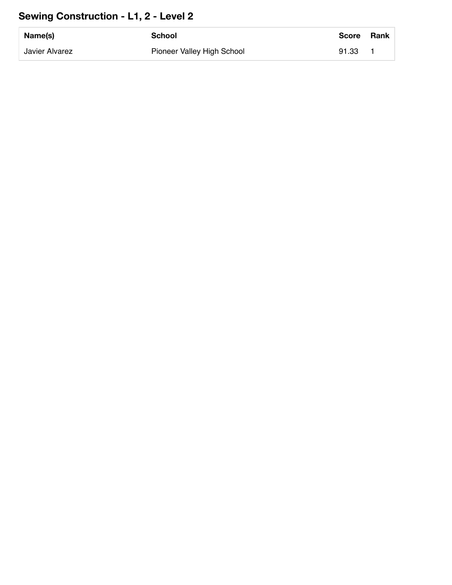#### **Sewing Construction - L1, 2 - Level 2**

| Name(s)        | School                     | <b>Score</b> | Rank |
|----------------|----------------------------|--------------|------|
| Javier Alvarez | Pioneer Valley High School | 91.33        |      |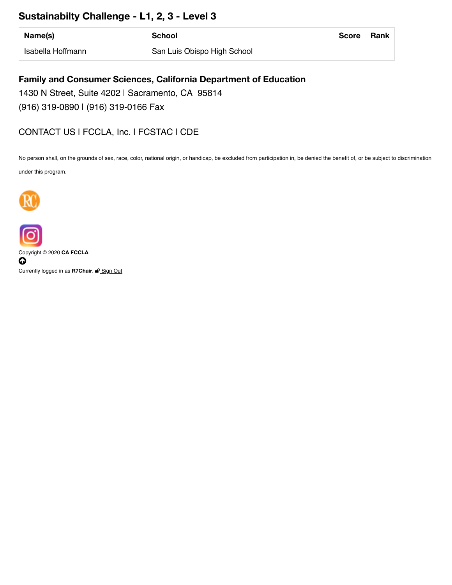#### **Sustainabilty Challenge - L1, 2, 3 - Level 3**

| Name(s)           | School                      | <b>Score</b> | Rank |
|-------------------|-----------------------------|--------------|------|
| Isabella Hoffmann | San Luis Obispo High School |              |      |

#### **Family and Consumer Sciences, California Department of Education**

1430 N Street, Suite 4202 | Sacramento, CA 95814 (916) 319-0890 | (916) 319-0166 Fax

#### [CONTACT US](https://www.ca-fccla.org/!trash/contact-us/) I [FCCLA, Inc.](http://www.fcclainc.org/) I [FCSTAC](https://www.fcstac.org/) I [CDE](http://www.cde.ca.gov/ci/ct/he/)

No person shall, on the grounds of sex, race, color, national origin, or handicap, be excluded from participation in, be denied the benefit of, or be subject to discrimination

under this program.





Copyright © 2020 **CA FCCLA**  $\boldsymbol{\mathsf{o}}$ 

Currently logged in as R7Chair. <sup>2</sup>[Sign](https://www.ca-fccla.org/index.php/login/logout/) Out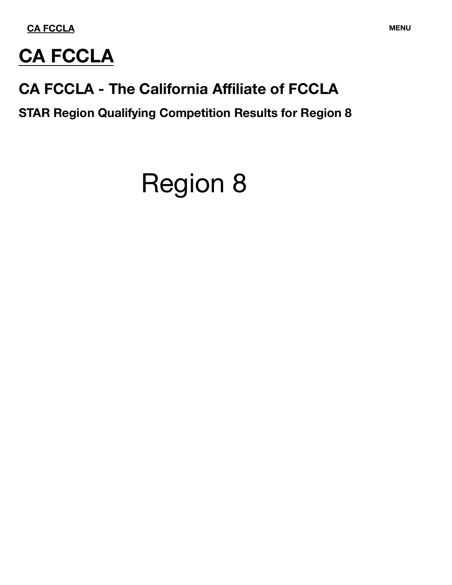**CA FCCLA MENU**



# **CA FCCLA**

# **CA FCCLA - The California Affiliate of FCCLA**

**STAR Region Qualifying Competition Results for Region 8**

# Region 8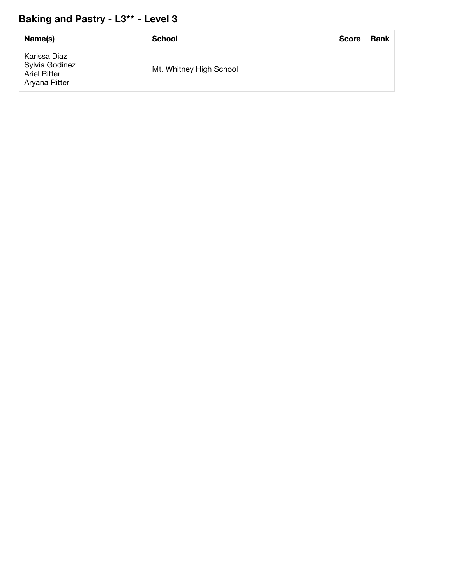#### **Baking and Pastry - L3\*\* - Level 3**

| Name(s)                                                                | School                  | <b>Score</b> | <b>Rank</b> |
|------------------------------------------------------------------------|-------------------------|--------------|-------------|
| Karissa Diaz<br>Sylvia Godinez<br><b>Ariel Ritter</b><br>Aryana Ritter | Mt. Whitney High School |              |             |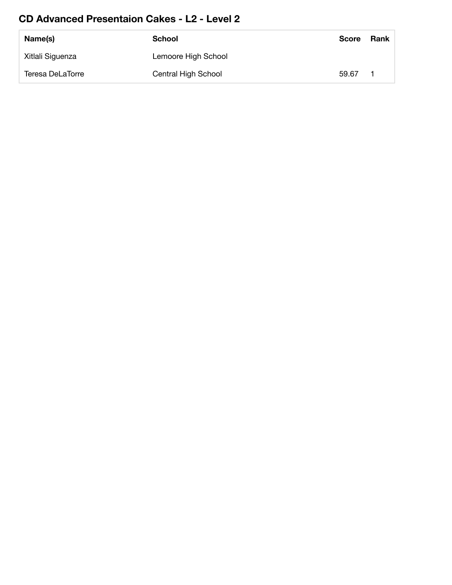#### **CD Advanced Presentaion Cakes - L2 - Level 2**

| Name(s)          | <b>School</b>       | <b>Score</b> | Rank |
|------------------|---------------------|--------------|------|
| Xitlali Siguenza | Lemoore High School |              |      |
| Teresa DeLaTorre | Central High School | 59.67        |      |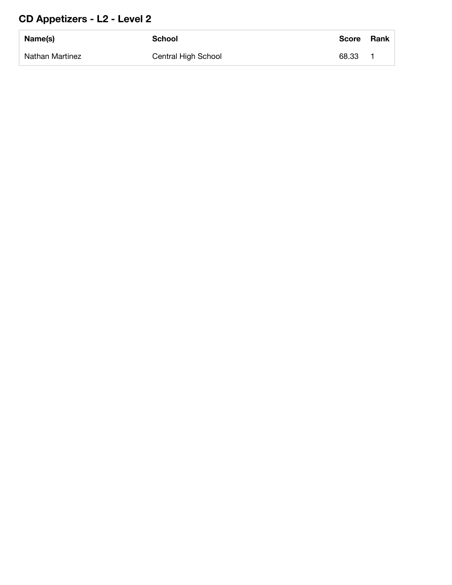## **CD Appetizers - L2 - Level 2**

| Name(s)         | <b>School</b>       | Score | <b>Rank</b> |
|-----------------|---------------------|-------|-------------|
| Nathan Martinez | Central High School | 68.33 |             |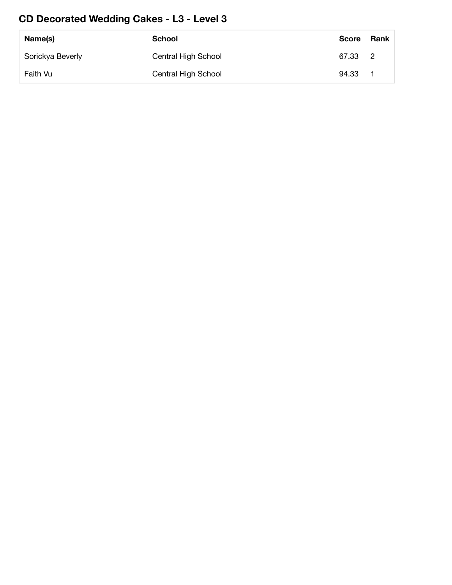#### **CD Decorated Wedding Cakes - L3 - Level 3**

| Name(s)          | School              | Score   | <b>Rank</b> |
|------------------|---------------------|---------|-------------|
| Sorickya Beverly | Central High School | 67.33 2 |             |
| Faith Vu         | Central High School | 94.33   |             |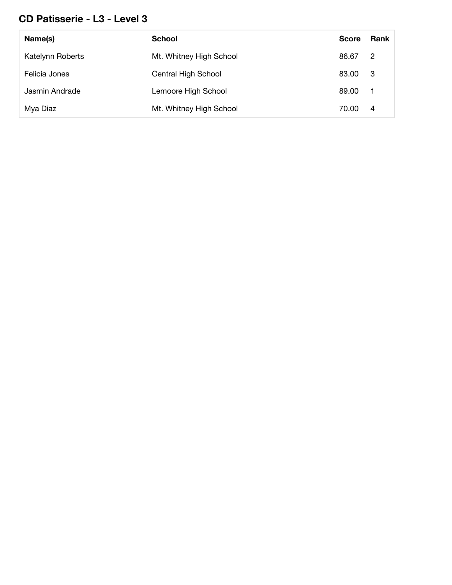#### **CD Patisserie - L3 - Level 3**

| Name(s)          | <b>School</b>           | <b>Score</b> | Rank           |
|------------------|-------------------------|--------------|----------------|
| Katelynn Roberts | Mt. Whitney High School | 86.67        | $\overline{2}$ |
| Felicia Jones    | Central High School     | 83.00        | - 3            |
| Jasmin Andrade   | Lemoore High School     | 89.00        | - 1            |
| Mya Diaz         | Mt. Whitney High School | 70.00        | 4              |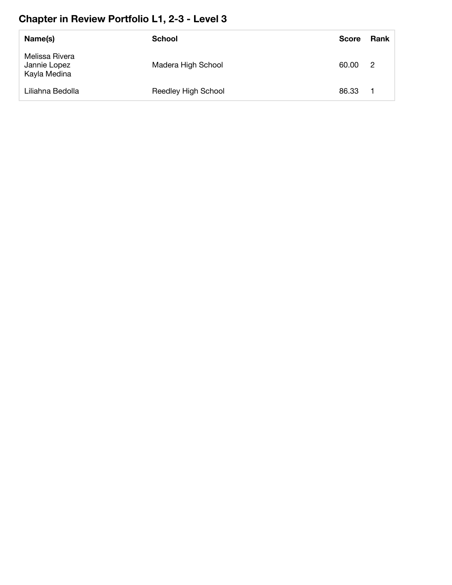#### **Chapter in Review Portfolio L1, 2-3 - Level 3**

| Name(s)                                        | <b>School</b>       | <b>Score</b> | Rank |
|------------------------------------------------|---------------------|--------------|------|
| Melissa Rivera<br>Jannie Lopez<br>Kayla Medina | Madera High School  | 60.00        | - 2  |
| Liliahna Bedolla                               | Reedley High School | 86.33        |      |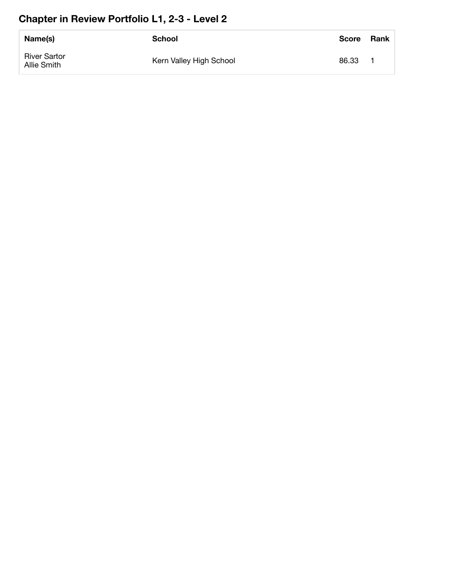#### **Chapter in Review Portfolio L1, 2-3 - Level 2**

| Name(s)                            | School                  | <b>Score</b> | <b>Rank</b> |
|------------------------------------|-------------------------|--------------|-------------|
| <b>River Sartor</b><br>Allie Smith | Kern Valley High School | 86.33        |             |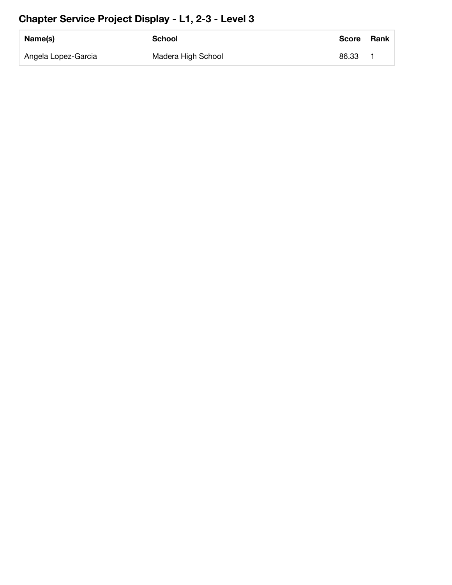#### **Chapter Service Project Display - L1, 2-3 - Level 3**

| Name(s)             | School             | <b>Score</b> | <b>Rank</b> |
|---------------------|--------------------|--------------|-------------|
| Angela Lopez-Garcia | Madera High School | 86.33        |             |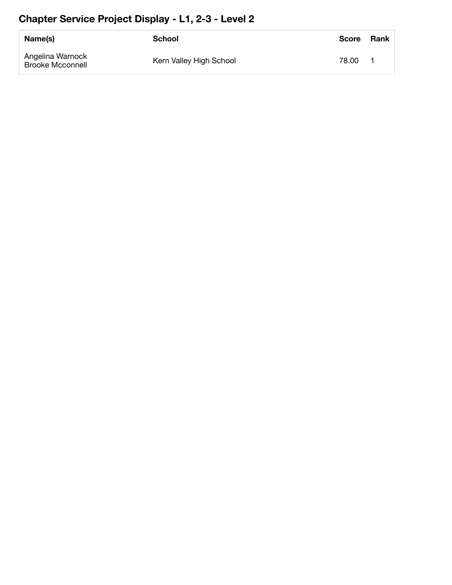#### **Chapter Service Project Display - L1, 2-3 - Level 2**

| Name(s)                                     | School                  | <b>Score</b> | <b>Rank</b> |
|---------------------------------------------|-------------------------|--------------|-------------|
| Angelina Warnock<br><b>Brooke Mcconnell</b> | Kern Valley High School | 78.00        |             |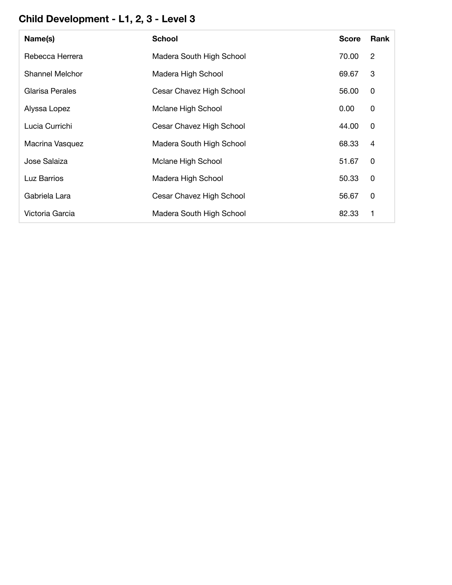#### **Child Development - L1, 2, 3 - Level 3**

| Name(s)         | <b>School</b>            | <b>Score</b> | Rank           |
|-----------------|--------------------------|--------------|----------------|
| Rebecca Herrera | Madera South High School | 70.00        | $\overline{2}$ |
| Shannel Melchor | Madera High School       | 69.67        | 3              |
| Glarisa Perales | Cesar Chavez High School | 56.00        | 0              |
| Alyssa Lopez    | Mclane High School       | 0.00         | 0              |
| Lucia Currichi  | Cesar Chavez High School | 44.00        | 0              |
| Macrina Vasquez | Madera South High School | 68.33        | 4              |
| Jose Salaiza    | Mclane High School       | 51.67        | 0              |
| Luz Barrios     | Madera High School       | 50.33        | 0              |
| Gabriela Lara   | Cesar Chavez High School | 56.67        | 0              |
| Victoria Garcia | Madera South High School | 82.33        | 1              |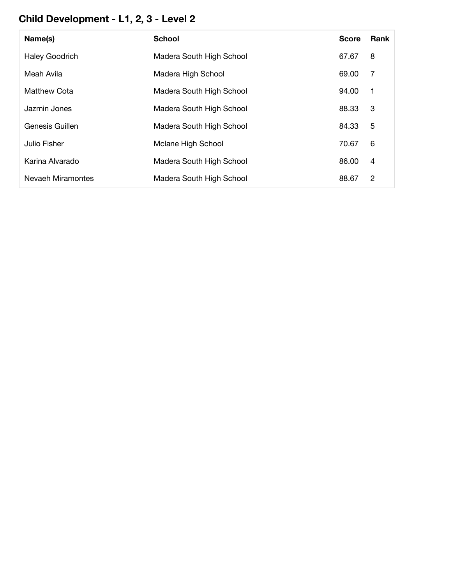#### **Child Development - L1, 2, 3 - Level 2**

| Name(s)               | <b>School</b>            | <b>Score</b> | <b>Rank</b> |
|-----------------------|--------------------------|--------------|-------------|
| <b>Haley Goodrich</b> | Madera South High School | 67.67        | 8           |
| Meah Avila            | Madera High School       | 69.00        | 7           |
| Matthew Cota          | Madera South High School | 94.00        | -1          |
| Jazmin Jones          | Madera South High School | 88.33        | 3           |
| Genesis Guillen       | Madera South High School | 84.33        | 5           |
| Julio Fisher          | Mclane High School       | 70.67        | 6           |
| Karina Alvarado       | Madera South High School | 86.00        | 4           |
| Nevaeh Miramontes     | Madera South High School | 88.67        | 2           |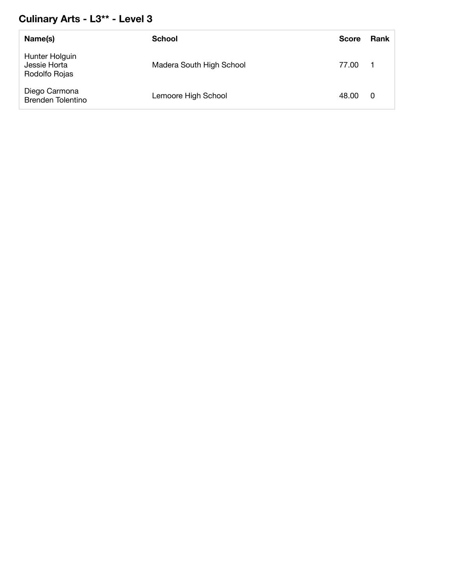#### **Culinary Arts - L3\*\* - Level 3**

| Name(s)                                         | <b>School</b>            | <b>Score</b> | <b>Rank</b> |
|-------------------------------------------------|--------------------------|--------------|-------------|
| Hunter Holguin<br>Jessie Horta<br>Rodolfo Rojas | Madera South High School | 77.00        |             |
| Diego Carmona<br><b>Brenden Tolentino</b>       | Lemoore High School      | 48.00        | 0           |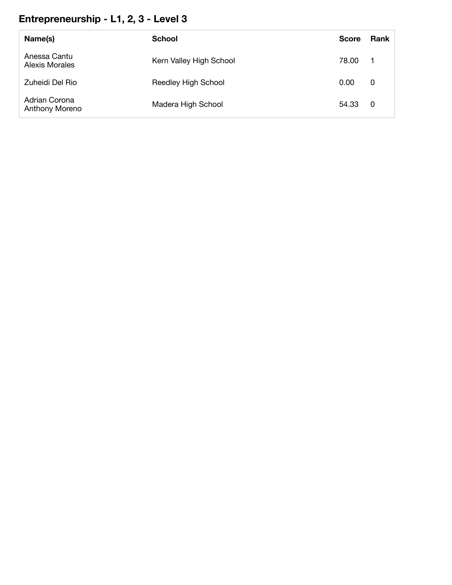#### **Entrepreneurship - L1, 2, 3 - Level 3**

| Name(s)                         | <b>School</b>           | <b>Score</b> | <b>Rank</b>      |
|---------------------------------|-------------------------|--------------|------------------|
| Anessa Cantu<br>Alexis Morales  | Kern Valley High School | 78.00        | $\blacksquare$ 1 |
| Zuheidi Del Rio                 | Reedley High School     | 0.00         | 0                |
| Adrian Corona<br>Anthony Moreno | Madera High School      | 54.33 0      |                  |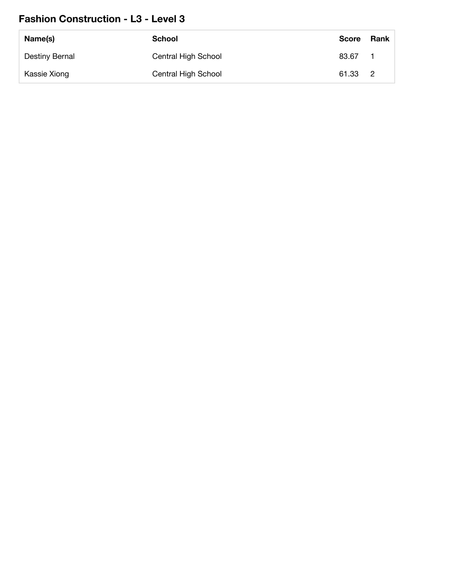#### **Fashion Construction - L3 - Level 3**

| Name(s)        | School              | <b>Score</b> | Rank |
|----------------|---------------------|--------------|------|
| Destiny Bernal | Central High School | 83.67        |      |
| Kassie Xiong   | Central High School | 61.33 2      |      |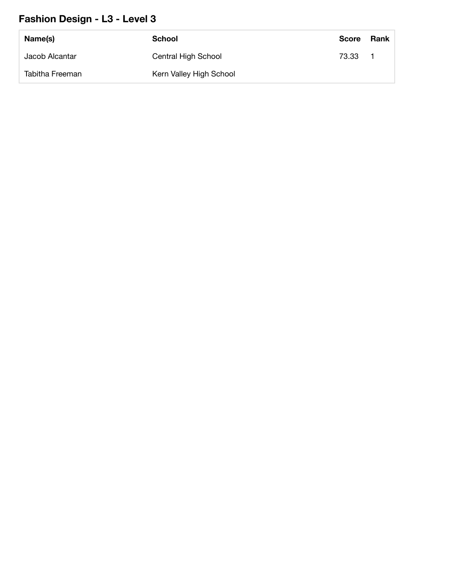#### **Fashion Design - L3 - Level 3**

| Name(s)         | School                  | <b>Score</b> | Rank |
|-----------------|-------------------------|--------------|------|
| Jacob Alcantar  | Central High School     | 73.33        |      |
| Tabitha Freeman | Kern Valley High School |              |      |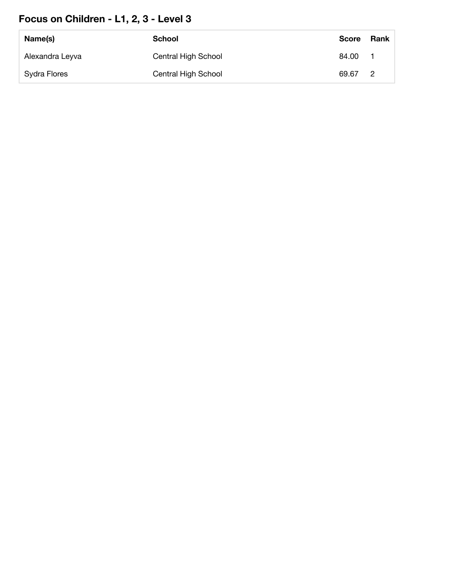#### **Focus on Children - L1, 2, 3 - Level 3**

| Name(s)         | <b>School</b>       | <b>Score</b> | Rank |
|-----------------|---------------------|--------------|------|
| Alexandra Leyva | Central High School | 84.00        |      |
| Sydra Flores    | Central High School | 69.67 2      |      |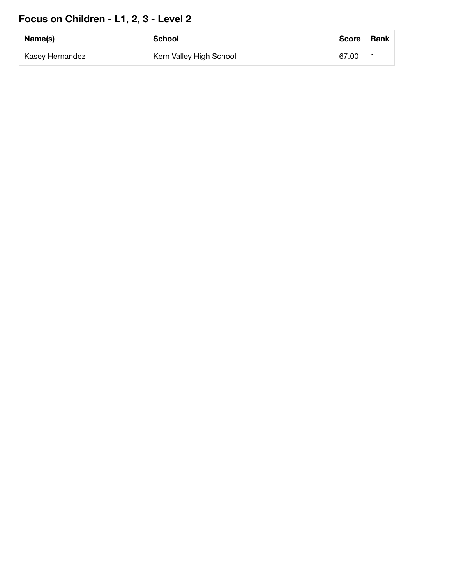#### **Focus on Children - L1, 2, 3 - Level 2**

| Name(s)         | School                  | <b>Score</b> | <b>Rank</b> |
|-----------------|-------------------------|--------------|-------------|
| Kasey Hernandez | Kern Valley High School | 67.00        |             |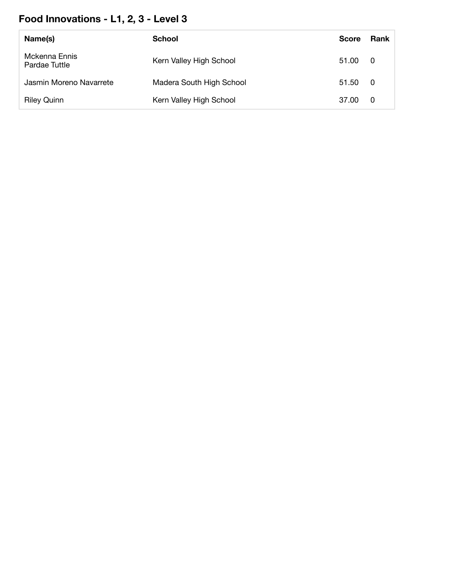# **Food Innovations - L1, 2, 3 - Level 3**

| Name(s)                        | School                   | <b>Score</b> | <b>Rank</b> |
|--------------------------------|--------------------------|--------------|-------------|
| Mckenna Ennis<br>Pardae Tuttle | Kern Valley High School  | 51.00        | - 0         |
| Jasmin Moreno Navarrete        | Madera South High School | 51.50        | - 0         |
| <b>Riley Quinn</b>             | Kern Valley High School  | 37.00        | - 0         |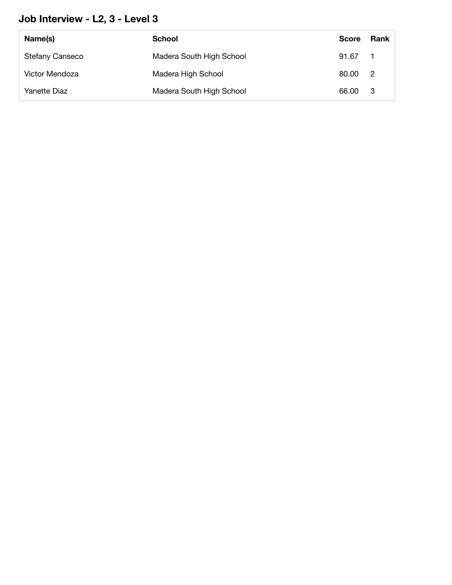#### **Job Interview - L2, 3 - Level 3**

| Name(s)                | <b>School</b>            | <b>Score</b> | <b>Rank</b>    |
|------------------------|--------------------------|--------------|----------------|
| <b>Stefany Canseco</b> | Madera South High School | 91.67        |                |
| Victor Mendoza         | Madera High School       | 80.00        | $\overline{2}$ |
| Yanette Diaz           | Madera South High School | 66.00        | - 3            |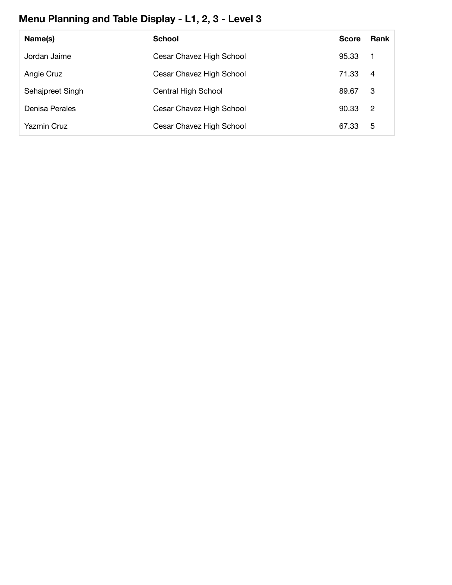## **Menu Planning and Table Display - L1, 2, 3 - Level 3**

| Name(s)            | <b>School</b>            | <b>Score</b> | <b>Rank</b>             |
|--------------------|--------------------------|--------------|-------------------------|
| Jordan Jaime       | Cesar Chavez High School | 95.33        | $\overline{\mathbf{1}}$ |
| Angie Cruz         | Cesar Chavez High School | 71.33        | $\overline{4}$          |
| Sehajpreet Singh   | Central High School      | 89.67        | -3                      |
| Denisa Perales     | Cesar Chavez High School | 90.33        | - 2                     |
| <b>Yazmin Cruz</b> | Cesar Chavez High School | 67.33        | 5                       |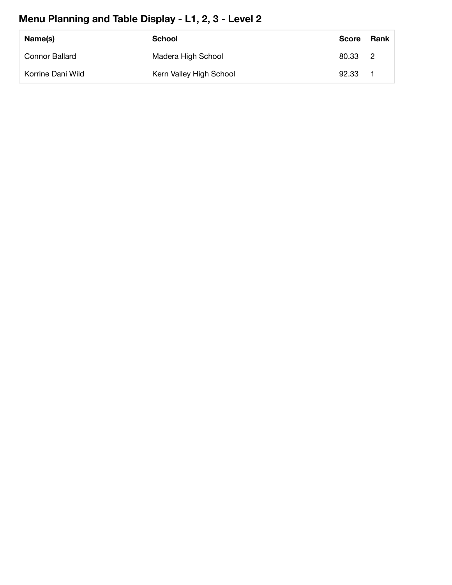## **Menu Planning and Table Display - L1, 2, 3 - Level 2**

| Name(s)               | School                  | <b>Score</b> | Rank |
|-----------------------|-------------------------|--------------|------|
| <b>Connor Ballard</b> | Madera High School      | 80.33 2      |      |
| Korrine Dani Wild     | Kern Valley High School | 92.33        |      |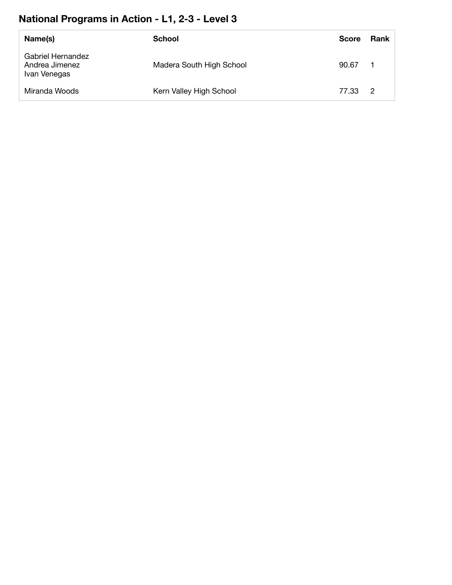#### **National Programs in Action - L1, 2-3 - Level 3**

| Name(s)                                             | <b>School</b>            | <b>Score</b> | Rank           |
|-----------------------------------------------------|--------------------------|--------------|----------------|
| Gabriel Hernandez<br>Andrea Jimenez<br>Ivan Venegas | Madera South High School | 90.67        |                |
| Miranda Woods                                       | Kern Valley High School  | 77.33        | $\overline{2}$ |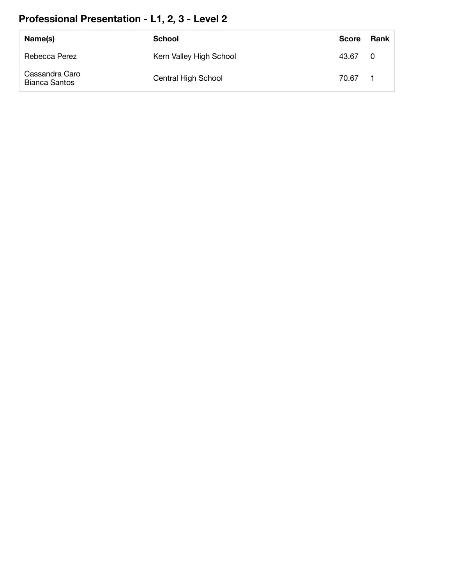## **Professional Presentation - L1, 2, 3 - Level 2**

| Name(s)                                | <b>School</b>           | <b>Score</b> | Rank                    |
|----------------------------------------|-------------------------|--------------|-------------------------|
| Rebecca Perez                          | Kern Valley High School | 43.67        | $\overline{\mathbf{0}}$ |
| Cassandra Caro<br><b>Bianca Santos</b> | Central High School     | 70.67        |                         |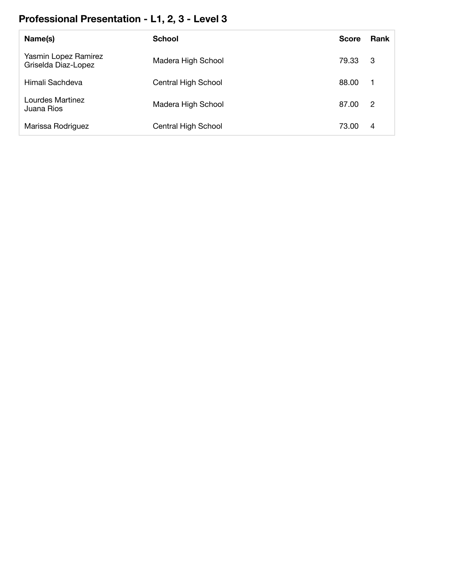#### **Professional Presentation - L1, 2, 3 - Level 3**

| Name(s)                                     | <b>School</b>       | <b>Score</b> | <b>Rank</b>    |
|---------------------------------------------|---------------------|--------------|----------------|
| Yasmin Lopez Ramirez<br>Griselda Diaz-Lopez | Madera High School  | 79.33        | -3             |
| Himali Sachdeva                             | Central High School | 88.00        | -1             |
| Lourdes Martinez<br>Juana Rios              | Madera High School  | 87.00        | $\overline{2}$ |
| Marissa Rodriguez                           | Central High School | 73.00        | 4              |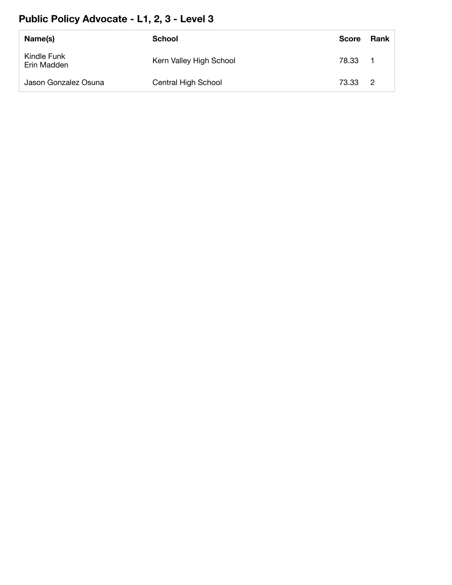#### **Public Policy Advocate - L1, 2, 3 - Level 3**

| Name(s)                    | School                  | Score | Rank           |
|----------------------------|-------------------------|-------|----------------|
| Kindle Funk<br>Erin Madden | Kern Valley High School | 78.33 | - 1            |
| Jason Gonzalez Osuna       | Central High School     | 73.33 | $\overline{2}$ |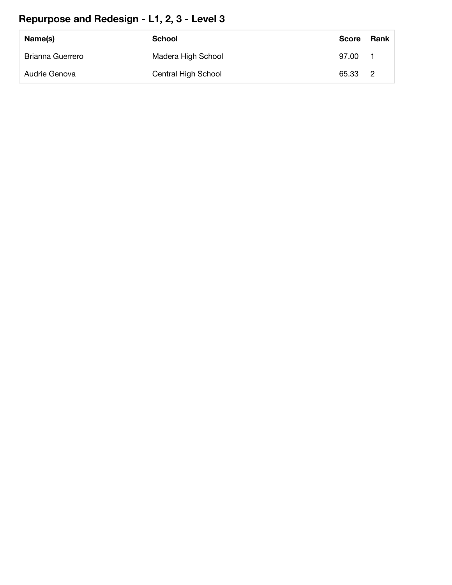#### **Repurpose and Redesign - L1, 2, 3 - Level 3**

| Name(s)                 | <b>School</b>       | <b>Score</b> | Rank |
|-------------------------|---------------------|--------------|------|
| <b>Brianna Guerrero</b> | Madera High School  | 97.00        |      |
| Audrie Genova           | Central High School | 65.33 2      |      |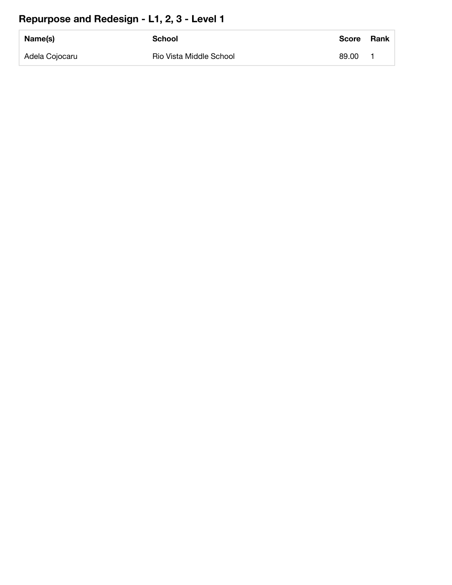#### **Repurpose and Redesign - L1, 2, 3 - Level 1**

| Name(s)        | <b>School</b>           | <b>Score</b> | <b>Rank</b> |
|----------------|-------------------------|--------------|-------------|
| Adela Cojocaru | Rio Vista Middle School | 89.00        |             |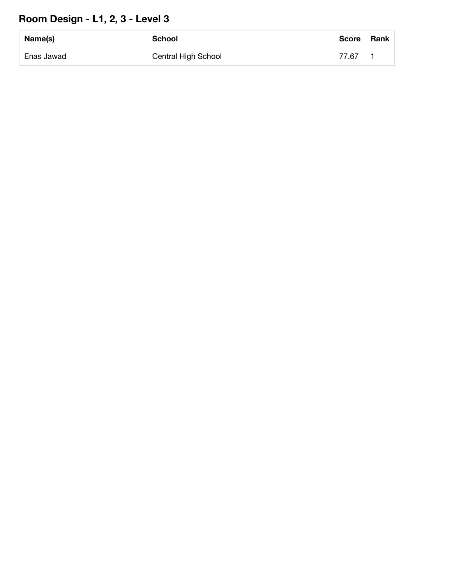#### **Room Design - L1, 2, 3 - Level 3**

| Name(s)    | School              | <b>Score</b> | Rank |
|------------|---------------------|--------------|------|
| Enas Jawad | Central High School | 77.67        |      |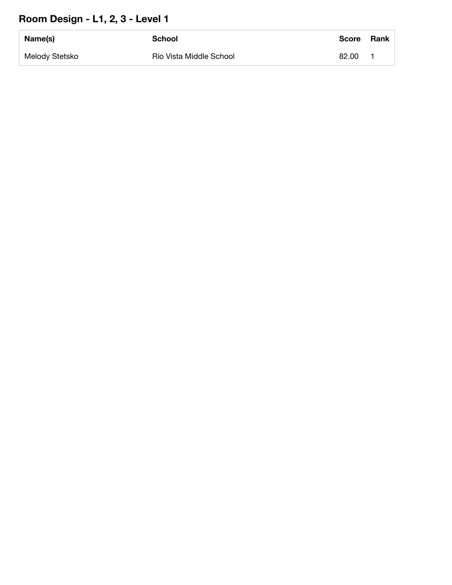#### **Room Design - L1, 2, 3 - Level 1**

| Name(s)        | School                  | <b>Score</b> | <b>Rank</b> |
|----------------|-------------------------|--------------|-------------|
| Melody Stetsko | Rio Vista Middle School | 82.00        |             |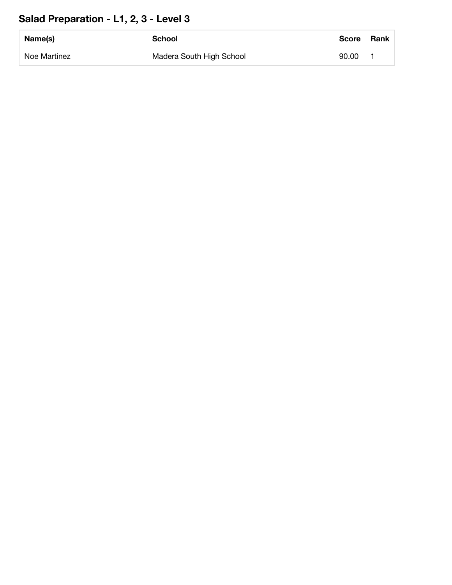#### **Salad Preparation - L1, 2, 3 - Level 3**

| Name(s)      | School                   | <b>Score</b> | <b>Rank</b> |
|--------------|--------------------------|--------------|-------------|
| Noe Martinez | Madera South High School | 90.00        |             |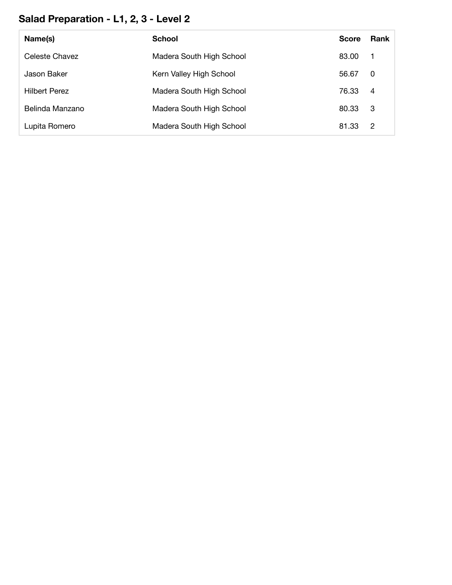#### **Salad Preparation - L1, 2, 3 - Level 2**

| Name(s)              | <b>School</b>            | <b>Score</b> | <b>Rank</b>    |
|----------------------|--------------------------|--------------|----------------|
| Celeste Chavez       | Madera South High School | 83.00        | - 1            |
| Jason Baker          | Kern Valley High School  | 56.67        | 0              |
| <b>Hilbert Perez</b> | Madera South High School | 76.33        | $\overline{4}$ |
| Belinda Manzano      | Madera South High School | 80.33        | -3             |
| Lupita Romero        | Madera South High School | 81.33        | $\overline{2}$ |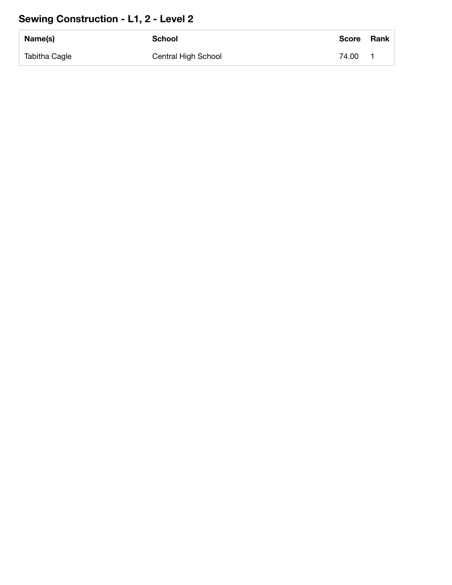#### **Sewing Construction - L1, 2 - Level 2**

| Name(s)       | School              | <b>Score</b> | Rank |
|---------------|---------------------|--------------|------|
| Tabitha Cagle | Central High School | 74.00        |      |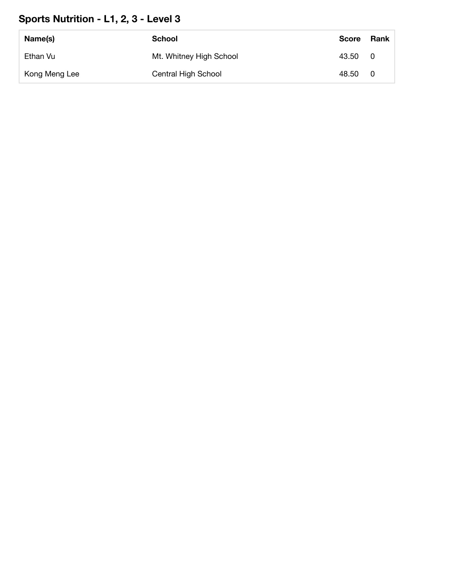#### **Sports Nutrition - L1, 2, 3 - Level 3**

| Name(s)       | School                  | <b>Score</b> | Rank |
|---------------|-------------------------|--------------|------|
| Ethan Vu      | Mt. Whitney High School | 43.50        | - 0  |
| Kong Meng Lee | Central High School     | 48.50        | - 0  |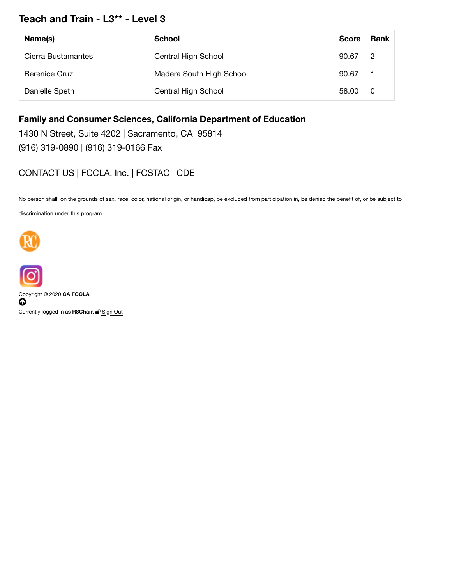#### **Teach and Train - L3\*\* - Level 3**

| Name(s)              | School                   | <b>Score</b> | Rank           |
|----------------------|--------------------------|--------------|----------------|
| Cierra Bustamantes   | Central High School      | 90.67        | $\overline{2}$ |
| <b>Berenice Cruz</b> | Madera South High School | 90.67        |                |
| Danielle Speth       | Central High School      | 58.00        | - 0            |

**Family and Consumer Sciences, California Department of Education**

1430 N Street, Suite 4202 | Sacramento, CA 95814

(916) 319-0890 | (916) 319-0166 Fax

#### CONTACT US | FCCLA, Inc. | FCSTAC | CDE

No person shall, on the grounds of sex, race, color, national origin, or handicap, be excluded from participation in, be denied the benefit of, or be subject to discrimination under this program.





Copyright © 2020 **CA FCCLA**  $\boldsymbol{\omega}$ Currently logged in as **R8Chair**. <sup>■</sup> Sign Out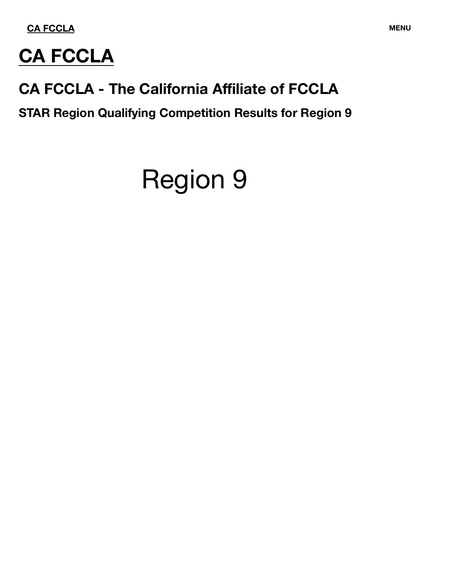

# **CA FCCLA**

# **CA FCCLA - The California Affiliate of FCCLA**

**STAR Region Qualifying Competition Results for Region 9**

# Region 9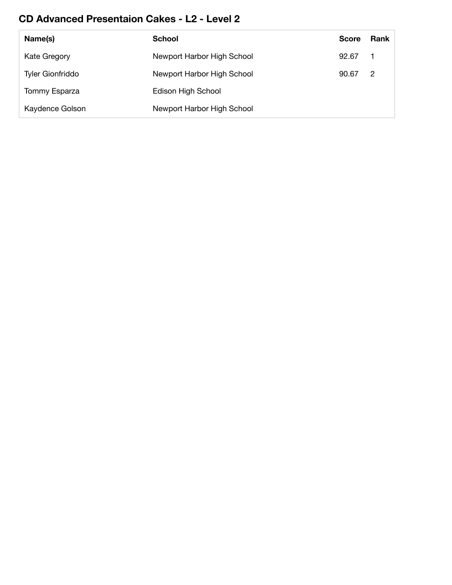#### **CD Advanced Presentaion Cakes - L2 - Level 2**

| Name(s)                 | School                     | <b>Score</b> | Rank |
|-------------------------|----------------------------|--------------|------|
| Kate Gregory            | Newport Harbor High School | 92.67        | - 1  |
| <b>Tyler Gionfriddo</b> | Newport Harbor High School | 90.67        | -2   |
| Tommy Esparza           | Edison High School         |              |      |
| Kaydence Golson         | Newport Harbor High School |              |      |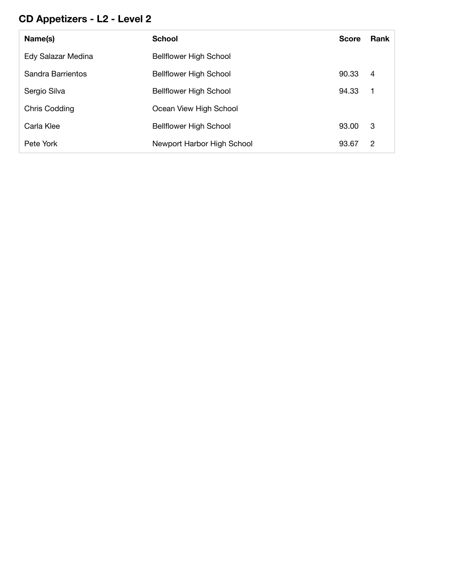## **CD Appetizers - L2 - Level 2**

| Name(s)              | <b>School</b>                 | <b>Score</b> | <b>Rank</b> |
|----------------------|-------------------------------|--------------|-------------|
| Edy Salazar Medina   | <b>Bellflower High School</b> |              |             |
| Sandra Barrientos    | <b>Bellflower High School</b> | 90.33        | 4           |
| Sergio Silva         | <b>Bellflower High School</b> | 94.33        | - 1         |
| <b>Chris Codding</b> | Ocean View High School        |              |             |
| Carla Klee           | <b>Bellflower High School</b> | 93.00        | -3          |
| Pete York            | Newport Harbor High School    | 93.67        | 2           |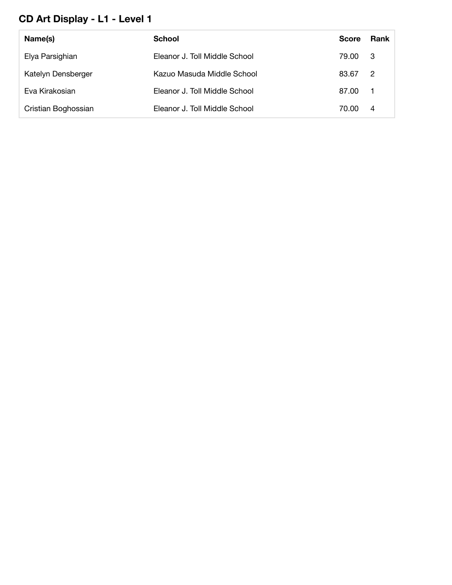#### **CD Art Display - L1 - Level 1**

| Name(s)             | School                        | <b>Score</b> | Rank           |
|---------------------|-------------------------------|--------------|----------------|
| Elya Parsighian     | Eleanor J. Toll Middle School | 79.00        | - 3            |
| Katelyn Densberger  | Kazuo Masuda Middle School    | 83.67        | $\overline{2}$ |
| Eva Kirakosian      | Eleanor J. Toll Middle School | 87.00        | $\blacksquare$ |
| Cristian Boghossian | Eleanor J. Toll Middle School | 70.00        | $\overline{4}$ |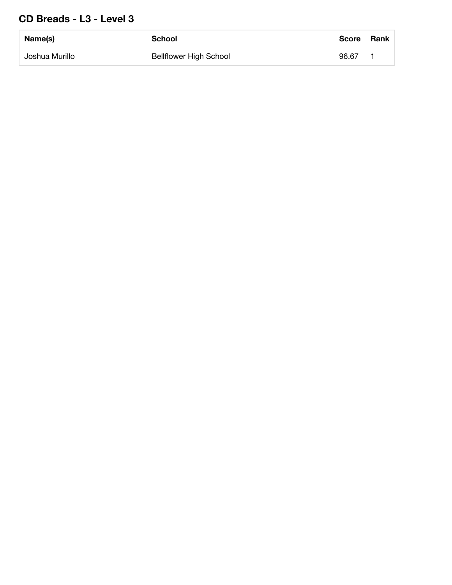#### **CD Breads - L3 - Level 3**

| Name(s)        | <b>School</b>                 | <b>Score</b> | <b>Rank</b> |
|----------------|-------------------------------|--------------|-------------|
| Joshua Murillo | <b>Bellflower High School</b> | 96.67        |             |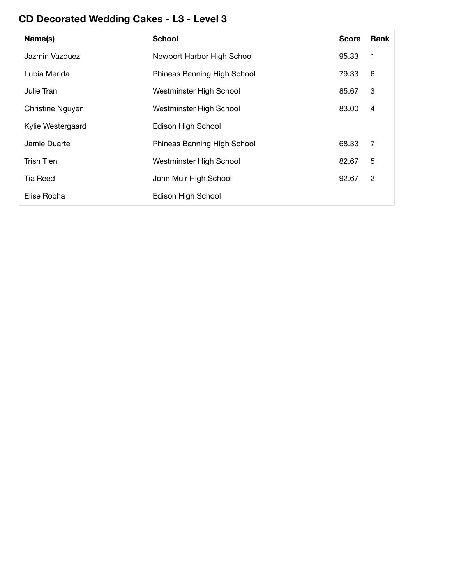# **CD Decorated Wedding Cakes - L3 - Level 3**

| Name(s)           | <b>School</b>               | <b>Score</b> | Rank |
|-------------------|-----------------------------|--------------|------|
| Jazmin Vazquez    | Newport Harbor High School  | 95.33        | 1    |
| Lubia Merida      | Phineas Banning High School | 79.33        | 6    |
| Julie Tran        | Westminster High School     | 85.67        | 3    |
| Christine Nguyen  | Westminster High School     | 83.00        | 4    |
| Kylie Westergaard | Edison High School          |              |      |
| Jamie Duarte      | Phineas Banning High School | 68.33        | 7    |
| Trish Tien        | Westminster High School     | 82.67        | 5    |
| Tia Reed          | John Muir High School       | 92.67        | 2    |
| Elise Rocha       | Edison High School          |              |      |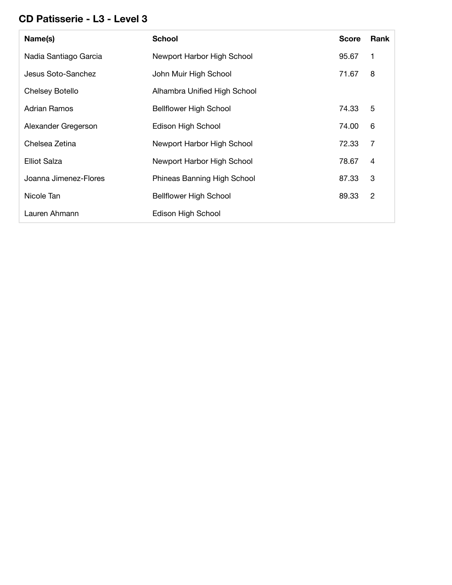#### **CD Patisserie - L3 - Level 3**

| Name(s)               | <b>School</b>                 | <b>Score</b> | Rank           |
|-----------------------|-------------------------------|--------------|----------------|
| Nadia Santiago Garcia | Newport Harbor High School    | 95.67        | 1              |
| Jesus Soto-Sanchez    | John Muir High School         | 71.67        | 8              |
| Chelsey Botello       | Alhambra Unified High School  |              |                |
| Adrian Ramos          | <b>Bellflower High School</b> | 74.33        | 5              |
| Alexander Gregerson   | Edison High School            | 74.00        | 6              |
| Chelsea Zetina        | Newport Harbor High School    | 72.33        | $\overline{7}$ |
| Elliot Salza          | Newport Harbor High School    | 78.67        | 4              |
| Joanna Jimenez-Flores | Phineas Banning High School   | 87.33        | 3              |
| Nicole Tan            | <b>Bellflower High School</b> | 89.33        | 2              |
| Lauren Ahmann         | Edison High School            |              |                |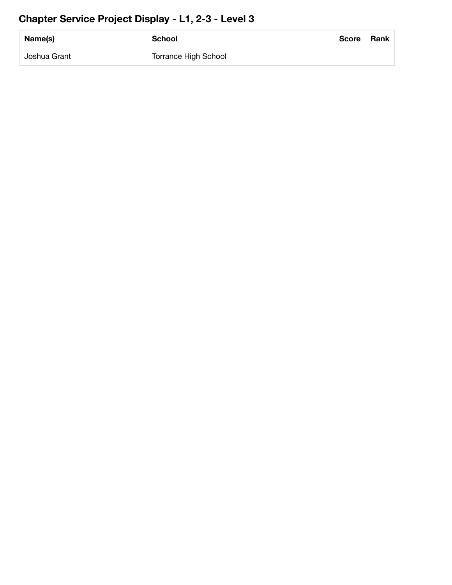#### **Chapter Service Project Display - L1, 2-3 - Level 3**

| Name(s)      | <b>School</b>               | <b>Score</b> | Rank |
|--------------|-----------------------------|--------------|------|
| Joshua Grant | <b>Torrance High School</b> |              |      |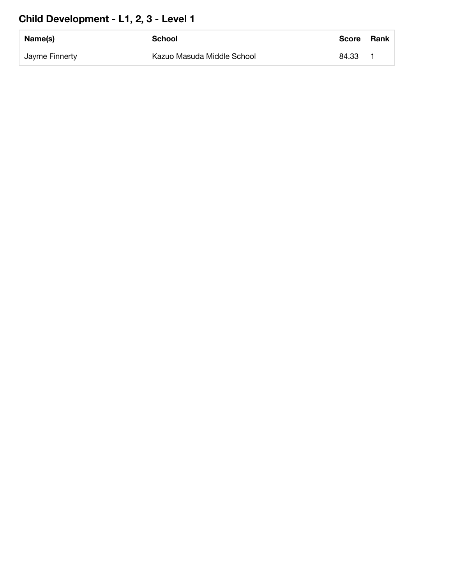# **Child Development - L1, 2, 3 - Level 1**

| Name(s)        | School                     | <b>Score</b> | <b>Rank</b> |
|----------------|----------------------------|--------------|-------------|
| Jayme Finnerty | Kazuo Masuda Middle School | 84.33        |             |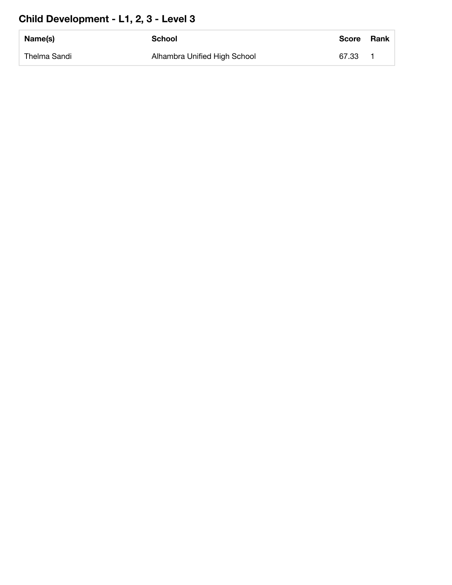# **Child Development - L1, 2, 3 - Level 3**

| Name(s)      | School                       | <b>Score</b> | <b>Rank</b> |
|--------------|------------------------------|--------------|-------------|
| Thelma Sandi | Alhambra Unified High School | 67.33        |             |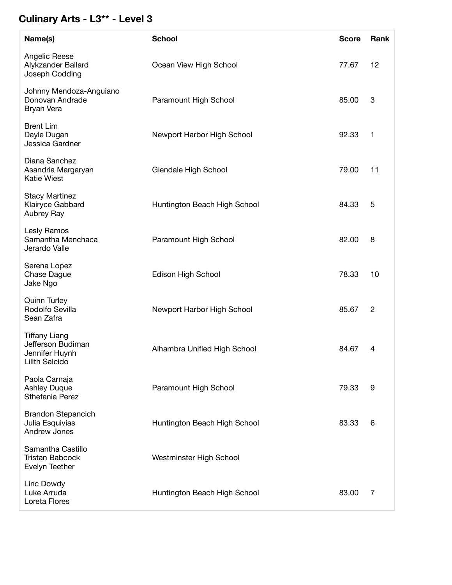#### **Culinary Arts - L3\*\* - Level 3**

| Name(s)                                                                       | <b>School</b>                | <b>Score</b> | Rank           |
|-------------------------------------------------------------------------------|------------------------------|--------------|----------------|
| Angelic Reese<br>Alykzander Ballard<br>Joseph Codding                         | Ocean View High School       | 77.67        | 12             |
| Johnny Mendoza-Anguiano<br>Donovan Andrade<br>Bryan Vera                      | Paramount High School        | 85.00        | 3              |
| <b>Brent Lim</b><br>Dayle Dugan<br>Jessica Gardner                            | Newport Harbor High School   | 92.33        | 1              |
| Diana Sanchez<br>Asandria Margaryan<br><b>Katie Wiest</b>                     | Glendale High School         | 79.00        | 11             |
| <b>Stacy Martinez</b><br>Klairyce Gabbard<br>Aubrey Ray                       | Huntington Beach High School | 84.33        | 5              |
| Lesly Ramos<br>Samantha Menchaca<br>Jerardo Valle                             | Paramount High School        | 82.00        | 8              |
| Serena Lopez<br>Chase Dague<br>Jake Ngo                                       | Edison High School           | 78.33        | 10             |
| <b>Quinn Turley</b><br>Rodolfo Sevilla<br>Sean Zafra                          | Newport Harbor High School   | 85.67        | $\overline{c}$ |
| <b>Tiffany Liang</b><br>Jefferson Budiman<br>Jennifer Huynh<br>Lilith Salcido | Alhambra Unified High School | 84.67        | 4              |
| Paola Carnaja<br><b>Ashley Duque</b><br>Sthefania Perez                       | Paramount High School        | 79.33        | 9              |
| <b>Brandon Stepancich</b><br>Julia Esquivias<br>Andrew Jones                  | Huntington Beach High School | 83.33        | 6              |
| Samantha Castillo<br><b>Tristan Babcock</b><br>Evelyn Teether                 | Westminster High School      |              |                |
| Linc Dowdy<br>Luke Arruda<br>Loreta Flores                                    | Huntington Beach High School | 83.00        | 7              |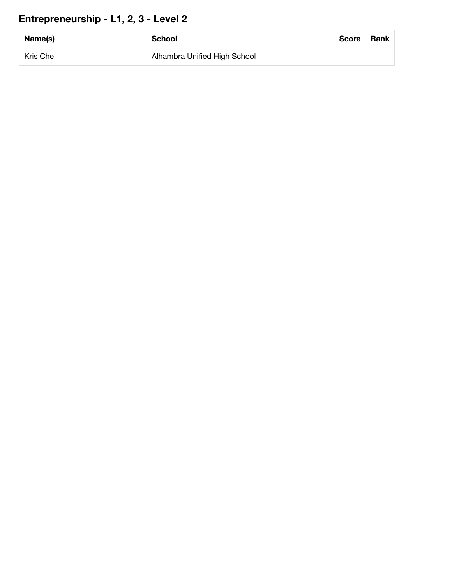# **Entrepreneurship - L1, 2, 3 - Level 2**

| Name(s)  | <b>School</b>                | Score | Rank |
|----------|------------------------------|-------|------|
| Kris Che | Alhambra Unified High School |       |      |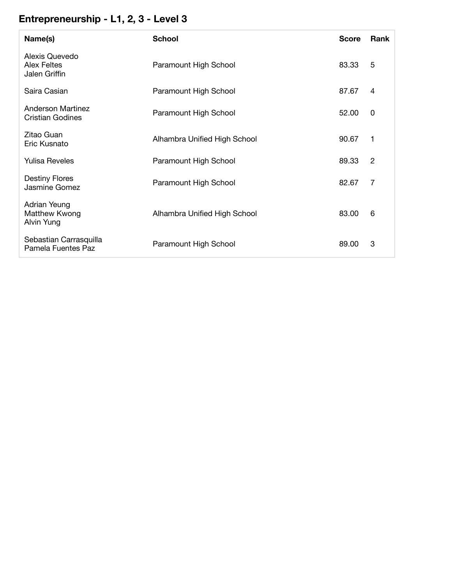# **Entrepreneurship - L1, 2, 3 - Level 3**

| Name(s)                                               | <b>School</b>                | <b>Score</b> | <b>Rank</b> |
|-------------------------------------------------------|------------------------------|--------------|-------------|
| Alexis Quevedo<br><b>Alex Feltes</b><br>Jalen Griffin | Paramount High School        | 83.33        | 5           |
| Saira Casian                                          | Paramount High School        | 87.67        | 4           |
| Anderson Martinez<br><b>Cristian Godines</b>          | Paramount High School        | 52.00        | 0           |
| Zitao Guan<br>Eric Kusnato                            | Alhambra Unified High School | 90.67        | 1           |
| <b>Yulisa Reveles</b>                                 | Paramount High School        | 89.33        | 2           |
| <b>Destiny Flores</b><br>Jasmine Gomez                | Paramount High School        | 82.67        | 7           |
| Adrian Yeung<br>Matthew Kwong<br>Alvin Yung           | Alhambra Unified High School | 83.00        | 6           |
| Sebastian Carrasquilla<br>Pamela Fuentes Paz          | Paramount High School        | 89.00        | 3           |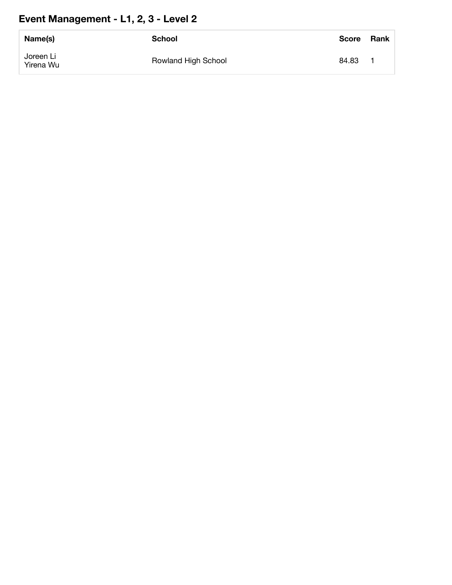# **Event Management - L1, 2, 3 - Level 2**

| Name(s)                | <b>School</b>       | <b>Score</b> | Rank |
|------------------------|---------------------|--------------|------|
| Joreen Li<br>Yirena Wu | Rowland High School | 84.83        |      |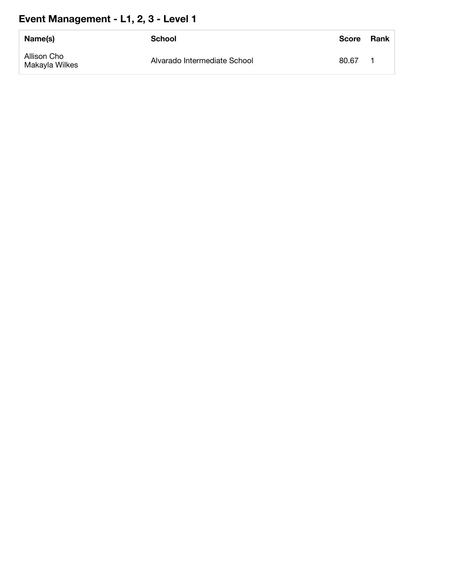# **Event Management - L1, 2, 3 - Level 1**

| Name(s)                       | School                       | <b>Score</b> | Rank |
|-------------------------------|------------------------------|--------------|------|
| Allison Cho<br>Makayla Wilkes | Alvarado Intermediate School | 80.67        |      |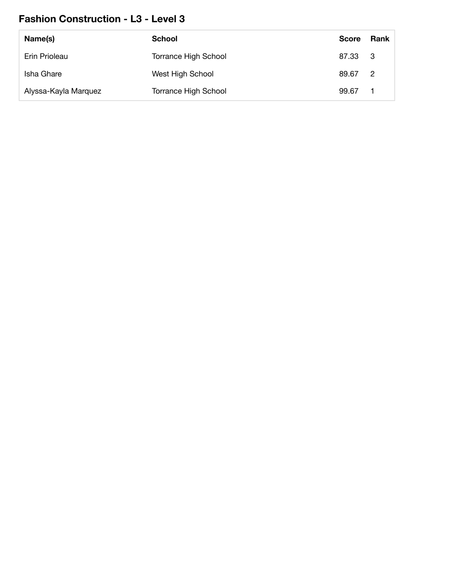#### **Fashion Construction - L3 - Level 3**

| Name(s)              | <b>School</b>               | <b>Score</b> | Rank           |
|----------------------|-----------------------------|--------------|----------------|
| Erin Prioleau        | <b>Torrance High School</b> | 87.33 3      |                |
| Isha Ghare           | West High School            | 89.67        | $\overline{2}$ |
| Alyssa-Kayla Marquez | <b>Torrance High School</b> | 99.67        |                |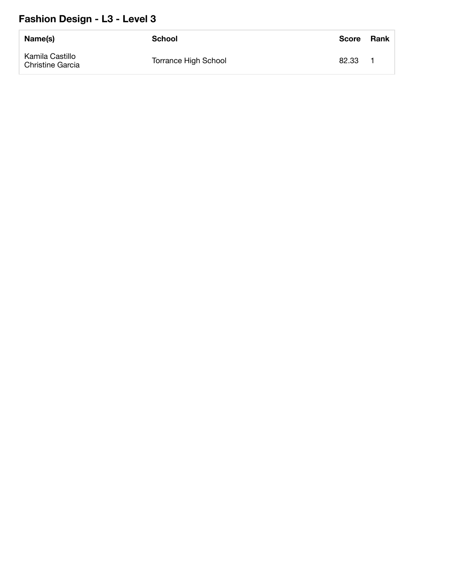#### **Fashion Design - L3 - Level 3**

| Name(s)                                    | <b>School</b>        | Score | <b>Rank</b> |
|--------------------------------------------|----------------------|-------|-------------|
| Kamila Castillo<br><b>Christine Garcia</b> | Torrance High School | 82.33 |             |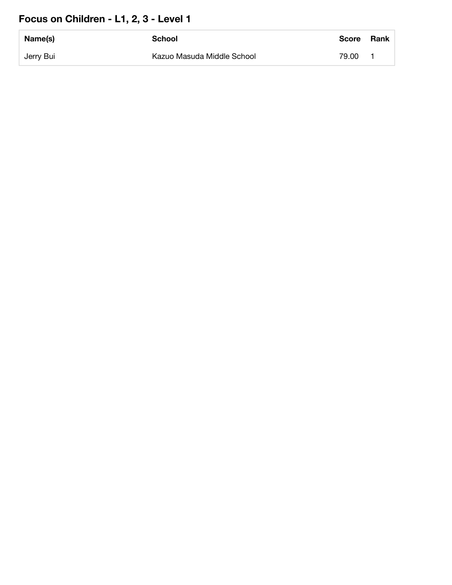# **Focus on Children - L1, 2, 3 - Level 1**

| Name(s)   | School                     | Score | Rank |
|-----------|----------------------------|-------|------|
| Jerry Bui | Kazuo Masuda Middle School | 79.00 |      |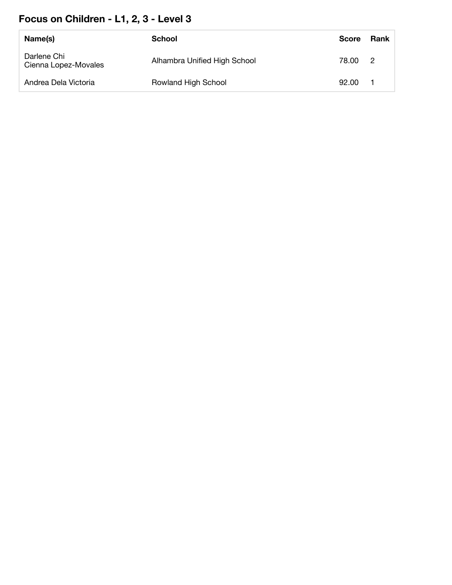# **Focus on Children - L1, 2, 3 - Level 3**

| Name(s)                             | School                       | <b>Score</b> | Rank |
|-------------------------------------|------------------------------|--------------|------|
| Darlene Chi<br>Cienna Lopez-Movales | Alhambra Unified High School | 78.00 2      |      |
| Andrea Dela Victoria                | Rowland High School          | 92.00        |      |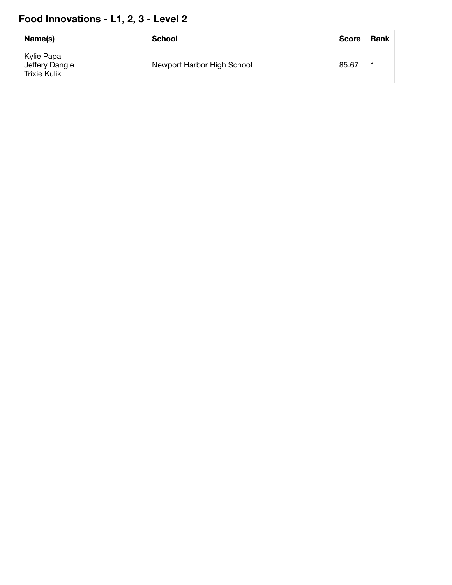# **Food Innovations - L1, 2, 3 - Level 2**

| Name(s)                                      | School                     | <b>Score</b> | Rank |
|----------------------------------------------|----------------------------|--------------|------|
| Kylie Papa<br>Jeffery Dangle<br>Trixie Kulik | Newport Harbor High School | 85.67        |      |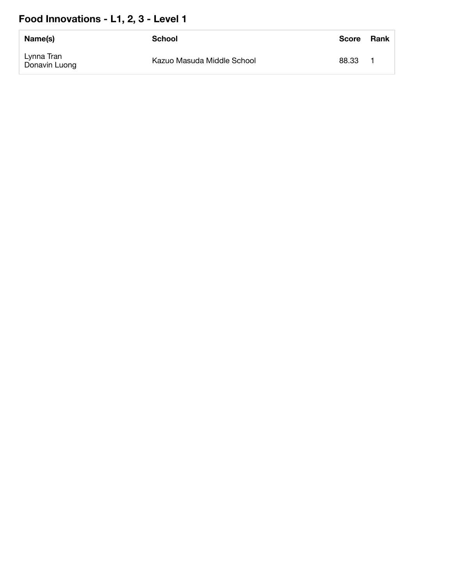# **Food Innovations - L1, 2, 3 - Level 1**

| Name(s)                     | School                     | <b>Score</b> | Rank |
|-----------------------------|----------------------------|--------------|------|
| Lynna Tran<br>Donavin Luong | Kazuo Masuda Middle School | 88.33        |      |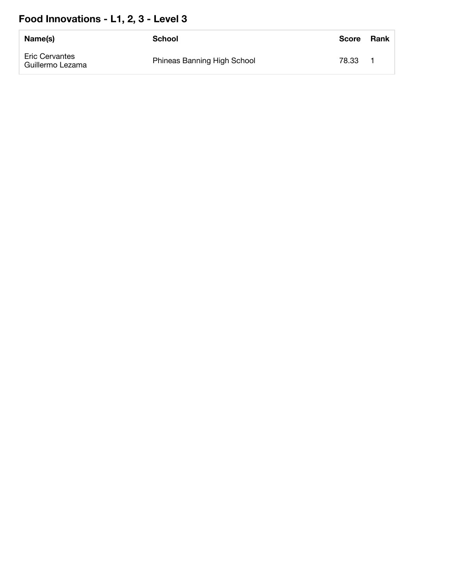# **Food Innovations - L1, 2, 3 - Level 3**

| Name(s)                                   | School                      | <b>Score</b> | <b>Rank</b> |
|-------------------------------------------|-----------------------------|--------------|-------------|
| <b>Eric Cervantes</b><br>Guillermo Lezama | Phineas Banning High School | 78.33        |             |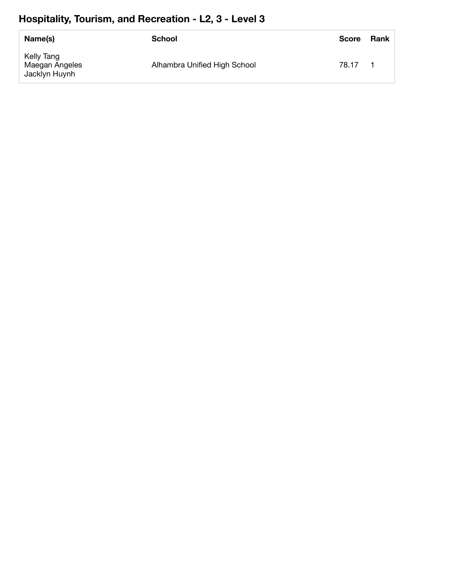# **Hospitality, Tourism, and Recreation - L2, 3 - Level 3**

| Name(s)                                       | School                       | <b>Score</b> | Rank |
|-----------------------------------------------|------------------------------|--------------|------|
| Kelly Tang<br>Maegan Angeles<br>Jacklyn Huynh | Alhambra Unified High School | 78.17        |      |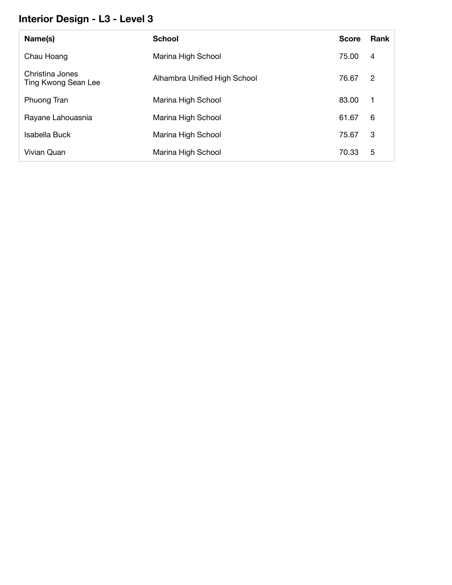#### **Interior Design - L3 - Level 3**

| Name(s)                                | <b>School</b>                | <b>Score</b> | Rank        |
|----------------------------------------|------------------------------|--------------|-------------|
| Chau Hoang                             | Marina High School           | 75.00        | 4           |
| Christina Jones<br>Ting Kwong Sean Lee | Alhambra Unified High School | 76.67        | -2          |
| Phuong Tran                            | Marina High School           | 83.00        | $\mathbf 1$ |
| Rayane Lahouasnia                      | Marina High School           | 61.67        | 6           |
| Isabella Buck                          | Marina High School           | 75.67        | 3           |
| Vivian Quan                            | Marina High School           | 70.33        | 5           |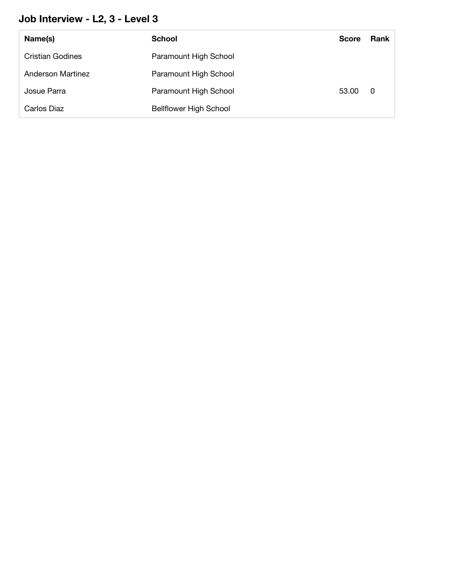#### **Job Interview - L2, 3 - Level 3**

| Name(s)           | <b>School</b>                 | <b>Score</b> | Rank |
|-------------------|-------------------------------|--------------|------|
| Cristian Godines  | Paramount High School         |              |      |
| Anderson Martinez | Paramount High School         |              |      |
| Josue Parra       | Paramount High School         | 53.00        | - 0  |
| Carlos Diaz       | <b>Bellflower High School</b> |              |      |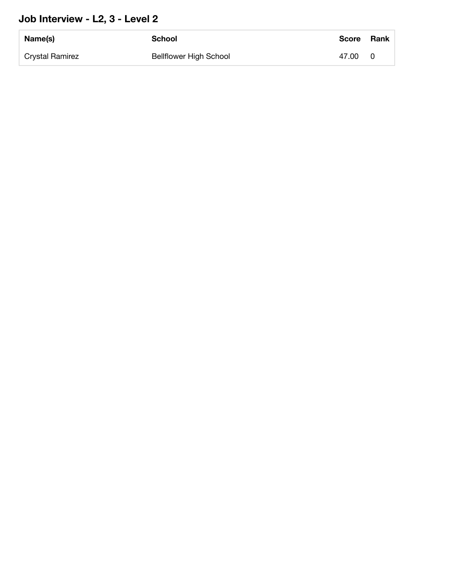#### **Job Interview - L2, 3 - Level 2**

| Name(s)         | <b>School</b>                 | <b>Score</b> | Rank |
|-----------------|-------------------------------|--------------|------|
| Crystal Ramirez | <b>Bellflower High School</b> | 47.00        | 0    |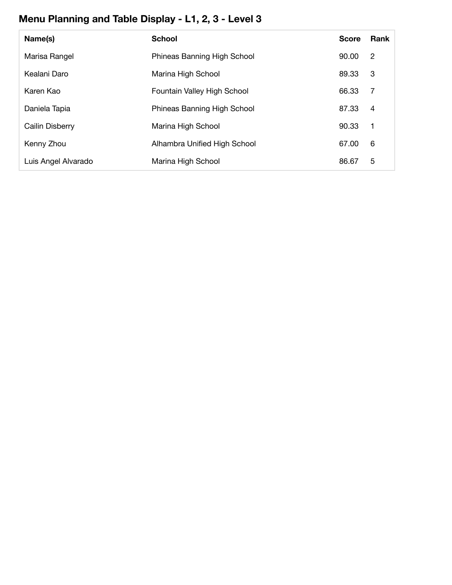# **Menu Planning and Table Display - L1, 2, 3 - Level 3**

| Name(s)             | <b>School</b>                | <b>Score</b> | <b>Rank</b> |
|---------------------|------------------------------|--------------|-------------|
| Marisa Rangel       | Phineas Banning High School  | 90.00        | 2           |
| Kealani Daro        | Marina High School           | 89.33        | 3           |
| Karen Kao           | Fountain Valley High School  | 66.33        | -7          |
| Daniela Tapia       | Phineas Banning High School  | 87.33        | 4           |
| Cailin Disberry     | Marina High School           | 90.33        | -1          |
| Kenny Zhou          | Alhambra Unified High School | 67.00        | 6           |
| Luis Angel Alvarado | Marina High School           | 86.67        | 5           |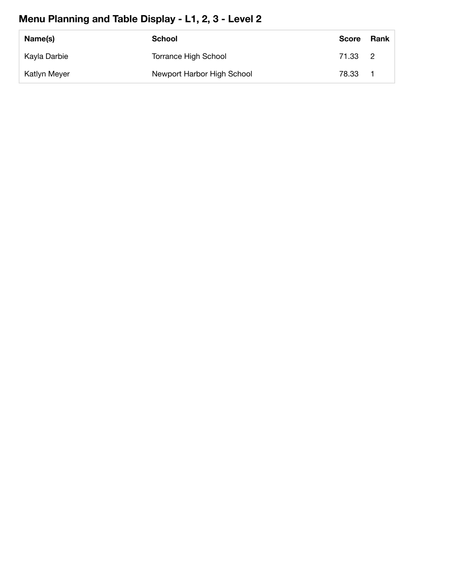# **Menu Planning and Table Display - L1, 2, 3 - Level 2**

| Name(s)             | School                      | <b>Score</b> | Rank |
|---------------------|-----------------------------|--------------|------|
| Kayla Darbie        | <b>Torrance High School</b> | 71.33 2      |      |
| <b>Katlyn Meyer</b> | Newport Harbor High School  | 78.33        |      |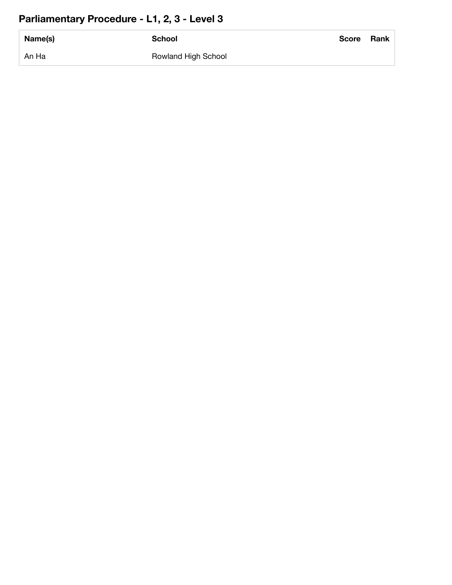# **Parliamentary Procedure - L1, 2, 3 - Level 3**

| Name(s) | <b>School</b>       | <b>Score</b> | <b>Rank</b> |
|---------|---------------------|--------------|-------------|
| An Ha   | Rowland High School |              |             |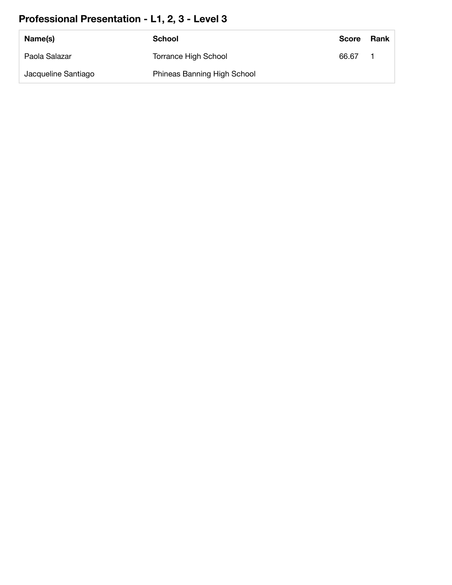# **Professional Presentation - L1, 2, 3 - Level 3**

| Name(s)             | School                      | <b>Score</b> | Rank |
|---------------------|-----------------------------|--------------|------|
| Paola Salazar       | <b>Torrance High School</b> | 66.67        |      |
| Jacqueline Santiago | Phineas Banning High School |              |      |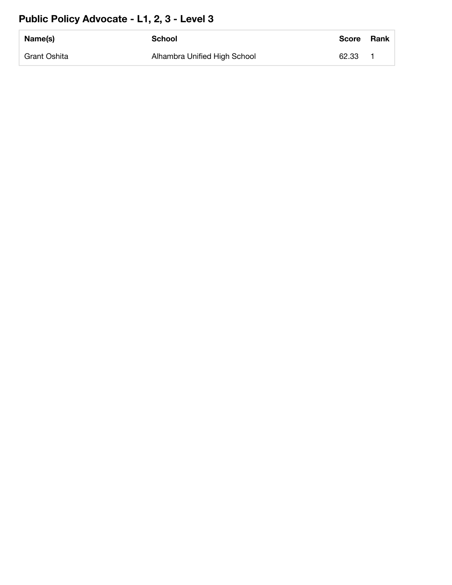# **Public Policy Advocate - L1, 2, 3 - Level 3**

| Name(s)      | School                       | <b>Score</b> | <b>Rank</b> |
|--------------|------------------------------|--------------|-------------|
| Grant Oshita | Alhambra Unified High School | 62.33        |             |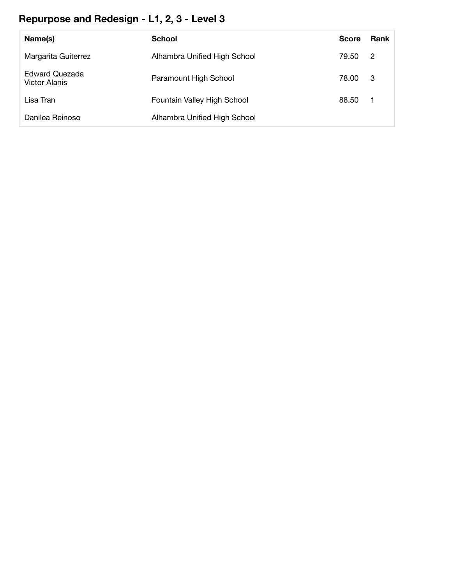# **Repurpose and Redesign - L1, 2, 3 - Level 3**

| Name(s)                                       | <b>School</b>                | <b>Score</b> | Rank |
|-----------------------------------------------|------------------------------|--------------|------|
| Margarita Guiterrez                           | Alhambra Unified High School | 79.50        | -2   |
| <b>Edward Quezada</b><br><b>Victor Alanis</b> | Paramount High School        | 78.00        | - 3  |
| Lisa Tran                                     | Fountain Valley High School  | 88.50        |      |
| Danilea Reinoso                               | Alhambra Unified High School |              |      |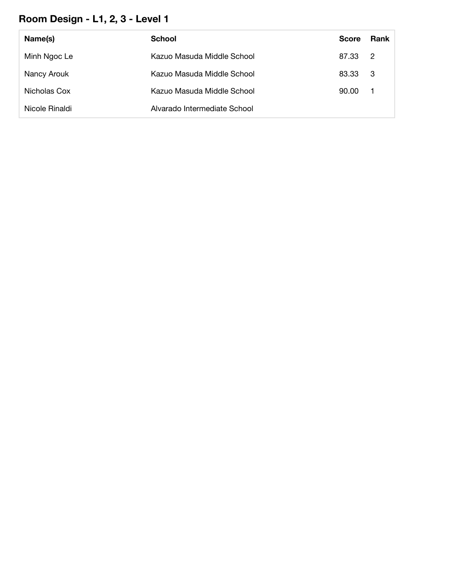# **Room Design - L1, 2, 3 - Level 1**

| Name(s)        | School                       | <b>Score</b> | Rank           |
|----------------|------------------------------|--------------|----------------|
| Minh Ngoc Le   | Kazuo Masuda Middle School   | 87.33        | $\overline{2}$ |
| Nancy Arouk    | Kazuo Masuda Middle School   | 83.33 3      |                |
| Nicholas Cox   | Kazuo Masuda Middle School   | 90.00        | - 1            |
| Nicole Rinaldi | Alvarado Intermediate School |              |                |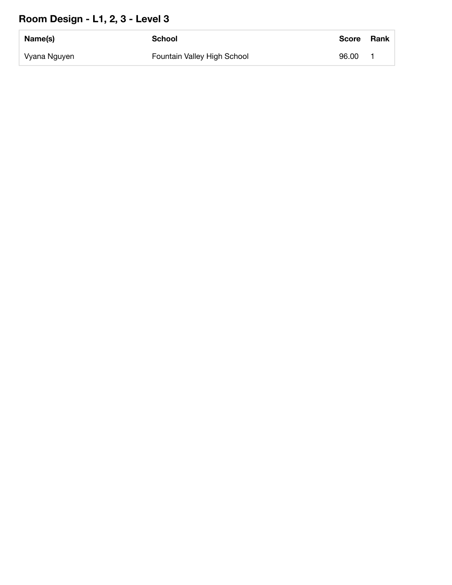# **Room Design - L1, 2, 3 - Level 3**

| Name(s)      | School                      | <b>Score</b> | <b>Rank</b> |
|--------------|-----------------------------|--------------|-------------|
| Vyana Nguyen | Fountain Valley High School | 96.00        |             |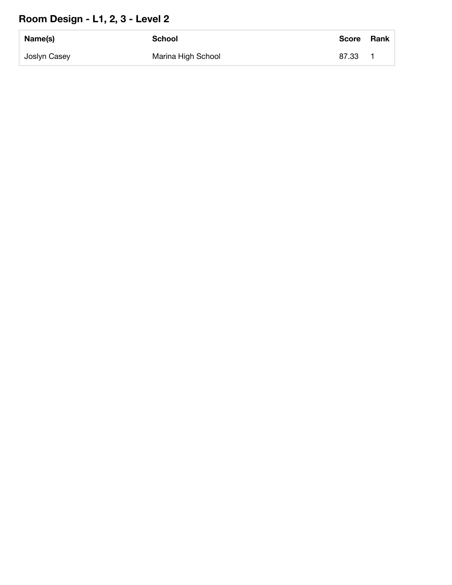# **Room Design - L1, 2, 3 - Level 2**

| Name(s)      | <b>School</b>      | Score | <b>Rank</b> |
|--------------|--------------------|-------|-------------|
| Joslyn Casey | Marina High School | 87.33 |             |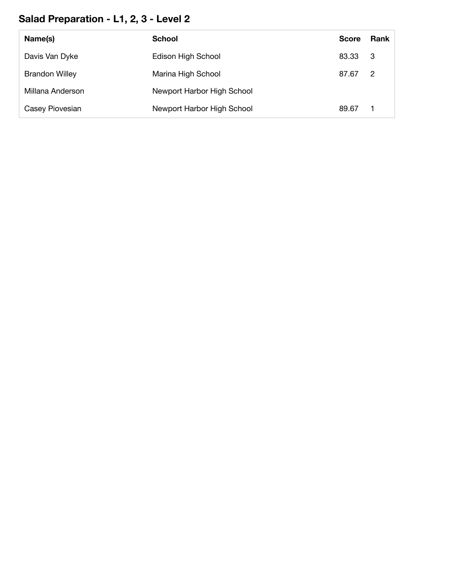# **Salad Preparation - L1, 2, 3 - Level 2**

| Name(s)               | <b>School</b>              | <b>Score</b> | <b>Rank</b> |
|-----------------------|----------------------------|--------------|-------------|
| Davis Van Dyke        | Edison High School         | 83.33        | - 3         |
| <b>Brandon Willey</b> | Marina High School         | 87.67        | -2          |
| Millana Anderson      | Newport Harbor High School |              |             |
| Casey Piovesian       | Newport Harbor High School | 89.67        |             |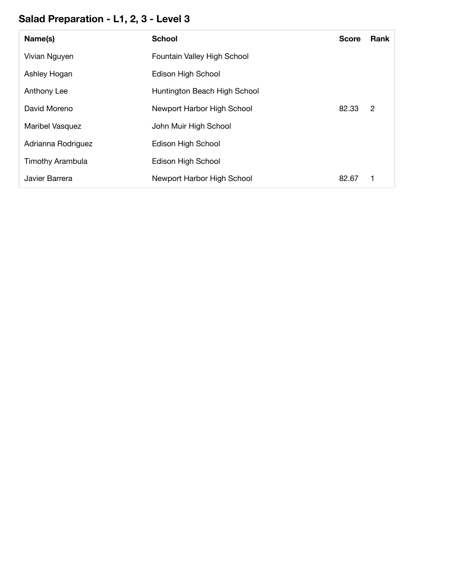# **Salad Preparation - L1, 2, 3 - Level 3**

| Name(s)                 | <b>School</b>                | <b>Score</b> | <b>Rank</b> |
|-------------------------|------------------------------|--------------|-------------|
| Vivian Nguyen           | Fountain Valley High School  |              |             |
| Ashley Hogan            | Edison High School           |              |             |
| Anthony Lee             | Huntington Beach High School |              |             |
| David Moreno            | Newport Harbor High School   | 82.33        | 2           |
| Maribel Vasquez         | John Muir High School        |              |             |
| Adrianna Rodriguez      | Edison High School           |              |             |
| <b>Timothy Arambula</b> | Edison High School           |              |             |
| Javier Barrera          | Newport Harbor High School   | 82.67        |             |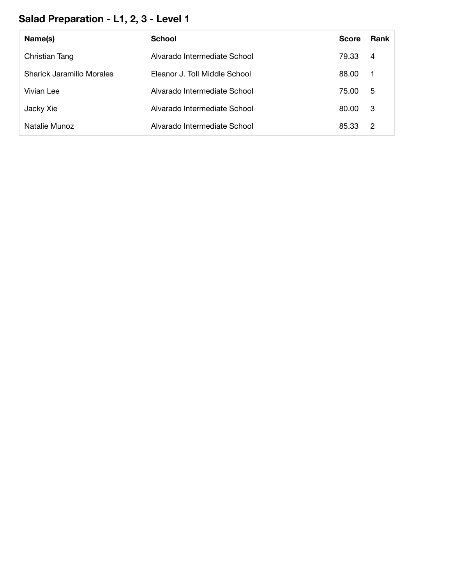# **Salad Preparation - L1, 2, 3 - Level 1**

| Name(s)                   | <b>School</b>                 | <b>Score</b> | Rank           |
|---------------------------|-------------------------------|--------------|----------------|
| Christian Tang            | Alvarado Intermediate School  | 79.33        | $\overline{4}$ |
| Sharick Jaramillo Morales | Eleanor J. Toll Middle School | 88.00        | - 1            |
| Vivian Lee                | Alvarado Intermediate School  | 75.00        | -5             |
| Jacky Xie                 | Alvarado Intermediate School  | 80.00        | -3             |
| Natalie Munoz             | Alvarado Intermediate School  | 85.33        | 2              |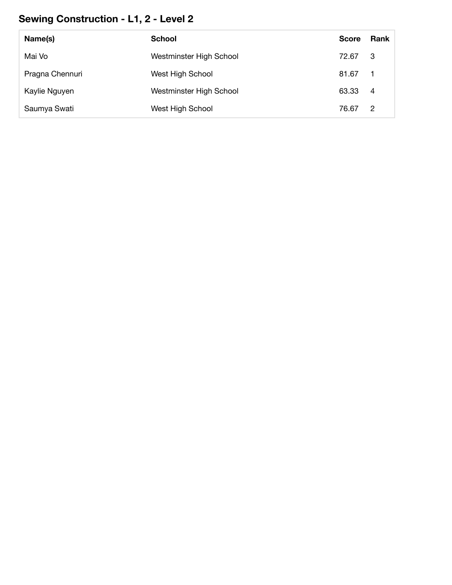# **Sewing Construction - L1, 2 - Level 2**

| Name(s)         | <b>School</b>           | <b>Score</b> | <b>Rank</b>    |
|-----------------|-------------------------|--------------|----------------|
| Mai Vo          | Westminster High School | 72.67        | -3             |
| Pragna Chennuri | West High School        | 81.67        |                |
| Kaylie Nguyen   | Westminster High School | 63.33        | -4             |
| Saumya Swati    | West High School        | 76.67        | $\overline{2}$ |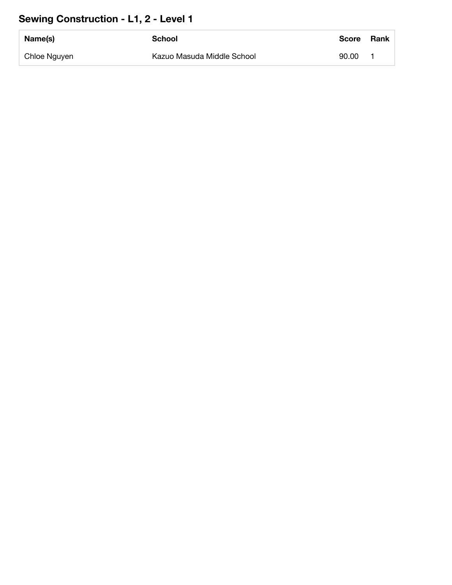# **Sewing Construction - L1, 2 - Level 1**

| Name(s)      | School                     | <b>Score</b> | <b>Rank</b> |
|--------------|----------------------------|--------------|-------------|
| Chloe Nguyen | Kazuo Masuda Middle School | 90.00        |             |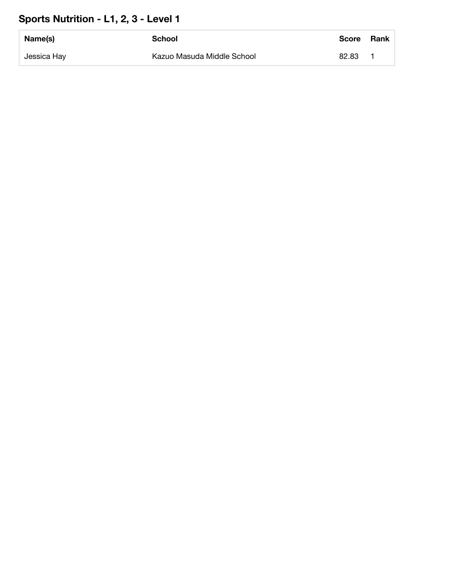# **Sports Nutrition - L1, 2, 3 - Level 1**

| Name(s)     | School                     | <b>Score</b> | Rank |
|-------------|----------------------------|--------------|------|
| Jessica Hay | Kazuo Masuda Middle School | 82.83        |      |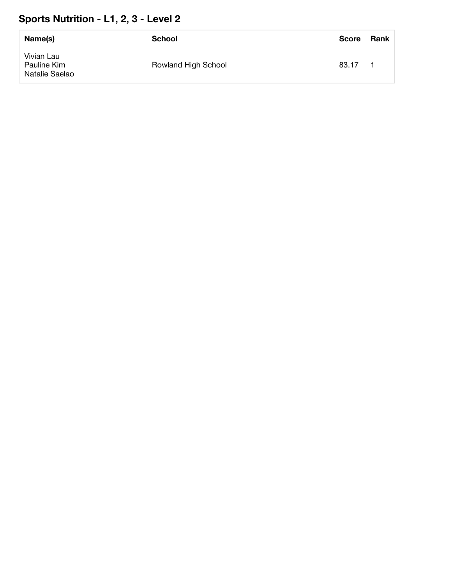#### **Sports Nutrition - L1, 2, 3 - Level 2**

| Name(s)                                     | School              | <b>Score</b> | Rank |
|---------------------------------------------|---------------------|--------------|------|
| Vivian Lau<br>Pauline Kim<br>Natalie Saelao | Rowland High School | 83.17        |      |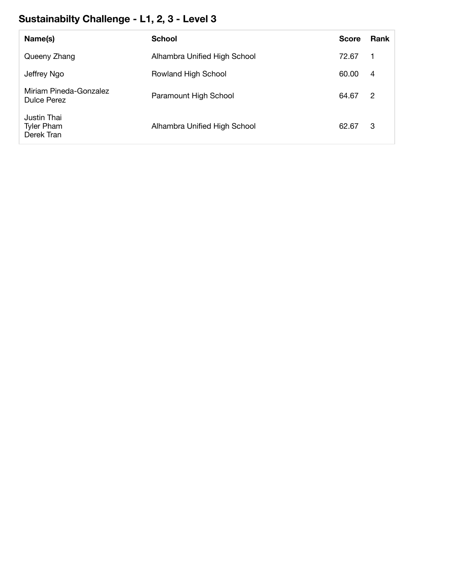# **Sustainabilty Challenge - L1, 2, 3 - Level 3**

| Name(s)                                        | <b>School</b>                | <b>Score</b> | Rank           |
|------------------------------------------------|------------------------------|--------------|----------------|
| Queeny Zhang                                   | Alhambra Unified High School | 72.67        | $\mathbf{1}$   |
| Jeffrey Ngo                                    | Rowland High School          | 60.00        | $\overline{4}$ |
| Miriam Pineda-Gonzalez<br><b>Dulce Perez</b>   | Paramount High School        | 64.67        | 2              |
| Justin Thai<br><b>Tyler Pham</b><br>Derek Tran | Alhambra Unified High School | 62.67        | 3              |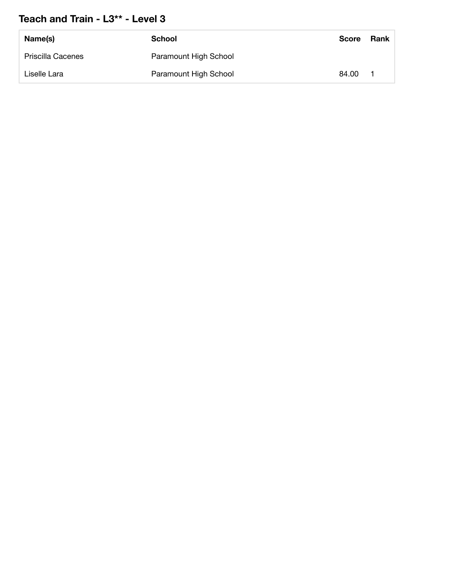#### **Teach and Train - L3\*\* - Level 3**

| Name(s)                  | School                | <b>Score</b> | Rank |
|--------------------------|-----------------------|--------------|------|
| <b>Priscilla Cacenes</b> | Paramount High School |              |      |
| Liselle Lara             | Paramount High School | 84.00        |      |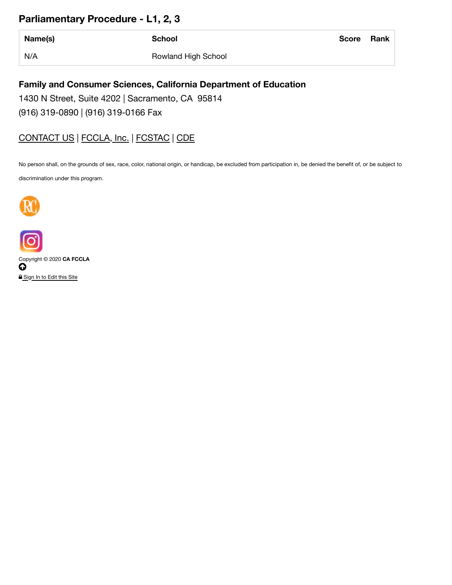#### **Parliamentary Procedure - L1, 2, 3**

| Name(s) | <b>School</b>       | <b>Score</b> | Rank |
|---------|---------------------|--------------|------|
| N/A     | Rowland High School |              |      |

#### **Family and Consumer Sciences, California Department of Education**

1430 N Street, Suite 4202 | Sacramento, CA 95814

(916) 319-0890 | (916) 319-0166 Fax

#### CONTACT US | FCCLA, Inc. | FCSTAC | CDE

No person shall, on the grounds of sex, race, color, national origin, or handicap, be excluded from participation in, be denied the benefit of, or be subject to

discrimination under this program.





Copyright © 2020 **CA FCCLA**  $\bf{Q}$ **A** Sign In to Edit this Site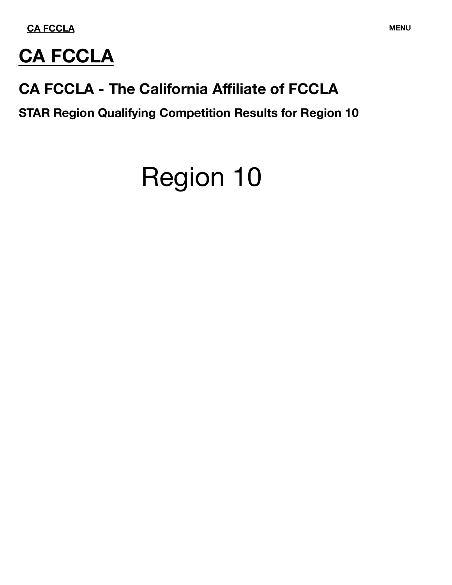

# **CA FCCLA**

# **CA FCCLA - The California Affiliate of FCCLA**

**STAR Region Qualifying Competition Results for Region 10**

# Region 10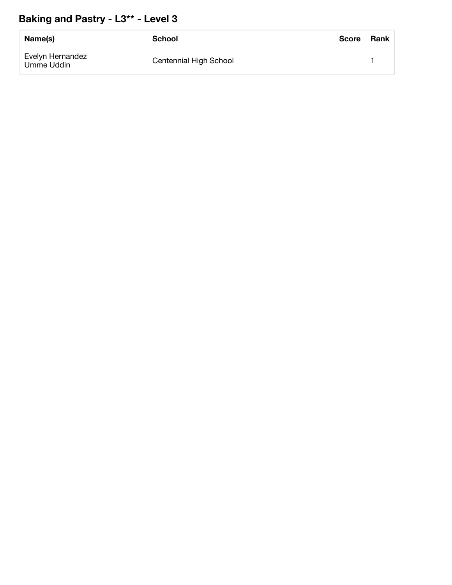#### **Baking and Pastry - L3\*\* - Level 3**

| Name(s)                        | <b>School</b>          | <b>Score</b> | Rank |
|--------------------------------|------------------------|--------------|------|
| Evelyn Hernandez<br>Umme Uddin | Centennial High School |              |      |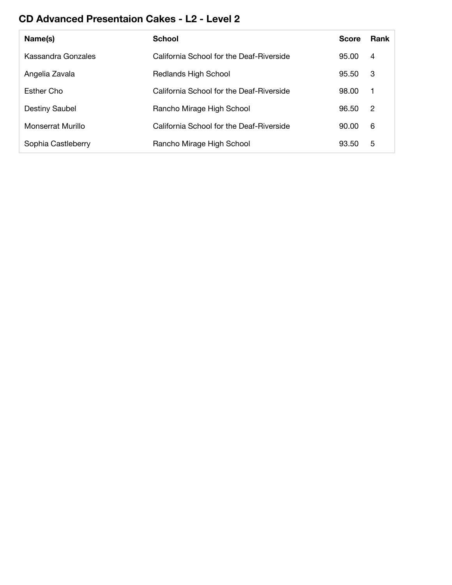#### **CD Advanced Presentaion Cakes - L2 - Level 2**

| Name(s)               | <b>School</b>                            | <b>Score</b> | <b>Rank</b>  |
|-----------------------|------------------------------------------|--------------|--------------|
| Kassandra Gonzales    | California School for the Deaf-Riverside | 95.00        | 4            |
| Angelia Zavala        | Redlands High School                     | 95.50        | -3           |
| Esther Cho            | California School for the Deaf-Riverside | 98.00        | $\mathbf{1}$ |
| <b>Destiny Saubel</b> | Rancho Mirage High School                | 96.50        | -2           |
| Monserrat Murillo     | California School for the Deaf-Riverside | 90.00        | 6            |
| Sophia Castleberry    | Rancho Mirage High School                | 93.50        | 5            |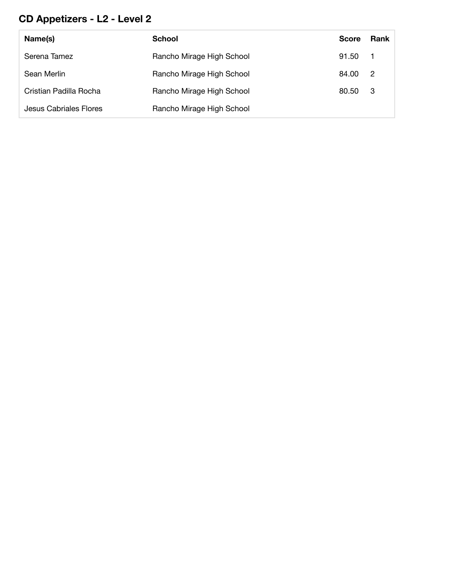#### **CD Appetizers - L2 - Level 2**

| Name(s)                | <b>School</b>             | <b>Score</b> | Rank |
|------------------------|---------------------------|--------------|------|
| Serena Tamez           | Rancho Mirage High School | 91.50 1      |      |
| Sean Merlin            | Rancho Mirage High School | 84.00 2      |      |
| Cristian Padilla Rocha | Rancho Mirage High School | 80.50        | - 3  |
| Jesus Cabriales Flores | Rancho Mirage High School |              |      |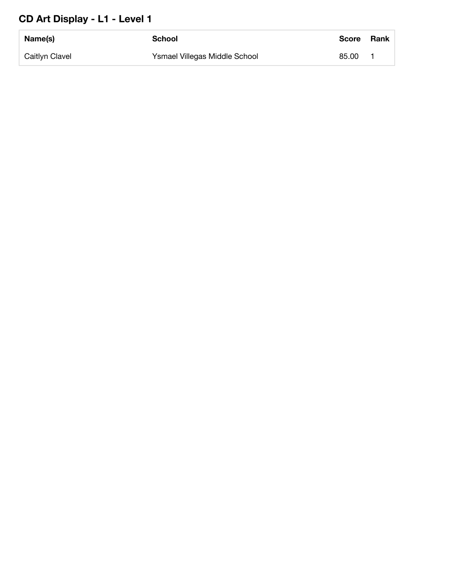#### **CD Art Display - L1 - Level 1**

| Name(s)        | School                        | <b>Score</b> | <b>Rank</b> |
|----------------|-------------------------------|--------------|-------------|
| Caitlyn Clavel | Ysmael Villegas Middle School | 85.00        |             |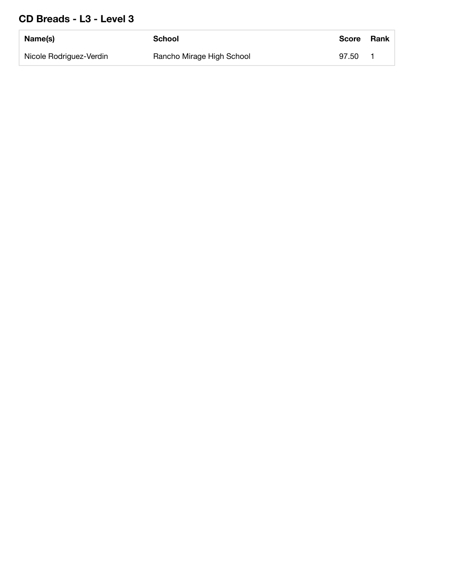#### **CD Breads - L3 - Level 3**

| Name(s)                 | School                    | <b>Score</b> | Rank |
|-------------------------|---------------------------|--------------|------|
| Nicole Rodriguez-Verdin | Rancho Mirage High School | 97.50        |      |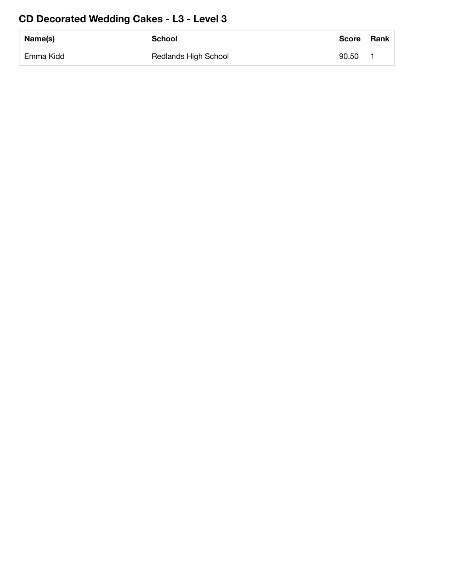#### **CD Decorated Wedding Cakes - L3 - Level 3**

| Name(s)   | <b>School</b>               | <b>Score</b> | Rank |
|-----------|-----------------------------|--------------|------|
| Emma Kidd | <b>Redlands High School</b> | 90.50        |      |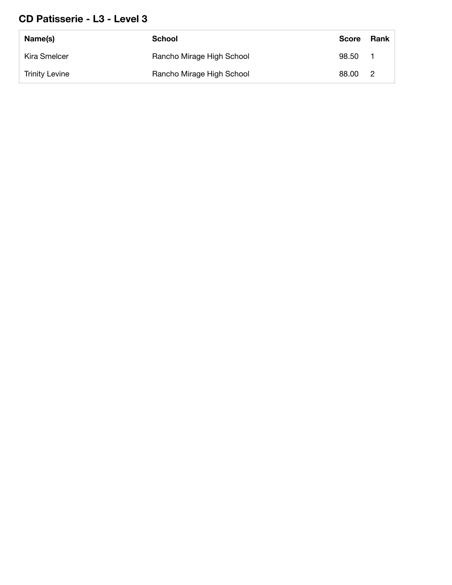#### **CD Patisserie - L3 - Level 3**

| Name(s)               | School                    | <b>Score</b> | Rank           |
|-----------------------|---------------------------|--------------|----------------|
| Kira Smelcer          | Rancho Mirage High School | 98.50        |                |
| <b>Trinity Levine</b> | Rancho Mirage High School | 88.00        | $\overline{2}$ |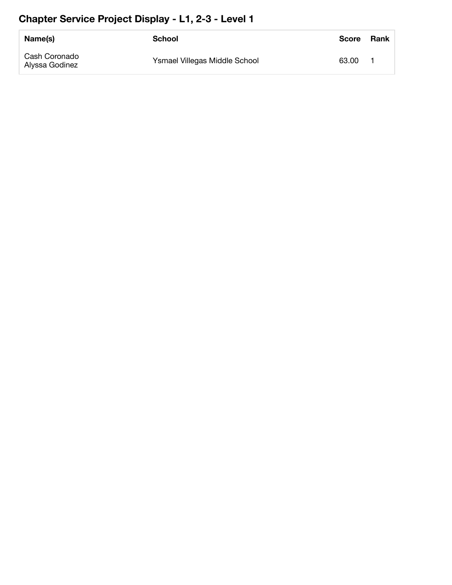#### **Chapter Service Project Display - L1, 2-3 - Level 1**

| Name(s)                         | School                        | <b>Score</b> | <b>Rank</b> |
|---------------------------------|-------------------------------|--------------|-------------|
| Cash Coronado<br>Alyssa Godinez | Ysmael Villegas Middle School | 63.00        |             |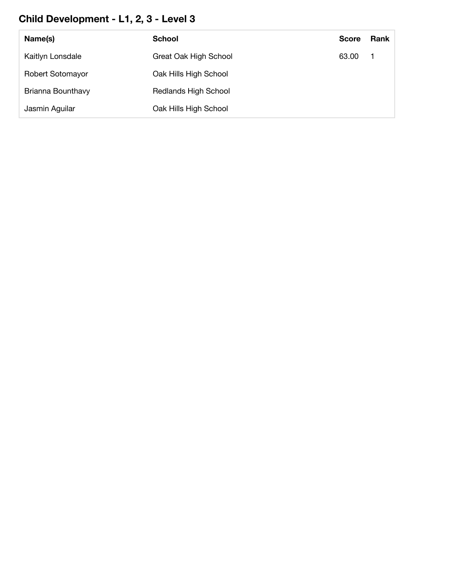#### **Child Development - L1, 2, 3 - Level 3**

| Name(s)           | <b>School</b>               | <b>Score</b> | <b>Rank</b> |
|-------------------|-----------------------------|--------------|-------------|
| Kaitlyn Lonsdale  | Great Oak High School       | 63.00        |             |
| Robert Sotomayor  | Oak Hills High School       |              |             |
| Brianna Bounthavy | <b>Redlands High School</b> |              |             |
| Jasmin Aguilar    | Oak Hills High School       |              |             |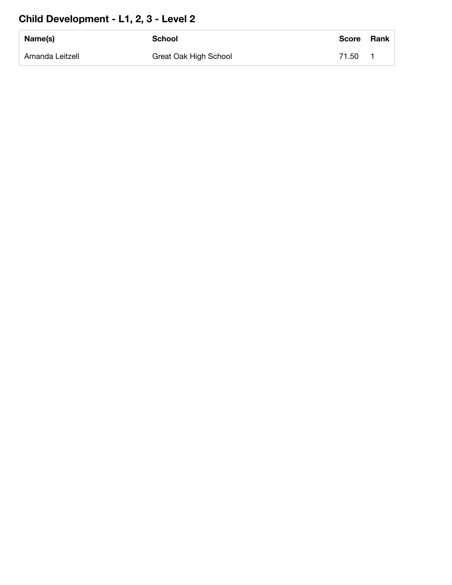#### **Child Development - L1, 2, 3 - Level 2**

| Name(s)         | <b>School</b>         | <b>Score</b> | <b>Rank</b> |
|-----------------|-----------------------|--------------|-------------|
| Amanda Leitzell | Great Oak High School | 71.50        |             |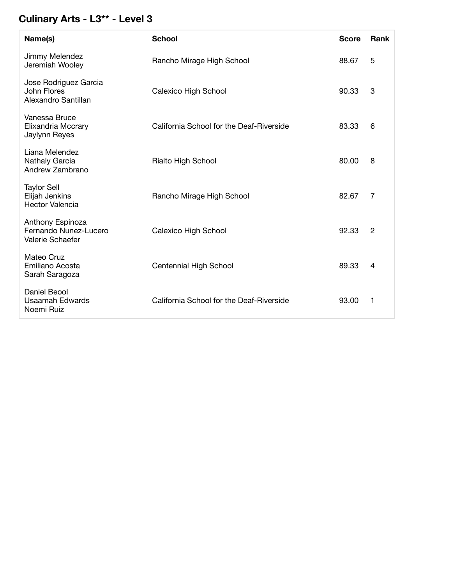#### **Culinary Arts - L3\*\* - Level 3**

| Name(s)                                                        | <b>School</b>                            | <b>Score</b> | Rank           |
|----------------------------------------------------------------|------------------------------------------|--------------|----------------|
| Jimmy Melendez<br>Jeremiah Wooley                              | Rancho Mirage High School                | 88.67        | 5              |
| Jose Rodriguez Garcia<br>John Flores<br>Alexandro Santillan    | <b>Calexico High School</b>              | 90.33        | 3              |
| Vanessa Bruce<br><b>Elixandria Mccrary</b><br>Jaylynn Reyes    | California School for the Deaf-Riverside | 83.33        | 6              |
| Liana Melendez<br>Nathaly Garcia<br>Andrew Zambrano            | Rialto High School                       | 80.00        | 8              |
| <b>Taylor Sell</b><br>Elijah Jenkins<br><b>Hector Valencia</b> | Rancho Mirage High School                | 82.67        | 7              |
| Anthony Espinoza<br>Fernando Nunez-Lucero<br>Valerie Schaefer  | Calexico High School                     | 92.33        | $\overline{2}$ |
| Mateo Cruz<br>Emiliano Acosta<br>Sarah Saragoza                | Centennial High School                   | 89.33        | 4              |
| Daniel Beool<br><b>Usaamah Edwards</b><br>Noemi Ruiz           | California School for the Deaf-Riverside | 93.00        | 1              |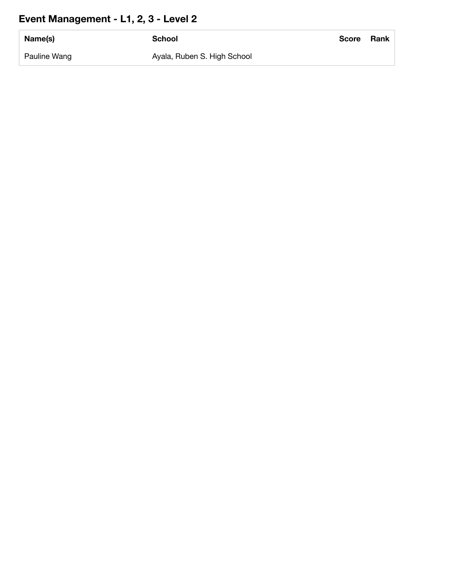#### **Event Management - L1, 2, 3 - Level 2**

| Name(s)      | School                      | <b>Score</b> | Rank |
|--------------|-----------------------------|--------------|------|
| Pauline Wang | Ayala, Ruben S. High School |              |      |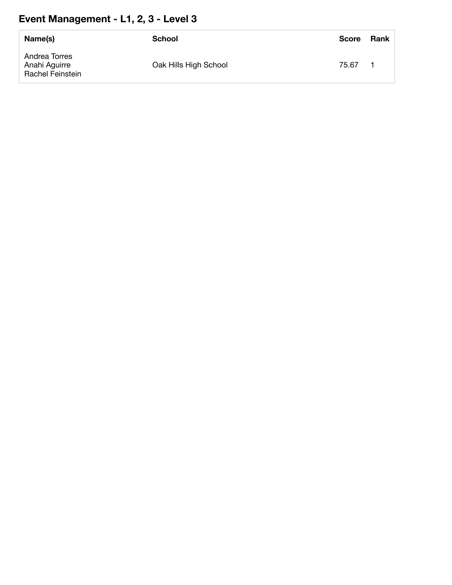# **Event Management - L1, 2, 3 - Level 3**

| Name(s)                                            | School                | <b>Score</b> | Rank |
|----------------------------------------------------|-----------------------|--------------|------|
| Andrea Torres<br>Anahi Aguirre<br>Rachel Feinstein | Oak Hills High School | 75.67        |      |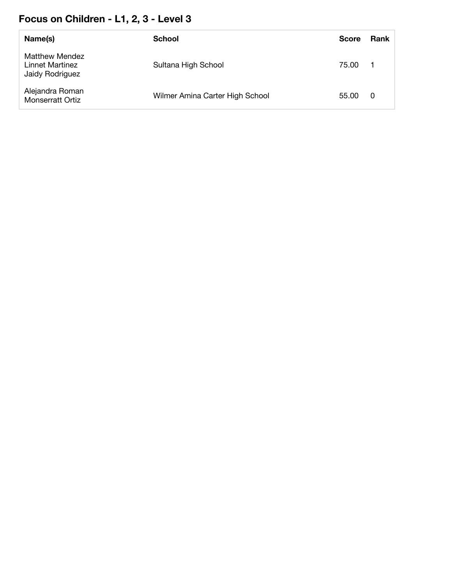#### **Focus on Children - L1, 2, 3 - Level 3**

| Name(s)                                                     | <b>School</b>                   | <b>Score</b> | <b>Rank</b> |
|-------------------------------------------------------------|---------------------------------|--------------|-------------|
| <b>Matthew Mendez</b><br>Linnet Martinez<br>Jaidy Rodriguez | Sultana High School             | 75.00        |             |
| Alejandra Roman<br><b>Monserratt Ortiz</b>                  | Wilmer Amina Carter High School | 55.00        | 0           |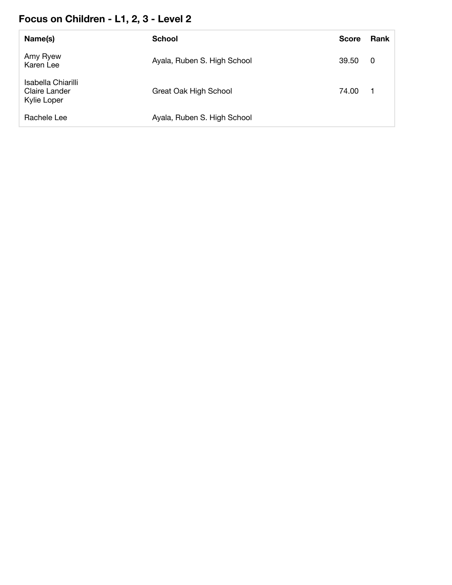#### **Focus on Children - L1, 2, 3 - Level 2**

| Name(s)                                            | <b>School</b>               | <b>Score</b> | <b>Rank</b> |
|----------------------------------------------------|-----------------------------|--------------|-------------|
| Amy Ryew<br>Karen Lee                              | Ayala, Ruben S. High School | 39.50        | - 0         |
| Isabella Chiarilli<br>Claire Lander<br>Kylie Loper | Great Oak High School       | 74.00        | - 1         |
| Rachele Lee                                        | Ayala, Ruben S. High School |              |             |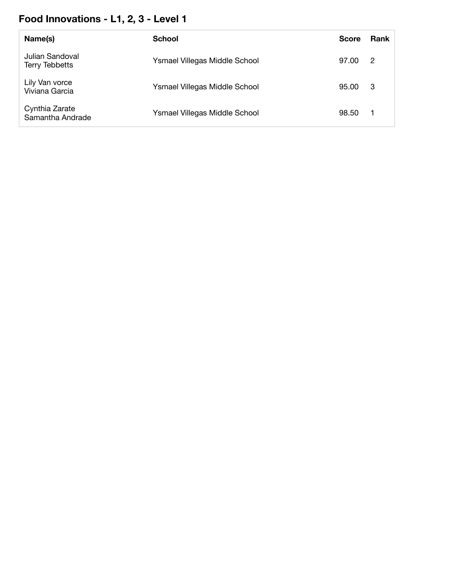# **Food Innovations - L1, 2, 3 - Level 1**

| Name(s)                                  | <b>School</b>                        | <b>Score</b> | <b>Rank</b>    |
|------------------------------------------|--------------------------------------|--------------|----------------|
| Julian Sandoval<br><b>Terry Tebbetts</b> | Ysmael Villegas Middle School        | 97.00        | $\overline{2}$ |
| Lily Van vorce<br>Viviana Garcia         | Ysmael Villegas Middle School        | 95.00        | -3             |
| Cynthia Zarate<br>Samantha Andrade       | <b>Ysmael Villegas Middle School</b> | 98.50        | - 1            |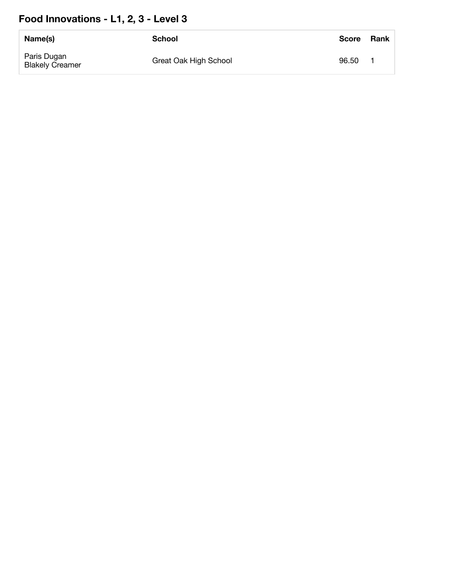# **Food Innovations - L1, 2, 3 - Level 3**

| Name(s)                               | <b>School</b>         | <b>Score</b> | <b>Rank</b> |
|---------------------------------------|-----------------------|--------------|-------------|
| Paris Dugan<br><b>Blakely Creamer</b> | Great Oak High School | 96.50        |             |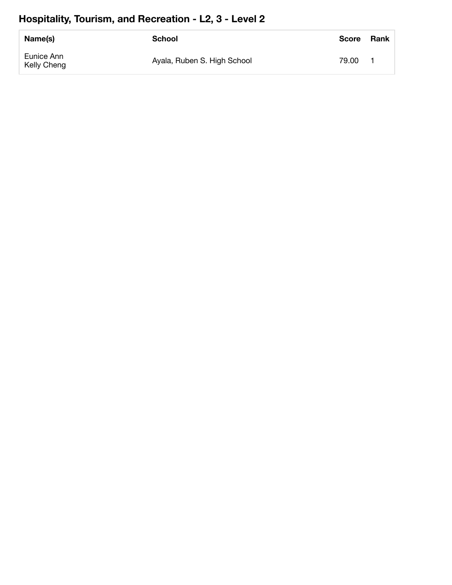#### **Hospitality, Tourism, and Recreation - L2, 3 - Level 2**

| Name(s)                   | School                      | <b>Score</b> | <b>Rank</b> |
|---------------------------|-----------------------------|--------------|-------------|
| Eunice Ann<br>Kelly Cheng | Ayala, Ruben S. High School | 79.00        |             |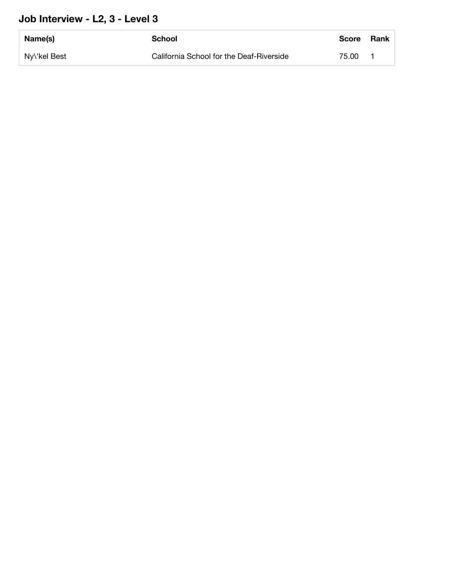#### **Job Interview - L2, 3 - Level 3**

| Name(s)      | School                                   | <b>Score</b> | Rank |
|--------------|------------------------------------------|--------------|------|
| Ny\'kel Best | California School for the Deaf-Riverside | 75.00        |      |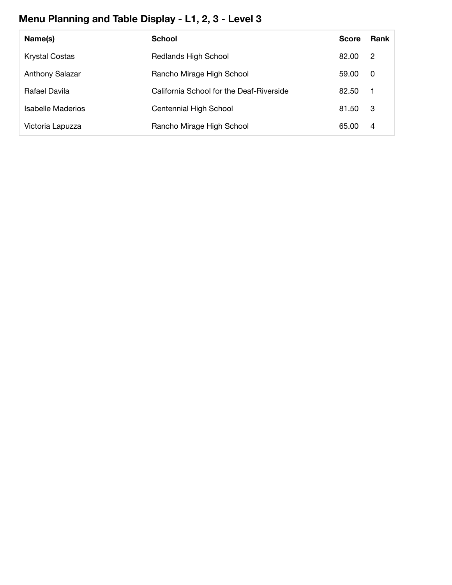# **Menu Planning and Table Display - L1, 2, 3 - Level 3**

| Name(s)                | <b>School</b>                            | Score | Rank           |
|------------------------|------------------------------------------|-------|----------------|
| <b>Krystal Costas</b>  | <b>Redlands High School</b>              | 82.00 | -2             |
| <b>Anthony Salazar</b> | Rancho Mirage High School                | 59.00 | 0              |
| Rafael Davila          | California School for the Deaf-Riverside | 82.50 | $\overline{1}$ |
| Isabelle Maderios      | Centennial High School                   | 81.50 | -3             |
| Victoria Lapuzza       | Rancho Mirage High School                | 65.00 | 4              |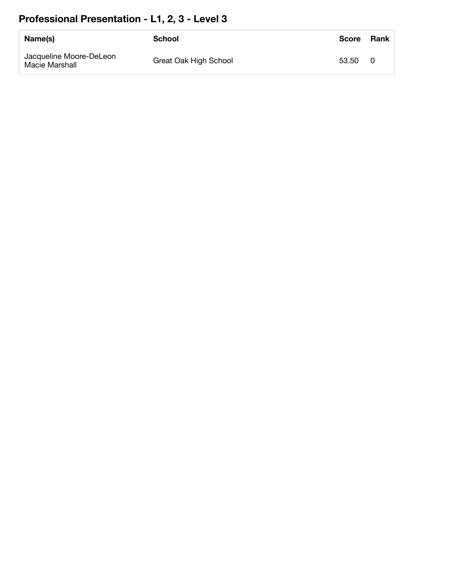# **Professional Presentation - L1, 2, 3 - Level 3**

| Name(s)                                   | School                | <b>Score</b> | <b>Rank</b> |
|-------------------------------------------|-----------------------|--------------|-------------|
| Jacqueline Moore-DeLeon<br>Macie Marshall | Great Oak High School | 53.50        | - 0         |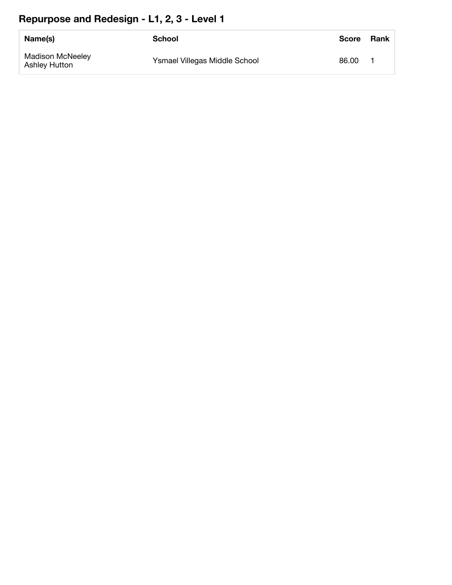#### **Repurpose and Redesign - L1, 2, 3 - Level 1**

| Name(s)                                         | School                        | <b>Score</b> | <b>Rank</b> |
|-------------------------------------------------|-------------------------------|--------------|-------------|
| <b>Madison McNeeley</b><br><b>Ashley Hutton</b> | Ysmael Villegas Middle School | 86.00        |             |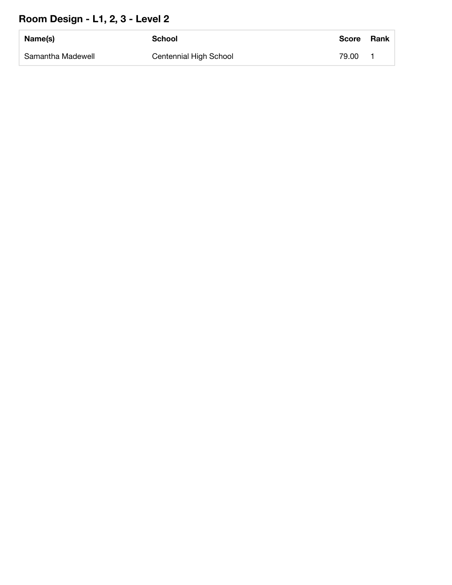#### **Room Design - L1, 2, 3 - Level 2**

| Name(s)           | <b>School</b>          | <b>Score</b> | <b>Rank</b> |
|-------------------|------------------------|--------------|-------------|
| Samantha Madewell | Centennial High School | 79.00        |             |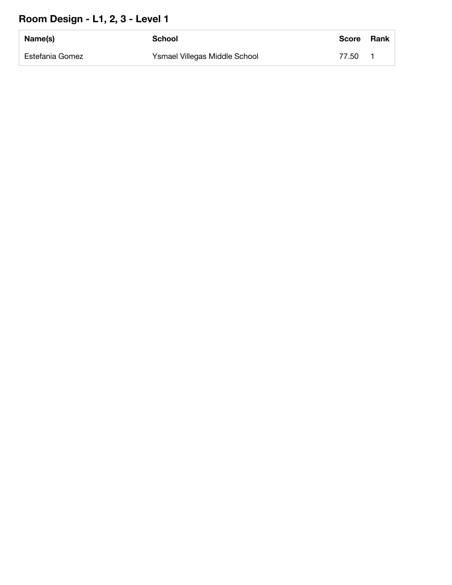#### **Room Design - L1, 2, 3 - Level 1**

| Name(s)         | School                        | <b>Score</b> | Rank |
|-----------------|-------------------------------|--------------|------|
| Estefania Gomez | Ysmael Villegas Middle School | 77.50        |      |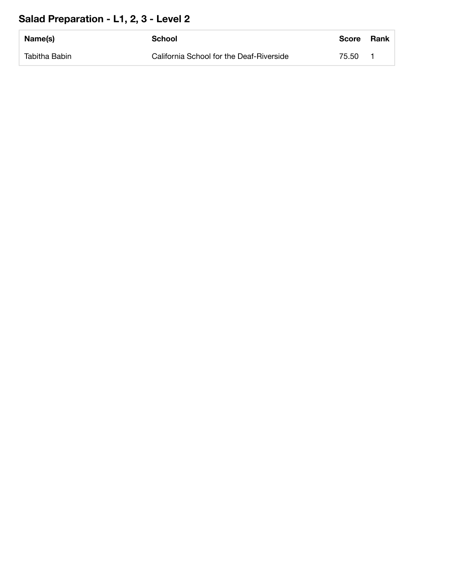#### **Salad Preparation - L1, 2, 3 - Level 2**

| Name(s)       | School                                   | <b>Score</b> | Rank |
|---------------|------------------------------------------|--------------|------|
| Tabitha Babin | California School for the Deaf-Riverside | 75.50        |      |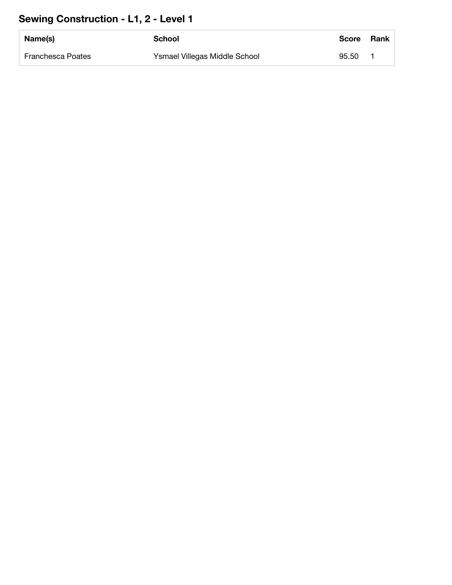#### **Sewing Construction - L1, 2 - Level 1**

| Name(s)           | School                        | <b>Score</b> | <b>Rank</b> |
|-------------------|-------------------------------|--------------|-------------|
| Franchesca Poates | Ysmael Villegas Middle School | 95.50        |             |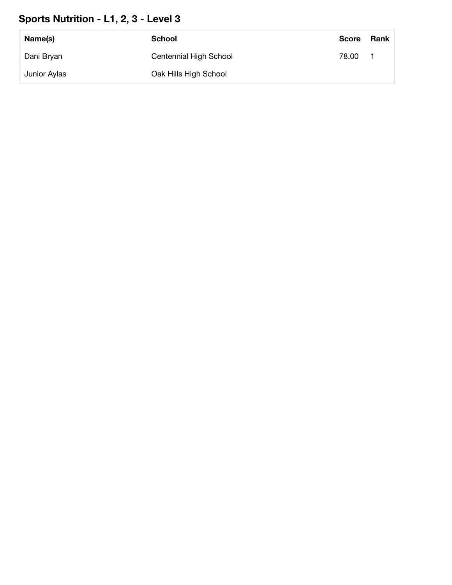#### **Sports Nutrition - L1, 2, 3 - Level 3**

| Name(s)      | <b>School</b>          | <b>Score</b> | Rank |
|--------------|------------------------|--------------|------|
| Dani Bryan   | Centennial High School | 78.00        |      |
| Junior Aylas | Oak Hills High School  |              |      |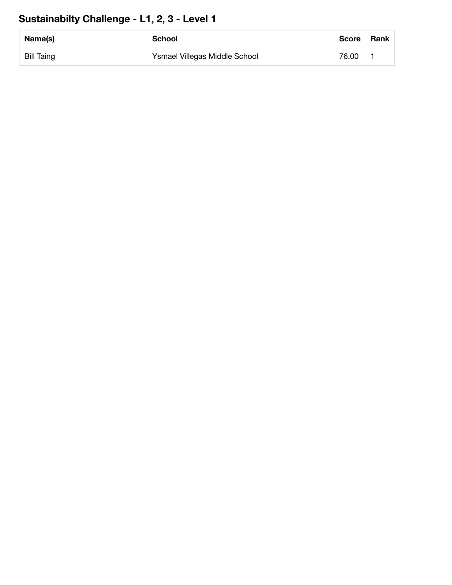#### **Sustainabilty Challenge - L1, 2, 3 - Level 1**

| Name(s)    | School                        | Score | Rank |
|------------|-------------------------------|-------|------|
| Bill Taing | Ysmael Villegas Middle School | 76.00 |      |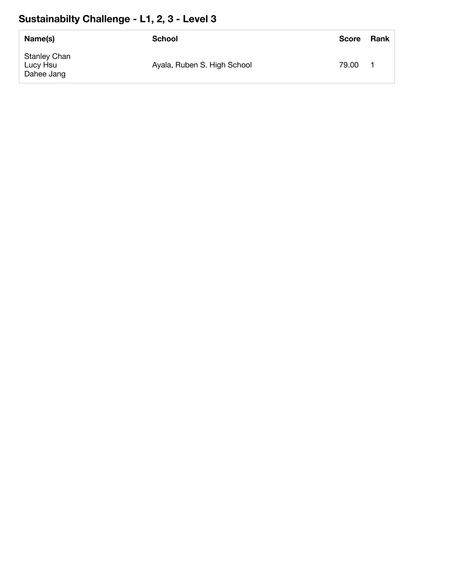# **Sustainabilty Challenge - L1, 2, 3 - Level 3**

| Name(s)                                       | <b>School</b>               | <b>Score</b> | <b>Rank</b> |
|-----------------------------------------------|-----------------------------|--------------|-------------|
| <b>Stanley Chan</b><br>Lucy Hsu<br>Dahee Jang | Ayala, Ruben S. High School | 79.00        |             |